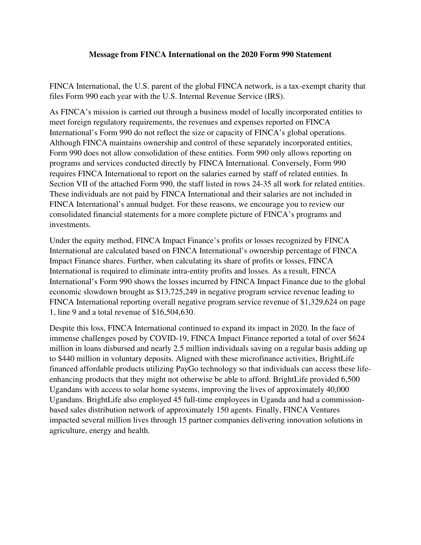## **Message from FINCA International on the 2020 Form 990 Statement**

FINCA International, the U.S. parent of the global FINCA network, is a tax-exempt charity that files Form 990 each year with the U.S. Internal Revenue Service (IRS).

As FINCA's mission is carried out through a business model of locally incorporated entities to meet foreign regulatory requirements, the revenues and expenses reported on FINCA International's Form 990 do not reflect the size or capacity of FINCA's global operations. Although FINCA maintains ownership and control of these separately incorporated entities, Form 990 does not allow consolidation of these entities. Form 990 only allows reporting on programs and services conducted directly by FINCA International. Conversely, Form 990 requires FINCA International to report on the salaries earned by staff of related entities. In Section VII of the attached Form 990, the staff listed in rows 24-35 all work for related entities. These individuals are not paid by FINCA International and their salaries are not included in FINCA International's annual budget. For these reasons, we encourage you to review our consolidated financial statements for a more complete picture of FINCA's programs and investments.

Under the equity method, FINCA Impact Finance's profits or losses recognized by FINCA International are calculated based on FINCA International's ownership percentage of FINCA Impact Finance shares. Further, when calculating its share of profits or losses, FINCA International is required to eliminate intra-entity profits and losses. As a result, FINCA International's Form 990 shows the losses incurred by FINCA Impact Finance due to the global economic slowdown brought as \$13,725,249 in negative program service revenue leading to FINCA International reporting overall negative program service revenue of \$1,329,624 on page 1, line 9 and a total revenue of \$16,504,630.

Despite this loss, FINCA International continued to expand its impact in 2020. In the face of immense challenges posed by COVID-19, FINCA Impact Finance reported a total of over \$624 million in loans disbursed and nearly 2.5 million individuals saving on a regular basis adding up to \$440 million in voluntary deposits. Aligned with these microfinance activities, BrightLife financed affordable products utilizing PayGo technology so that individuals can access these lifeenhancing products that they might not otherwise be able to afford. BrightLife provided 6,500 Ugandans with access to solar home systems, improving the lives of approximately 40,000 Ugandans. BrightLife also employed 45 full-time employees in Uganda and had a commissionbased sales distribution network of approximately 150 agents. Finally, FINCA Ventures impacted several million lives through 15 partner companies delivering innovation solutions in agriculture, energy and health.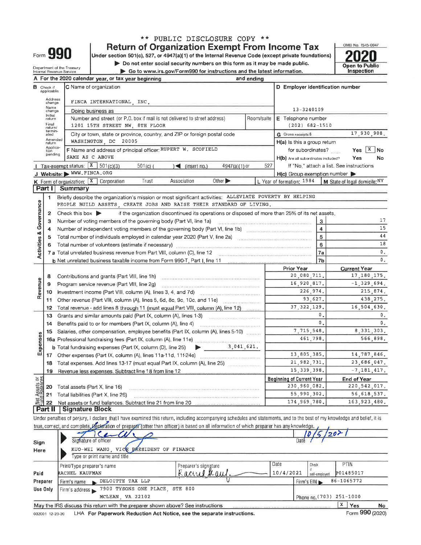|                                                                                                |                                                                                                                            |                                                                                                                                                                               | ** PUBLIC DISCLOSURE COPY **<br><b>Return of Organization Exempt From Income Tax</b>                                                                                                                                                                                                                                                                                                                                                                           |                 |            |                                                     |             | OMB No. 1545-0047             |  |  |  |  |
|------------------------------------------------------------------------------------------------|----------------------------------------------------------------------------------------------------------------------------|-------------------------------------------------------------------------------------------------------------------------------------------------------------------------------|----------------------------------------------------------------------------------------------------------------------------------------------------------------------------------------------------------------------------------------------------------------------------------------------------------------------------------------------------------------------------------------------------------------------------------------------------------------|-----------------|------------|-----------------------------------------------------|-------------|-------------------------------|--|--|--|--|
|                                                                                                |                                                                                                                            | Form 990                                                                                                                                                                      | Under section 501(c), 527, or 4947(a)(1) of the Internal Revenue Code (except private foundations)                                                                                                                                                                                                                                                                                                                                                             |                 |            |                                                     |             |                               |  |  |  |  |
|                                                                                                | $\triangleright$ Do not enter social security numbers on this form as it may be made public.<br>Department of the Treasury |                                                                                                                                                                               |                                                                                                                                                                                                                                                                                                                                                                                                                                                                |                 |            |                                                     |             |                               |  |  |  |  |
|                                                                                                |                                                                                                                            | Internal Revenue Service                                                                                                                                                      | Go to www.irs.gov/Form990 for instructions and the latest information.                                                                                                                                                                                                                                                                                                                                                                                         |                 |            |                                                     |             | Inspection                    |  |  |  |  |
| A For the 2020 calendar year, or tax year beginning<br>and ending                              |                                                                                                                            |                                                                                                                                                                               |                                                                                                                                                                                                                                                                                                                                                                                                                                                                |                 |            |                                                     |             |                               |  |  |  |  |
| D Employer identification number<br>C Name of organization<br><b>B</b> Check if<br>applicable: |                                                                                                                            |                                                                                                                                                                               |                                                                                                                                                                                                                                                                                                                                                                                                                                                                |                 |            |                                                     |             |                               |  |  |  |  |
|                                                                                                | Address<br>change                                                                                                          |                                                                                                                                                                               | FINCA INTERNATIONAL INC.                                                                                                                                                                                                                                                                                                                                                                                                                                       |                 |            |                                                     |             |                               |  |  |  |  |
|                                                                                                | Name<br>change                                                                                                             |                                                                                                                                                                               | Doing business as                                                                                                                                                                                                                                                                                                                                                                                                                                              |                 |            | 13-3240109                                          |             |                               |  |  |  |  |
|                                                                                                | Initial<br>return<br>Final<br>return/                                                                                      |                                                                                                                                                                               | Number and street (or P.O. box if mail is not delivered to street address)<br>1201 15TH STREET NW, 8TH FLOOR                                                                                                                                                                                                                                                                                                                                                   |                 | Room/suite | E Telephone number<br>$(202) 682 - 1510$            |             |                               |  |  |  |  |
|                                                                                                | termin-<br>ated                                                                                                            |                                                                                                                                                                               | City or town, state or province, country, and ZIP or foreign postal code                                                                                                                                                                                                                                                                                                                                                                                       |                 |            | <b>G</b> Gross receipts \$                          |             | 17,930,908.                   |  |  |  |  |
|                                                                                                | Amended<br>return                                                                                                          |                                                                                                                                                                               | WASHINGTON DC 20005                                                                                                                                                                                                                                                                                                                                                                                                                                            |                 |            | H(a) is this a group return                         |             |                               |  |  |  |  |
|                                                                                                | Applica-<br>tion                                                                                                           |                                                                                                                                                                               | F Name and address of principal officer: RUPERT W. SCOFIELD                                                                                                                                                                                                                                                                                                                                                                                                    |                 |            | for subordinates?                                   |             | $Yes \mid X \mid No$          |  |  |  |  |
|                                                                                                | pending                                                                                                                    | SAME AS C ABOVE                                                                                                                                                               |                                                                                                                                                                                                                                                                                                                                                                                                                                                                |                 |            | H(b) Are all subordinates included?                 |             | Yes<br>No                     |  |  |  |  |
|                                                                                                |                                                                                                                            | Tax-exempt status: $X = 501(c)(3)$                                                                                                                                            | $\leq$ (insert no.)<br>$501(c)$ (                                                                                                                                                                                                                                                                                                                                                                                                                              | $4947(a)(1)$ or | 527        | If "No," attach a list. See instructions            |             |                               |  |  |  |  |
|                                                                                                |                                                                                                                            | J Website: WWW.FINCA.ORG                                                                                                                                                      |                                                                                                                                                                                                                                                                                                                                                                                                                                                                |                 |            | $H(c)$ Group exemption number $\blacktriangleright$ |             |                               |  |  |  |  |
|                                                                                                |                                                                                                                            | K Form of organization: X Corporation                                                                                                                                         | Other $\blacktriangleright$<br>Trust<br>Association                                                                                                                                                                                                                                                                                                                                                                                                            |                 |            | L Year of formation: 1984                           |             | M State of legal domicile: NY |  |  |  |  |
|                                                                                                | Part II                                                                                                                    | Summary                                                                                                                                                                       |                                                                                                                                                                                                                                                                                                                                                                                                                                                                |                 |            |                                                     |             |                               |  |  |  |  |
|                                                                                                | 1                                                                                                                          |                                                                                                                                                                               | Briefly describe the organization's mission or most significant activities: ALLEVIATE POVERTY BY HELPING<br>PEOPLE BUILD ASSETS, CREATE JOBS AND RAISE THEIR STANDARD OF LIVING.                                                                                                                                                                                                                                                                               |                 |            |                                                     |             |                               |  |  |  |  |
| Activities & Governance                                                                        | $\mathbf{2}$                                                                                                               | Check this box $\blacktriangleright$                                                                                                                                          | if the organization discontinued its operations or disposed of more than 25% of its net assets.                                                                                                                                                                                                                                                                                                                                                                |                 |            |                                                     |             |                               |  |  |  |  |
|                                                                                                | 3                                                                                                                          |                                                                                                                                                                               | Number of voting members of the governing body (Part VI, line 1a)                                                                                                                                                                                                                                                                                                                                                                                              |                 |            | з                                                   |             | 17                            |  |  |  |  |
|                                                                                                | 4                                                                                                                          |                                                                                                                                                                               | Number of independent voting members of the governing body (Part VI, line 1b) [11] Number of independent voting                                                                                                                                                                                                                                                                                                                                                |                 |            | $\overline{\mathbf{4}}$                             |             | 15                            |  |  |  |  |
|                                                                                                | 5                                                                                                                          |                                                                                                                                                                               | Total number of individuals employed in calendar year 2020 (Part V, line 2a)                                                                                                                                                                                                                                                                                                                                                                                   |                 |            | 5                                                   |             | 44                            |  |  |  |  |
|                                                                                                | 6                                                                                                                          |                                                                                                                                                                               |                                                                                                                                                                                                                                                                                                                                                                                                                                                                |                 |            | 6                                                   |             | 18                            |  |  |  |  |
|                                                                                                | Total number of volunteers (estimate if necessary) substantial continuum continuum continuum continuum                     |                                                                                                                                                                               |                                                                                                                                                                                                                                                                                                                                                                                                                                                                |                 |            | 7a                                                  |             | 0.                            |  |  |  |  |
|                                                                                                |                                                                                                                            | 7 a Total unrelated business revenue from Part VIII, column (C), line 12<br>7 <sub>b</sub><br><b>b</b> Net unrelated business taxable income from Form 990-T, Part I, line 11 |                                                                                                                                                                                                                                                                                                                                                                                                                                                                |                 |            |                                                     |             | 0.                            |  |  |  |  |
|                                                                                                |                                                                                                                            |                                                                                                                                                                               |                                                                                                                                                                                                                                                                                                                                                                                                                                                                |                 |            | <b>Prior Year</b>                                   |             | <b>Current Year</b>           |  |  |  |  |
|                                                                                                | 8                                                                                                                          |                                                                                                                                                                               | Contributions and grants (Part VIII, line 1h)                                                                                                                                                                                                                                                                                                                                                                                                                  |                 |            | 20,080,711.                                         |             | 17, 180, 175.                 |  |  |  |  |
| Revenue                                                                                        | 9                                                                                                                          |                                                                                                                                                                               | Program service revenue (Part VIII, line 2g)                                                                                                                                                                                                                                                                                                                                                                                                                   |                 |            | 16,920,817.                                         |             | $-1, 329, 694.$               |  |  |  |  |
|                                                                                                | 10                                                                                                                         |                                                                                                                                                                               | Investment income (Part VIII, column (A), lines 3, 4, and 7d)                                                                                                                                                                                                                                                                                                                                                                                                  |                 |            | 226,974.                                            |             | 215, 874.                     |  |  |  |  |
|                                                                                                | 11                                                                                                                         |                                                                                                                                                                               | Other revenue (Part VIII, column (A), lines 5, 6d, 8c, 9c, 10c, and 11e)                                                                                                                                                                                                                                                                                                                                                                                       |                 |            | 93,627.                                             |             | 438, 275.                     |  |  |  |  |
|                                                                                                | 12                                                                                                                         |                                                                                                                                                                               | Total revenue - add lines 8 through 11 (must equal Part VIII, column (A), line 12)                                                                                                                                                                                                                                                                                                                                                                             |                 |            | 37, 322, 129,                                       |             | 16,504,630.                   |  |  |  |  |
|                                                                                                | 13                                                                                                                         |                                                                                                                                                                               | Grants and similar amounts paid (Part IX, column (A), lines 1-3)                                                                                                                                                                                                                                                                                                                                                                                               |                 |            | 0.                                                  |             |                               |  |  |  |  |
|                                                                                                | 14                                                                                                                         |                                                                                                                                                                               | Benefits paid to or for members (Part IX, column (A), line 4)                                                                                                                                                                                                                                                                                                                                                                                                  |                 |            | 0 <sub>z</sub>                                      |             | 0.                            |  |  |  |  |
|                                                                                                | 15                                                                                                                         |                                                                                                                                                                               | Salaries, other compensation, employee benefits (Part IX, column (A), lines 5-10)                                                                                                                                                                                                                                                                                                                                                                              |                 |            | 7.715.548.                                          |             | 8,331,303.                    |  |  |  |  |
| ses                                                                                            |                                                                                                                            |                                                                                                                                                                               | 16a Professional fundraising fees (Part IX, column (A), line 11e)                                                                                                                                                                                                                                                                                                                                                                                              |                 |            | 461,798.                                            |             | 566,898.                      |  |  |  |  |
| Expens                                                                                         |                                                                                                                            |                                                                                                                                                                               | $\mathcal{L}^{\frac{1}{2}}(\mathcal{L}^{\frac{1}{2}}(x,y),\mathcal{L}^{\frac{1}{2}}(x,y),\mathcal{L}^{\frac{1}{2}}(x,y),\mathcal{L}^{\frac{1}{2}}(x,y),\mathcal{L}^{\frac{1}{2}}(x,y),\mathcal{L}^{\frac{1}{2}}(x,y),\mathcal{L}^{\frac{1}{2}}(x,y),\mathcal{L}^{\frac{1}{2}}(x,y),\mathcal{L}^{\frac{1}{2}}(x,y),\mathcal{L}^{\frac{1}{2}}(x,y),\mathcal{L}^{\frac{1}{2}}(x,y),\mathcal{L}^{\$<br>b Total fundraising expenses (Part IX, column (D), line 25) | 3,041,621.      |            |                                                     |             |                               |  |  |  |  |
|                                                                                                | 17                                                                                                                         |                                                                                                                                                                               | Other expenses (Part IX, column (A), lines 11a-11d, 11f-24e)                                                                                                                                                                                                                                                                                                                                                                                                   |                 |            | 13,805,385.                                         |             | 14,787,846.                   |  |  |  |  |
|                                                                                                | 18                                                                                                                         |                                                                                                                                                                               | COMPUTERING CONTACTORES CONTACTORES<br>Total expenses. Add lines 13-17 (must equal Part IX, column (A), line 25)                                                                                                                                                                                                                                                                                                                                               |                 |            | 21,982,731.                                         |             | 23,686,047.                   |  |  |  |  |
|                                                                                                | 19                                                                                                                         |                                                                                                                                                                               | Revenue less expenses. Subtract line 18 from line 12                                                                                                                                                                                                                                                                                                                                                                                                           |                 |            | 15, 339, 398.                                       |             | $-7, 181, 417.$               |  |  |  |  |
|                                                                                                |                                                                                                                            |                                                                                                                                                                               |                                                                                                                                                                                                                                                                                                                                                                                                                                                                |                 |            |                                                     |             |                               |  |  |  |  |
| Net Assets or<br>Fund Ralances                                                                 |                                                                                                                            | Total assets (Part X, line 16)                                                                                                                                                |                                                                                                                                                                                                                                                                                                                                                                                                                                                                |                 |            | <b>Beginning of Current Year</b><br>230,960,082.    |             | End of Year<br>220, 542, 017. |  |  |  |  |
|                                                                                                | 20<br>21                                                                                                                   |                                                                                                                                                                               | Total liabilities (Part X, line 26)                                                                                                                                                                                                                                                                                                                                                                                                                            | 55,990,302.     |            |                                                     | 56,618,537. |                               |  |  |  |  |
|                                                                                                |                                                                                                                            |                                                                                                                                                                               |                                                                                                                                                                                                                                                                                                                                                                                                                                                                |                 |            | 174,969,780.                                        |             | 163, 923, 480.                |  |  |  |  |
|                                                                                                | 22<br>Part II                                                                                                              | Signature Block                                                                                                                                                               |                                                                                                                                                                                                                                                                                                                                                                                                                                                                |                 |            |                                                     |             |                               |  |  |  |  |
|                                                                                                |                                                                                                                            |                                                                                                                                                                               | Under penalties of perjury, I declare that I have examined this return, including accompanying schedules and statements, and to the best of my knowledge and belief, it is                                                                                                                                                                                                                                                                                     |                 |            |                                                     |             |                               |  |  |  |  |
|                                                                                                |                                                                                                                            |                                                                                                                                                                               | true, correct, and complete. Declaration of preparer (other than officer) is based on all information of which preparer has any knowledge.                                                                                                                                                                                                                                                                                                                     |                 |            |                                                     |             |                               |  |  |  |  |

| Sign<br>Here | Signature of officer<br>KUO-WEI WANG, VICE BRESIDENT OF FINANCE<br>Type or print name and title | 10/5/207<br>Date     |           |                          |                          |    |  |  |  |  |
|--------------|-------------------------------------------------------------------------------------------------|----------------------|-----------|--------------------------|--------------------------|----|--|--|--|--|
|              | Print/Type preparer's name                                                                      | Preparer's signature | Date      | Check                    | <b>PTIN</b>              |    |  |  |  |  |
| Paid         | RACHEL KAUFMAN                                                                                  | Kacuel Kaul          | 10/4/2021 | self-employed            | P01485017                |    |  |  |  |  |
| Preparer     | DELOITTE TAX LLP<br>Firm's name                                                                 |                      |           | Firm's EIN               | 86-1065772               |    |  |  |  |  |
| Use Only     | 7900 TYSONS ONE PLACE STE 800<br>Firm's address                                                 |                      |           |                          |                          |    |  |  |  |  |
|              | MCLEAN, VA 22102                                                                                |                      |           | Phone no. (703) 251-1000 |                          |    |  |  |  |  |
|              | May the IRS discuss this return with the preparer shown above? See instructions                 |                      |           |                          | $X \mid Y$ es<br>$- - -$ | No |  |  |  |  |

032001 12-23-20 LHA For Paperwork Reduction Act Notice, see the separate instructions.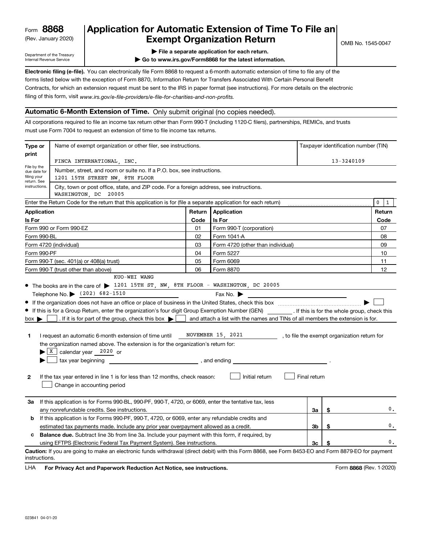## (Rev. January 2020) **Cxempt Organization Return** and the No. 1545-0047 **8868 Application for Automatic Extension of Time To File an**

Department of the Treasury Internal Revenue Service

**| File a separate application for each return.**

**| Go to www.irs.gov/Form8868 for the latest information.**

**Electronic filing (e-file).** You can electronically file Form 8868 to request a 6-month automatic extension of time to file any of the filing of this form, visit www.irs.gov/e-file-providers/e-file-for-charities-and-non-profits. forms listed below with the exception of Form 8870, Information Return for Transfers Associated With Certain Personal Benefit Contracts, for which an extension request must be sent to the IRS in paper format (see instructions). For more details on the electronic

### **Automatic 6-Month Extension of Time.** Only submit original (no copies needed).

All corporations required to file an income tax return other than Form 990-T (including 1120-C filers), partnerships, REMICs, and trusts must use Form 7004 to request an extension of time to file income tax returns.

| Type or                                    | Name of exempt organization or other filer, see instructions.                                                                                                                                                                                                                                                                                                                                                                                                                                                                                                                                                                                                                                                                                                             | Taxpayer identification number (TIN) |                                                                                                                                                                           |                |    |        |  |  |  |  |  |
|--------------------------------------------|---------------------------------------------------------------------------------------------------------------------------------------------------------------------------------------------------------------------------------------------------------------------------------------------------------------------------------------------------------------------------------------------------------------------------------------------------------------------------------------------------------------------------------------------------------------------------------------------------------------------------------------------------------------------------------------------------------------------------------------------------------------------------|--------------------------------------|---------------------------------------------------------------------------------------------------------------------------------------------------------------------------|----------------|----|--------|--|--|--|--|--|
| print                                      |                                                                                                                                                                                                                                                                                                                                                                                                                                                                                                                                                                                                                                                                                                                                                                           |                                      |                                                                                                                                                                           |                |    |        |  |  |  |  |  |
| File by the                                | FINCA INTERNATIONAL, INC.                                                                                                                                                                                                                                                                                                                                                                                                                                                                                                                                                                                                                                                                                                                                                 |                                      | 13-3240109                                                                                                                                                                |                |    |        |  |  |  |  |  |
| due date for<br>filing your<br>return. See | Number, street, and room or suite no. If a P.O. box, see instructions.<br>1201 15TH STREET NW, 8TH FLOOR                                                                                                                                                                                                                                                                                                                                                                                                                                                                                                                                                                                                                                                                  |                                      |                                                                                                                                                                           |                |    |        |  |  |  |  |  |
| instructions.                              | City, town or post office, state, and ZIP code. For a foreign address, see instructions.<br>WASHINGTON, DC 20005                                                                                                                                                                                                                                                                                                                                                                                                                                                                                                                                                                                                                                                          |                                      |                                                                                                                                                                           |                |    |        |  |  |  |  |  |
|                                            | Enter the Return Code for the return that this application is for (file a separate application for each return)<br>0                                                                                                                                                                                                                                                                                                                                                                                                                                                                                                                                                                                                                                                      |                                      |                                                                                                                                                                           |                |    |        |  |  |  |  |  |
| <b>Application</b>                         |                                                                                                                                                                                                                                                                                                                                                                                                                                                                                                                                                                                                                                                                                                                                                                           | Return                               | Application                                                                                                                                                               |                |    | Return |  |  |  |  |  |
| Is For                                     |                                                                                                                                                                                                                                                                                                                                                                                                                                                                                                                                                                                                                                                                                                                                                                           | Code                                 | Is For                                                                                                                                                                    |                |    | Code   |  |  |  |  |  |
|                                            | Form 990 or Form 990-EZ                                                                                                                                                                                                                                                                                                                                                                                                                                                                                                                                                                                                                                                                                                                                                   | 01                                   | Form 990-T (corporation)                                                                                                                                                  |                |    | 07     |  |  |  |  |  |
| Form 990-BL                                |                                                                                                                                                                                                                                                                                                                                                                                                                                                                                                                                                                                                                                                                                                                                                                           | 02                                   | Form 1041-A                                                                                                                                                               |                |    | 08     |  |  |  |  |  |
|                                            | Form 4720 (individual)                                                                                                                                                                                                                                                                                                                                                                                                                                                                                                                                                                                                                                                                                                                                                    | 03                                   | Form 4720 (other than individual)                                                                                                                                         |                |    | 09     |  |  |  |  |  |
| Form 990-PF                                |                                                                                                                                                                                                                                                                                                                                                                                                                                                                                                                                                                                                                                                                                                                                                                           | 04                                   | Form 5227                                                                                                                                                                 |                |    | 10     |  |  |  |  |  |
|                                            | Form 990-T (sec. 401(a) or 408(a) trust)                                                                                                                                                                                                                                                                                                                                                                                                                                                                                                                                                                                                                                                                                                                                  | 05                                   | Form 6069                                                                                                                                                                 |                |    | 11     |  |  |  |  |  |
|                                            | Form 990-T (trust other than above)                                                                                                                                                                                                                                                                                                                                                                                                                                                                                                                                                                                                                                                                                                                                       | 06                                   | Form 8870                                                                                                                                                                 |                |    | 12     |  |  |  |  |  |
| $box \blacktriangleright$<br>1<br>2        | • The books are in the care of > 1201 15TH ST, NW, 8TH FLOOR - WASHINGTON, DC 20005<br>Telephone No. (202) 682-1510<br>If this is for a Group Return, enter the organization's four digit Group Exemption Number (GEN) _________. If this is for the whole group, check this<br>. If it is for part of the group, check this box $\blacktriangleright$   and attach a list with the names and TINs of all members the extension is for.<br>I request an automatic 6-month extension of time until<br>the organization named above. The extension is for the organization's return for:<br>$\blacktriangleright$ $\lfloor$ X $\rfloor$ calendar year 2020 or<br>If the tax year entered in line 1 is for less than 12 months, check reason:<br>Change in accounting period |                                      | Fax No. $\blacktriangleright$<br><u> 1980 - Johann Stoff, fransk politik (d. 1980)</u><br>NOVEMBER 15, 2021, to file the exempt organization return for<br>Initial return | Final return   |    |        |  |  |  |  |  |
| За                                         | If this application is for Forms 990-BL, 990-PF, 990-T, 4720, or 6069, enter the tentative tax, less<br>\$<br>За<br>any nonrefundable credits. See instructions.                                                                                                                                                                                                                                                                                                                                                                                                                                                                                                                                                                                                          |                                      |                                                                                                                                                                           |                |    |        |  |  |  |  |  |
| b                                          | If this application is for Forms 990-PF, 990-T, 4720, or 6069, enter any refundable credits and                                                                                                                                                                                                                                                                                                                                                                                                                                                                                                                                                                                                                                                                           |                                      |                                                                                                                                                                           |                |    |        |  |  |  |  |  |
|                                            | estimated tax payments made. Include any prior year overpayment allowed as a credit.                                                                                                                                                                                                                                                                                                                                                                                                                                                                                                                                                                                                                                                                                      |                                      |                                                                                                                                                                           | 3b             | \$ | 0.     |  |  |  |  |  |
| c                                          | <b>Balance due.</b> Subtract line 3b from line 3a. Include your payment with this form, if required, by                                                                                                                                                                                                                                                                                                                                                                                                                                                                                                                                                                                                                                                                   |                                      |                                                                                                                                                                           |                |    |        |  |  |  |  |  |
|                                            | using EFTPS (Electronic Federal Tax Payment System). See instructions.                                                                                                                                                                                                                                                                                                                                                                                                                                                                                                                                                                                                                                                                                                    |                                      |                                                                                                                                                                           | 3 <sub>c</sub> | \$ | 0.     |  |  |  |  |  |
| instructions.                              | Caution: If you are going to make an electronic funds withdrawal (direct debit) with this Form 8868, see Form 8453-EO and Form 8879-EO for payment                                                                                                                                                                                                                                                                                                                                                                                                                                                                                                                                                                                                                        |                                      |                                                                                                                                                                           |                |    |        |  |  |  |  |  |

LHA For Privacy Act and Paperwork Reduction Act Notice, see instructions. **8868** (Rev. 1-2020) Form 8868 (Rev. 1-2020)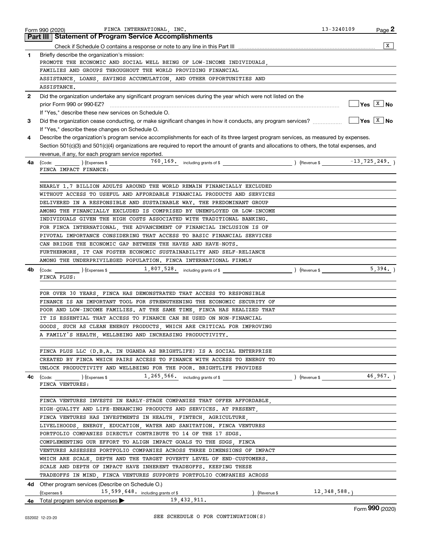|              | FINCA INTERNATIONAL, INC.<br>Form 990 (2020)                                                                                                 | 13-3240109<br>$Page$ 2                                 |
|--------------|----------------------------------------------------------------------------------------------------------------------------------------------|--------------------------------------------------------|
|              | <b>Part III Statement of Program Service Accomplishments</b>                                                                                 |                                                        |
|              |                                                                                                                                              | X                                                      |
| 1            | Briefly describe the organization's mission:                                                                                                 |                                                        |
|              | PROMOTE THE ECONOMIC AND SOCIAL WELL BEING OF LOW-INCOME INDIVIDUALS,                                                                        |                                                        |
|              | FAMILIES AND GROUPS THROUGHOUT THE WORLD PROVIDING FINANCIAL                                                                                 |                                                        |
|              | ASSISTANCE, LOANS, SAVINGS ACCUMULATION, AND OTHER OPPORTUNITIES AND                                                                         |                                                        |
|              | ASSISTANCE.                                                                                                                                  |                                                        |
| $\mathbf{2}$ | Did the organization undertake any significant program services during the year which were not listed on the                                 | $\sqrt{\mathsf{Yes}\ \boxed{\mathrm{X}}\ \mathsf{No}}$ |
|              |                                                                                                                                              |                                                        |
| 3            | If "Yes," describe these new services on Schedule O.                                                                                         | $\sqrt{Y}$ es $\sqrt{X}$ No                            |
|              | If "Yes," describe these changes on Schedule O.                                                                                              |                                                        |
| 4            | Describe the organization's program service accomplishments for each of its three largest program services, as measured by expenses.         |                                                        |
|              | Section 501(c)(3) and 501(c)(4) organizations are required to report the amount of grants and allocations to others, the total expenses, and |                                                        |
|              | revenue, if any, for each program service reported.                                                                                          |                                                        |
| 4a           | $\left(\text{Code:}\right)$ $\left(\text{Expenses $}\right)$ $\left(\text{Expenses $}\right)$                                                | (Revenue \$ $-13,725,249.$ ) Revenue \$ $-13,725,249.$ |
|              | FINCA IMPACT FINANCE:                                                                                                                        |                                                        |
|              |                                                                                                                                              |                                                        |
|              | NEARLY 1.7 BILLION ADULTS AROUND THE WORLD REMAIN FINANCIALLY EXCLUDED                                                                       |                                                        |
|              | WITHOUT ACCESS TO USEFUL AND AFFORDABLE FINANCIAL PRODUCTS AND SERVICES                                                                      |                                                        |
|              | DELIVERED IN A RESPONSIBLE AND SUSTAINABLE WAY. THE PREDOMINANT GROUP                                                                        |                                                        |
|              | AMONG THE FINANCIALLY EXCLUDED IS COMPRISED BY UNEMPLOYED OR LOW-INCOME                                                                      |                                                        |
|              | INDIVIDUALS GIVEN THE HIGH COSTS ASSOCIATED WITH TRADITIONAL BANKING.                                                                        |                                                        |
|              | FOR FINCA INTERNATIONAL, THE ADVANCEMENT OF FINANCIAL INCLUSION IS OF                                                                        |                                                        |
|              | PIVOTAL IMPORTANCE CONSIDERING THAT ACCESS TO BASIC FINANCIAL SERVICES                                                                       |                                                        |
|              | CAN BRIDGE THE ECONOMIC GAP BETWEEN THE HAVES AND HAVE-NOTS.                                                                                 |                                                        |
|              | FURTHERMORE, IT CAN FOSTER ECONOMIC SUSTAINABILITY AND SELF-RELIANCE                                                                         |                                                        |
|              | AMONG THE UNDERPRIVILEGED POPULATION. FINCA INTERNATIONAL FIRMLY                                                                             |                                                        |
| 4b           | $(\text{Code:})$ $(\text{Expenses $})$ $(\text{Expenses $})$ $(\text{Expenses $})$ $(\text{Expenses $})$ $(\text{Remove})$                   | 5,394.                                                 |
|              | FINCA PLUS:                                                                                                                                  |                                                        |
|              |                                                                                                                                              |                                                        |
|              | FOR OVER 30 YEARS, FINCA HAS DEMONSTRATED THAT ACCESS TO RESPONSIBLE                                                                         |                                                        |
|              | FINANCE IS AN IMPORTANT TOOL FOR STRENGTHENING THE ECONOMIC SECURITY OF                                                                      |                                                        |
|              | POOR AND LOW-INCOME FAMILIES. AT THE SAME TIME, FINCA HAS REALIZED THAT                                                                      |                                                        |
|              | IT IS ESSENTIAL THAT ACCESS TO FINANCE CAN BE USED ON NON-FINANCIAL                                                                          |                                                        |
|              | GOODS, SUCH AS CLEAN ENERGY PRODUCTS, WHICH ARE CRITICAL FOR IMPROVING<br>A FAMILY'S HEALTH, WELLBEING AND INCREASING PRODUCTIVITY.          |                                                        |
|              |                                                                                                                                              |                                                        |
|              | FINCA PLUS LLC (D.B.A. IN UGANDA AS BRIGHTLIFE) IS A SOCIAL ENTERPRISE                                                                       |                                                        |
|              | CREATED BY FINCA WHICH PAIRS ACCESS TO FINANCE WITH ACCESS TO ENERGY TO                                                                      |                                                        |
|              | UNLOCK PRODUCTIVITY AND WELLBEING FOR THE POOR. BRIGHTLIFE PROVIDES                                                                          |                                                        |
|              |                                                                                                                                              |                                                        |
| 4c           | FINCA VENTURES:                                                                                                                              |                                                        |
|              |                                                                                                                                              |                                                        |
|              | FINCA VENTURES INVESTS IN EARLY-STAGE COMPANIES THAT OFFER AFFORDABLE,                                                                       |                                                        |
|              | HIGH-QUALITY AND LIFE-ENHANCING PRODUCTS AND SERVICES. AT PRESENT,                                                                           |                                                        |
|              | FINCA VENTURES HAS INVESTMENTS IN HEALTH, FINTECH, AGRICULTURE,                                                                              |                                                        |
|              | LIVELIHOODS, ENERGY, EDUCATION, WATER AND SANITATION. FINCA VENTURES                                                                         |                                                        |
|              | PORTFOLIO COMPANIES DIRECTLY CONTRIBUTE TO 14 OF THE 17 SDGS.                                                                                |                                                        |
|              | COMPLEMENTING OUR EFFORT TO ALIGN IMPACT GOALS TO THE SDGS, FINCA                                                                            |                                                        |
|              | VENTURES ASSESSES PORTFOLIO COMPANIES ACROSS THREE DIMENSIONS OF IMPACT                                                                      |                                                        |
|              | WHICH ARE SCALE, DEPTH AND THE TARGET POVERTY LEVEL OF END-CUSTOMERS.                                                                        |                                                        |
|              | SCALE AND DEPTH OF IMPACT HAVE INHERENT TRADEOFFS. KEEPING THESE                                                                             |                                                        |
|              | TRADEOFFS IN MIND, FINCA VENTURES SUPPORTS PORTFOLIO COMPANIES ACROSS                                                                        |                                                        |
|              | <b>4d</b> Other program services (Describe on Schedule O.)                                                                                   |                                                        |
|              | (Revenue \$12, 348, 588.)<br>$($ Expenses \$ $15,599,648$ including grants of \$                                                             |                                                        |
|              | 19,432,911.<br><b>4e</b> Total program service expenses $\blacktriangleright$                                                                |                                                        |
|              |                                                                                                                                              |                                                        |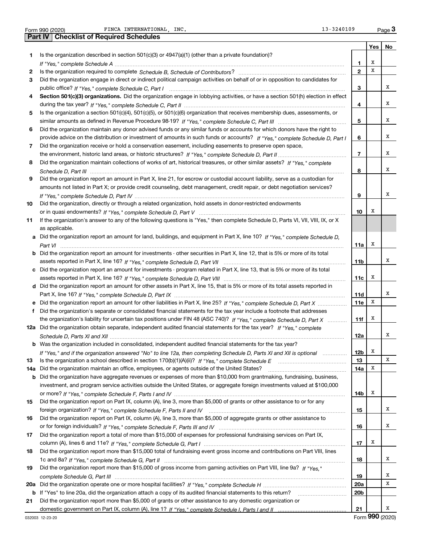Form 990 (2020) FINCA INTERNATIONAL,INC. 13-3240109 Page FINCA INTERNATIONAL, INC. 13-3240109

|     | Part IV   Checklist of Required Schedules                                                                                             |                 |     |    |
|-----|---------------------------------------------------------------------------------------------------------------------------------------|-----------------|-----|----|
|     |                                                                                                                                       |                 | Yes | No |
| 1.  | Is the organization described in section $501(c)(3)$ or $4947(a)(1)$ (other than a private foundation)?                               |                 |     |    |
|     |                                                                                                                                       | 1               | Х   |    |
| 2   |                                                                                                                                       | $\overline{2}$  | x   |    |
| 3   | Did the organization engage in direct or indirect political campaign activities on behalf of or in opposition to candidates for       |                 |     |    |
|     |                                                                                                                                       | з               |     | х  |
| 4   | Section 501(c)(3) organizations. Did the organization engage in lobbying activities, or have a section 501(h) election in effect      |                 |     |    |
|     |                                                                                                                                       | 4               |     | x  |
| 5   | Is the organization a section 501(c)(4), 501(c)(5), or 501(c)(6) organization that receives membership dues, assessments, or          |                 |     |    |
|     |                                                                                                                                       | 5               |     | х  |
| 6   | Did the organization maintain any donor advised funds or any similar funds or accounts for which donors have the right to             |                 |     |    |
|     | provide advice on the distribution or investment of amounts in such funds or accounts? If "Yes," complete Schedule D, Part I          | 6               |     | х  |
| 7   | Did the organization receive or hold a conservation easement, including easements to preserve open space,                             |                 |     |    |
|     |                                                                                                                                       | $\overline{7}$  |     | x  |
| 8   | Did the organization maintain collections of works of art, historical treasures, or other similar assets? If "Yes," complete          |                 |     |    |
|     |                                                                                                                                       | 8               |     | х  |
| 9   | Did the organization report an amount in Part X, line 21, for escrow or custodial account liability, serve as a custodian for         |                 |     |    |
|     | amounts not listed in Part X; or provide credit counseling, debt management, credit repair, or debt negotiation services?             |                 |     |    |
|     |                                                                                                                                       | 9               |     | х  |
| 10  |                                                                                                                                       |                 |     |    |
|     | Did the organization, directly or through a related organization, hold assets in donor-restricted endowments                          | 10              | X   |    |
|     |                                                                                                                                       |                 |     |    |
| 11  | If the organization's answer to any of the following questions is "Yes," then complete Schedule D, Parts VI, VII, VIII, IX, or X      |                 |     |    |
|     | as applicable.                                                                                                                        |                 |     |    |
|     | a Did the organization report an amount for land, buildings, and equipment in Part X, line 10? If "Yes," complete Schedule D,         |                 | Х   |    |
|     |                                                                                                                                       | 11a             |     |    |
|     | <b>b</b> Did the organization report an amount for investments - other securities in Part X, line 12, that is 5% or more of its total |                 |     | x  |
|     |                                                                                                                                       | 11 <sub>b</sub> |     |    |
|     | c Did the organization report an amount for investments - program related in Part X, line 13, that is 5% or more of its total         |                 |     |    |
|     |                                                                                                                                       | 11c             | x   |    |
|     | d Did the organization report an amount for other assets in Part X, line 15, that is 5% or more of its total assets reported in       |                 |     |    |
|     |                                                                                                                                       | 11d             |     | x  |
|     | e Did the organization report an amount for other liabilities in Part X, line 25? If "Yes," complete Schedule D, Part X               | 11e             | X   |    |
|     | Did the organization's separate or consolidated financial statements for the tax year include a footnote that addresses               |                 |     |    |
|     | the organization's liability for uncertain tax positions under FIN 48 (ASC 740)? If "Yes," complete Schedule D, Part X                | 11f             | х   |    |
|     | 12a Did the organization obtain separate, independent audited financial statements for the tax year? If "Yes." complete               |                 |     |    |
|     |                                                                                                                                       | <b>12a</b>      |     | х  |
|     | <b>b</b> Was the organization included in consolidated, independent audited financial statements for the tax year?                    |                 |     |    |
|     | If "Yes," and if the organization answered "No" to line 12a, then completing Schedule D, Parts XI and XII is optional                 | 12b             | Х   |    |
| 13  |                                                                                                                                       | 13              |     | x  |
| 14a | Did the organization maintain an office, employees, or agents outside of the United States?                                           | 14a             | x   |    |
|     | b Did the organization have aggregate revenues or expenses of more than \$10,000 from grantmaking, fundraising, business,             |                 |     |    |
|     | investment, and program service activities outside the United States, or aggregate foreign investments valued at \$100,000            |                 |     |    |
|     |                                                                                                                                       | 14b             | х   |    |
| 15  | Did the organization report on Part IX, column (A), line 3, more than \$5,000 of grants or other assistance to or for any             |                 |     |    |
|     |                                                                                                                                       | 15              |     | x  |
| 16  | Did the organization report on Part IX, column (A), line 3, more than \$5,000 of aggregate grants or other assistance to              |                 |     |    |
|     |                                                                                                                                       | 16              |     | x  |
| 17  | Did the organization report a total of more than \$15,000 of expenses for professional fundraising services on Part IX,               |                 |     |    |
|     |                                                                                                                                       | 17              | х   |    |
| 18  | Did the organization report more than \$15,000 total of fundraising event gross income and contributions on Part VIII, lines          |                 |     |    |
|     |                                                                                                                                       | 18              |     | x  |
| 19  | Did the organization report more than \$15,000 of gross income from gaming activities on Part VIII, line 9a? If "Yes."                |                 |     |    |
|     |                                                                                                                                       | 19              |     | x  |
| 20a |                                                                                                                                       | 20a             |     | x  |
|     | b If "Yes" to line 20a, did the organization attach a copy of its audited financial statements to this return?                        | 20 <sub>b</sub> |     |    |
| 21  | Did the organization report more than \$5,000 of grants or other assistance to any domestic organization or                           |                 |     |    |
|     |                                                                                                                                       | 21              |     | x  |

Form (2020) **990**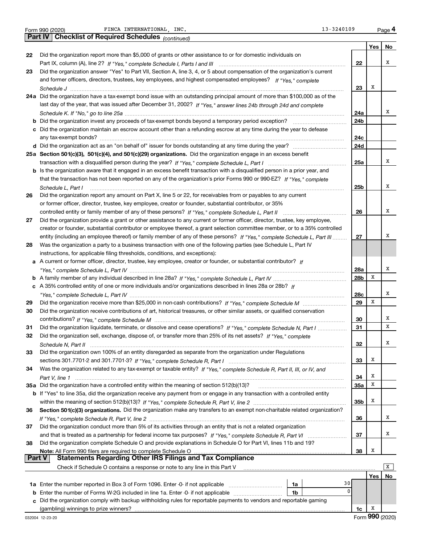Form 990 (2020) FINCA INTERNATIONAL, INC. The example of the contract of the contract of the Page

**Yes No 22** Did the organization report more than \$5,000 of grants or other assistance to or for domestic individuals on **23 24 a** Did the organization have a tax-exempt bond issue with an outstanding principal amount of more than \$100,000 as of the **25 a Section 501(c)(3), 501(c)(4), and 501(c)(29) organizations.**  Did the organization engage in an excess benefit **26 27 28 29 30 31 32 33 34 35 a** Did the organization have a controlled entity within the meaning of section 512(b)(13)? **36 37 38 22 23 24a 24b 24c 24d 25a 25b 26 27 28a 28b 28c 29 30 31 32 33 34 35a 35b 36 37 38 b** Did the organization invest any proceeds of tax-exempt bonds beyond a temporary period exception? ~~~~~~~~~~~ **c** Did the organization maintain an escrow account other than a refunding escrow at any time during the year to defease **d** Did the organization act as an "on behalf of" issuer for bonds outstanding at any time during the year? ~~~~~~~~~~~ **b** Is the organization aware that it engaged in an excess benefit transaction with a disqualified person in a prior year, and **a** A current or former officer, director, trustee, key employee, creator or founder, or substantial contributor? If **b** *If "Yes," complete Schedule L, Part IV* A family member of any individual described in line 28a? ~~~~~~~~~~~~~~~ **c** *If* A 35% controlled entity of one or more individuals and/or organizations described in lines 28a or 28b? **b** If "Yes" to line 35a, did the organization receive any payment from or engage in any transaction with a controlled entity Section 501(c)(3) organizations. Did the organization make any transfers to an exempt non-charitable related organization? **Note:**  All Form 990 filers are required to complete Schedule O **Yes No 1a** Enter the number reported in Box 3 of Form 1096. Enter -0- if not applicable ~~~~~~~~~~~ **b** Enter the number of Forms W-2G included in line 1a. Enter -0- if not applicable  $\ldots$  $\ldots$  $\ldots$  $\ldots$  $\ldots$ **c** Did the organization comply with backup withholding rules for reportable payments to vendors and reportable gaming **1a 1b 1c** *(continued)* **Part IV Checklist of Required Schedules** Part IX, column (A), line 2? f "Yes," complete Schedule I, Parts I and III **multion completer in the UI** content and former officers, directors, trustees, key employees, and highest compensated employees? If "Yes," complete *Schedule J* last day of the year, that was issued after December 31, 2002? If "Yes," answer lines 24b through 24d and complete *Schedule K. If "No," go to line 25a* ~~~~~~~~~~~~~~~~~~~~~~~~~~~~~~~~~~~~~~~~~~~~~ transaction with a disqualified person during the year? If "Yes," complete Schedule L, Part I www.www.www.www.ww that the transaction has not been reported on any of the organization's prior Forms 990 or 990-EZ? If "Yes," complete *Schedule L, Part I If "Yes," complete Schedule L, Part II* controlled entity or family member of any of these persons? ~~~~~~~~~~~~~ entity (including an employee thereof) or family member of any of these persons? ~ If "Yes," complete Schedule L, Part III ......... *"Yes," complete Schedule L, Part IV* ~~~~~~~~~~~~~~~~~~~~~~~~~~~~~~~~~~~~~~~~~~~~ *"Yes," complete Schedule L, Part IV* ~~~~~~~~~~~~~~~~~~~~~~~~~~~~~~~~~~~~~~~~~~~~ *If "Yes," complete Schedule M* Did the organization receive more than \$25,000 in non-cash contributions? ~~~~~~~~~ *If "Yes," complete Schedule M* contributions? ~~~~~~~~~~~~~~~~~~~~~~~~~~~~~~~~~~~~~~~ Did the organization liquidate, terminate, or dissolve and cease operations? If "Yes," complete Schedule N, Part I .................. Did the organization sell, exchange, dispose of, or transfer more than 25% of its net assets? If "Yes," complete *Schedule N, Part II* ~~~~~~~~~~~~~~~~~~~~~~~~~~~~~~~~~~~~~~~~~~~~~~~~~~~~ *If "Yes," complete Schedule R, Part I* sections 301.7701-2 and 301.7701-3? ~~~~~~~~~~~~~~~~~~~~~~~~ Was the organization related to any tax-exempt or taxable entity? If "Yes," complete Schedule R, Part II, III, or IV, and *Part V, line 1 If "Yes," complete Schedule R, Part V, line 2* within the meaning of section 512(b)(13)? ~~~~~~~~~~~~~~~~~~~ *If "Yes," complete Schedule R, Part V, line 2* ~~~~~~~~~~~~~~~~~~~~~~~~~~~~~~~~~~~~~~~~ and that is treated as a partnership for federal income tax purposes? If "Yes," complete Schedule R, Part VI ......................... Did the organization answer "Yes" to Part VII, Section A, line 3, 4, or 5 about compensation of the organization's current ~~~~~~~~~~~~~~~~~~~~~~~~~~~~~~~~~~~~~~~~~~~~~~~~~~~~~~~~ any tax-exempt bonds? ~~~~~~~~~~~~~~~~~~~~~~~~~~~~~~~~~~~~~~~~~~~~~~~~~~ ~~~~~~~~~~~~~~~~~~~~~~~~~~~~~~~~~~~~~~~~~~~~~~~~~~~~ Did the organization report any amount on Part X, line 5 or 22, for receivables from or payables to any current or former officer, director, trustee, key employee, creator or founder, substantial contributor, or 35% Did the organization provide a grant or other assistance to any current or former officer, director, trustee, key employee, creator or founder, substantial contributor or employee thereof, a grant selection committee member, or to a 35% controlled Was the organization a party to a business transaction with one of the following parties (see Schedule L, Part IV instructions, for applicable filing thresholds, conditions, and exceptions): Did the organization receive contributions of art, historical treasures, or other similar assets, or qualified conservation Did the organization own 100% of an entity disregarded as separate from the organization under Regulations ~~~~~~~~~~~~~~~~~~ Did the organization conduct more than 5% of its activities through an entity that is not a related organization Did the organization complete Schedule O and provide explanations in Schedule O for Part VI, lines 11b and 19? Check if Schedule O contains a response or note to any line in this Part V (gambling) winnings to prize winners? **Part V** Statements Regarding Other IRS Filings and Tax Compliance  $\boxed{\mathbf{X}}$ X X X X X X X X X X X X 30  $\overline{0}$ X X X X X X X X X X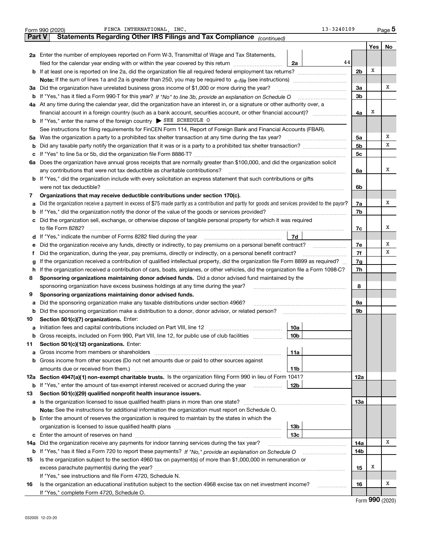|               | 13-3240109<br>FINCA INTERNATIONAL, INC.<br>Form 990 (2020)                                                                                      |                |     | Page 5 |  |  |  |  |  |  |  |
|---------------|-------------------------------------------------------------------------------------------------------------------------------------------------|----------------|-----|--------|--|--|--|--|--|--|--|
| <b>Part V</b> | Statements Regarding Other IRS Filings and Tax Compliance (continued)                                                                           |                |     |        |  |  |  |  |  |  |  |
|               |                                                                                                                                                 |                | Yes | No     |  |  |  |  |  |  |  |
|               | 2a Enter the number of employees reported on Form W-3, Transmittal of Wage and Tax Statements,                                                  |                |     |        |  |  |  |  |  |  |  |
|               | 44<br>filed for the calendar year ending with or within the year covered by this return<br>2a                                                   |                |     |        |  |  |  |  |  |  |  |
|               |                                                                                                                                                 | 2 <sub>b</sub> | х   |        |  |  |  |  |  |  |  |
|               | <b>Note:</b> If the sum of lines 1a and 2a is greater than 250, you may be required to $e$ -file (see instructions) <i>marrouum</i> manu-       |                |     |        |  |  |  |  |  |  |  |
|               | 3a Did the organization have unrelated business gross income of \$1,000 or more during the year?                                                | 3a             |     | х      |  |  |  |  |  |  |  |
|               | <b>b</b> If "Yes," has it filed a Form 990-T for this year? If "No" to line 3b, provide an explanation on Schedule O                            |                |     |        |  |  |  |  |  |  |  |
|               | 4a At any time during the calendar year, did the organization have an interest in, or a signature or other authority over, a                    |                |     |        |  |  |  |  |  |  |  |
|               | financial account in a foreign country (such as a bank account, securities account, or other financial account)?                                | 4a             | х   |        |  |  |  |  |  |  |  |
|               | <b>b</b> If "Yes," enter the name of the foreign country $\triangleright$ SEE SCHEDULE O                                                        |                |     |        |  |  |  |  |  |  |  |
|               | See instructions for filing requirements for FinCEN Form 114, Report of Foreign Bank and Financial Accounts (FBAR).                             |                |     |        |  |  |  |  |  |  |  |
|               | 5a Was the organization a party to a prohibited tax shelter transaction at any time during the tax year?                                        | 5a             |     | Χ      |  |  |  |  |  |  |  |
|               |                                                                                                                                                 | 5 <sub>b</sub> |     | х      |  |  |  |  |  |  |  |
| c             |                                                                                                                                                 | 5 <sub>c</sub> |     |        |  |  |  |  |  |  |  |
| 6а            | Does the organization have annual gross receipts that are normally greater than \$100,000, and did the organization solicit                     |                |     |        |  |  |  |  |  |  |  |
|               | any contributions that were not tax deductible as charitable contributions?                                                                     | 6a             |     | x      |  |  |  |  |  |  |  |
|               | <b>b</b> If "Yes," did the organization include with every solicitation an express statement that such contributions or gifts                   |                |     |        |  |  |  |  |  |  |  |
|               | were not tax deductible?                                                                                                                        | 6b             |     |        |  |  |  |  |  |  |  |
| 7             | Organizations that may receive deductible contributions under section 170(c).                                                                   |                |     |        |  |  |  |  |  |  |  |
| а             | Did the organization receive a payment in excess of \$75 made partly as a contribution and partly for goods and services provided to the payor? | 7a             |     | х      |  |  |  |  |  |  |  |
| b             | If "Yes," did the organization notify the donor of the value of the goods or services provided?                                                 | 7b             |     |        |  |  |  |  |  |  |  |
| c             | Did the organization sell, exchange, or otherwise dispose of tangible personal property for which it was required                               |                |     |        |  |  |  |  |  |  |  |
|               | to file Form 8282?                                                                                                                              |                |     |        |  |  |  |  |  |  |  |
|               | 7d                                                                                                                                              |                |     |        |  |  |  |  |  |  |  |
| е             | Did the organization receive any funds, directly or indirectly, to pay premiums on a personal benefit contract?                                 |                |     |        |  |  |  |  |  |  |  |
| f             | Did the organization, during the year, pay premiums, directly or indirectly, on a personal benefit contract?                                    |                |     |        |  |  |  |  |  |  |  |
| g             | If the organization received a contribution of qualified intellectual property, did the organization file Form 8899 as required?                |                |     |        |  |  |  |  |  |  |  |
| h             | If the organization received a contribution of cars, boats, airplanes, or other vehicles, did the organization file a Form 1098-C?              |                |     |        |  |  |  |  |  |  |  |
| 8             | Sponsoring organizations maintaining donor advised funds. Did a donor advised fund maintained by the                                            |                |     |        |  |  |  |  |  |  |  |
|               | sponsoring organization have excess business holdings at any time during the year?                                                              | 8              |     |        |  |  |  |  |  |  |  |
| 9             | Sponsoring organizations maintaining donor advised funds.                                                                                       |                |     |        |  |  |  |  |  |  |  |
| а             | Did the sponsoring organization make any taxable distributions under section 4966?                                                              | 9а             |     |        |  |  |  |  |  |  |  |
| b             | Did the sponsoring organization make a distribution to a donor, donor advisor, or related person?                                               | 9b             |     |        |  |  |  |  |  |  |  |
| 10            | Section 501(c)(7) organizations. Enter:                                                                                                         |                |     |        |  |  |  |  |  |  |  |
| a             | 10a                                                                                                                                             |                |     |        |  |  |  |  |  |  |  |
|               | <b>b</b> Gross receipts, included on Form 990, Part VIII, line 12, for public use of club facilities <i>managerecipts</i> ,<br>10b              |                |     |        |  |  |  |  |  |  |  |
| 11            | Section 501(c)(12) organizations. Enter:                                                                                                        |                |     |        |  |  |  |  |  |  |  |
| а             | 11a                                                                                                                                             |                |     |        |  |  |  |  |  |  |  |
| b             | Gross income from other sources (Do not net amounts due or paid to other sources against                                                        |                |     |        |  |  |  |  |  |  |  |
|               | amounts due or received from them.)<br>11b                                                                                                      |                |     |        |  |  |  |  |  |  |  |
|               | 12a Section 4947(a)(1) non-exempt charitable trusts. Is the organization filing Form 990 in lieu of Form 1041?                                  | 12a            |     |        |  |  |  |  |  |  |  |
|               | <b>b</b> If "Yes," enter the amount of tax-exempt interest received or accrued during the year<br>12 <sub>b</sub>                               |                |     |        |  |  |  |  |  |  |  |
| 13            | Section 501(c)(29) qualified nonprofit health insurance issuers.                                                                                |                |     |        |  |  |  |  |  |  |  |
|               |                                                                                                                                                 | 13а            |     |        |  |  |  |  |  |  |  |
|               | <b>Note:</b> See the instructions for additional information the organization must report on Schedule O.                                        |                |     |        |  |  |  |  |  |  |  |
|               | <b>b</b> Enter the amount of reserves the organization is required to maintain by the states in which the                                       |                |     |        |  |  |  |  |  |  |  |
|               | 13b                                                                                                                                             |                |     |        |  |  |  |  |  |  |  |
|               | 13с                                                                                                                                             |                |     |        |  |  |  |  |  |  |  |
| 14a           | Did the organization receive any payments for indoor tanning services during the tax year?                                                      | 14a            |     | х      |  |  |  |  |  |  |  |
|               |                                                                                                                                                 | 14b            |     |        |  |  |  |  |  |  |  |
| 15            | Is the organization subject to the section 4960 tax on payment(s) of more than \$1,000,000 in remuneration or                                   |                |     |        |  |  |  |  |  |  |  |
|               |                                                                                                                                                 | 15             | х   |        |  |  |  |  |  |  |  |
|               | If "Yes," see instructions and file Form 4720, Schedule N.                                                                                      |                |     | х      |  |  |  |  |  |  |  |
| 16            | Is the organization an educational institution subject to the section 4968 excise tax on net investment income?<br>.                            | 16             |     |        |  |  |  |  |  |  |  |
|               | If "Yes," complete Form 4720, Schedule O.                                                                                                       |                |     |        |  |  |  |  |  |  |  |

Form (2020) **990**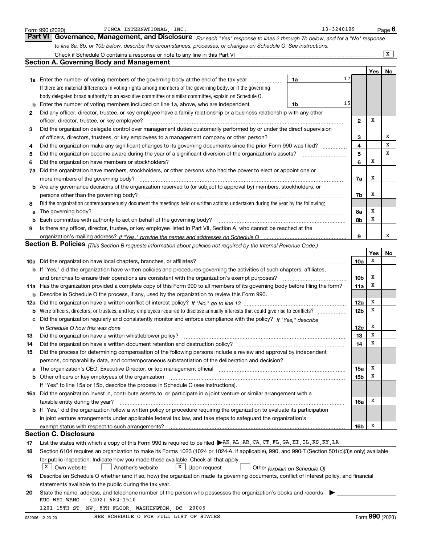|        | 13-3240109<br>FINCA INTERNATIONAL, INC.<br>Form 990 (2020)                                                                                                                                                                                                                                                                                                                                                                                                      |                 |     | Page $6$                    |
|--------|-----------------------------------------------------------------------------------------------------------------------------------------------------------------------------------------------------------------------------------------------------------------------------------------------------------------------------------------------------------------------------------------------------------------------------------------------------------------|-----------------|-----|-----------------------------|
|        | Governance, Management, and Disclosure For each "Yes" response to lines 2 through 7b below, and for a "No" response<br><b>Part VI</b>                                                                                                                                                                                                                                                                                                                           |                 |     |                             |
|        | to line 8a, 8b, or 10b below, describe the circumstances, processes, or changes on Schedule O. See instructions.                                                                                                                                                                                                                                                                                                                                                |                 |     |                             |
|        | Check if Schedule O contains a response or note to any line in this Part VI                                                                                                                                                                                                                                                                                                                                                                                     |                 |     | X                           |
|        | <b>Section A. Governing Body and Management</b>                                                                                                                                                                                                                                                                                                                                                                                                                 |                 |     |                             |
|        |                                                                                                                                                                                                                                                                                                                                                                                                                                                                 |                 | Yes | No                          |
|        | 17<br><b>1a</b> Enter the number of voting members of the governing body at the end of the tax year<br>1a                                                                                                                                                                                                                                                                                                                                                       |                 |     |                             |
|        | If there are material differences in voting rights among members of the governing body, or if the governing<br>body delegated broad authority to an executive committee or similar committee, explain on Schedule O.                                                                                                                                                                                                                                            |                 |     |                             |
| b      | 15<br>Enter the number of voting members included on line 1a, above, who are independent<br>1b                                                                                                                                                                                                                                                                                                                                                                  |                 |     |                             |
| 2      | Did any officer, director, trustee, or key employee have a family relationship or a business relationship with any other                                                                                                                                                                                                                                                                                                                                        |                 |     |                             |
|        | officer, director, trustee, or key employee?                                                                                                                                                                                                                                                                                                                                                                                                                    | 2               | х   |                             |
| 3      | Did the organization delegate control over management duties customarily performed by or under the direct supervision                                                                                                                                                                                                                                                                                                                                           |                 |     |                             |
|        | of officers, directors, trustees, or key employees to a management company or other person?                                                                                                                                                                                                                                                                                                                                                                     | 3               |     | х                           |
| 4      | Did the organization make any significant changes to its governing documents since the prior Form 990 was filed?                                                                                                                                                                                                                                                                                                                                                | 4               |     | х                           |
| 5      | Did the organization become aware during the year of a significant diversion of the organization's assets?                                                                                                                                                                                                                                                                                                                                                      | 5               |     | x                           |
| 6      | Did the organization have members or stockholders?                                                                                                                                                                                                                                                                                                                                                                                                              | 6               | х   |                             |
| 7a     | Did the organization have members, stockholders, or other persons who had the power to elect or appoint one or                                                                                                                                                                                                                                                                                                                                                  |                 | х   |                             |
|        | more members of the governing body?<br><b>b</b> Are any governance decisions of the organization reserved to (or subject to approval by) members, stockholders, or                                                                                                                                                                                                                                                                                              | 7a              |     |                             |
|        | persons other than the governing body?                                                                                                                                                                                                                                                                                                                                                                                                                          | 7b              | х   |                             |
| 8      | Did the organization contemporaneously document the meetings held or written actions undertaken during the year by the following:                                                                                                                                                                                                                                                                                                                               |                 |     |                             |
| a      | The governing body?                                                                                                                                                                                                                                                                                                                                                                                                                                             | 8a              | х   |                             |
| b      | Each committee with authority to act on behalf of the governing body?                                                                                                                                                                                                                                                                                                                                                                                           | 8b              | х   |                             |
| 9      | Is there any officer, director, trustee, or key employee listed in Part VII, Section A, who cannot be reached at the                                                                                                                                                                                                                                                                                                                                            |                 |     |                             |
|        |                                                                                                                                                                                                                                                                                                                                                                                                                                                                 | 9               |     | х                           |
|        | Section B. Policies <sub>(This Section B requests information about policies not required by the Internal Revenue Code.)</sub>                                                                                                                                                                                                                                                                                                                                  |                 |     |                             |
|        |                                                                                                                                                                                                                                                                                                                                                                                                                                                                 |                 | Yes | No                          |
|        |                                                                                                                                                                                                                                                                                                                                                                                                                                                                 | 10a             | х   |                             |
|        | <b>b</b> If "Yes," did the organization have written policies and procedures governing the activities of such chapters, affiliates,                                                                                                                                                                                                                                                                                                                             | 10b             | х   |                             |
|        | and branches to ensure their operations are consistent with the organization's exempt purposes?<br>11a Has the organization provided a complete copy of this Form 990 to all members of its governing body before filing the form?                                                                                                                                                                                                                              | 11a             | X   |                             |
| b      | Describe in Schedule O the process, if any, used by the organization to review this Form 990.                                                                                                                                                                                                                                                                                                                                                                   |                 |     |                             |
| 12a    |                                                                                                                                                                                                                                                                                                                                                                                                                                                                 | 12a             | х   |                             |
| b      | Were officers, directors, or trustees, and key employees required to disclose annually interests that could give rise to conflicts?                                                                                                                                                                                                                                                                                                                             | 12 <sub>b</sub> | X   |                             |
| c      | Did the organization regularly and consistently monitor and enforce compliance with the policy? If "Yes," describe                                                                                                                                                                                                                                                                                                                                              |                 |     |                             |
|        | in Schedule O how this was done                                                                                                                                                                                                                                                                                                                                                                                                                                 | 12c             | х   |                             |
| 13     | Did the organization have a written whistleblower policy?                                                                                                                                                                                                                                                                                                                                                                                                       | 13              | х   |                             |
| 14     | Did the organization have a written document retention and destruction policy?                                                                                                                                                                                                                                                                                                                                                                                  | 14              | X   |                             |
| 15     | Did the process for determining compensation of the following persons include a review and approval by independent                                                                                                                                                                                                                                                                                                                                              |                 |     |                             |
|        | persons, comparability data, and contemporaneous substantiation of the deliberation and decision?                                                                                                                                                                                                                                                                                                                                                               |                 | X   |                             |
| а<br>b | The organization's CEO, Executive Director, or top management official manufactured contains and contained a support of the Director, or top management official manufactured and contain a support of the state of the state<br>Other officers or key employees of the organization manufactured content to the original content of the organization manufactured content of the organization manufactured content of the organization manufactured content of | 15a<br>15b      | X   |                             |
|        | If "Yes" to line 15a or 15b, describe the process in Schedule O (see instructions).                                                                                                                                                                                                                                                                                                                                                                             |                 |     |                             |
|        | <b>16a</b> Did the organization invest in, contribute assets to, or participate in a joint venture or similar arrangement with a                                                                                                                                                                                                                                                                                                                                |                 |     |                             |
|        | taxable entity during the year?                                                                                                                                                                                                                                                                                                                                                                                                                                 | 16a             | X   |                             |
|        | <b>b</b> If "Yes," did the organization follow a written policy or procedure requiring the organization to evaluate its participation                                                                                                                                                                                                                                                                                                                           |                 |     |                             |
|        | in joint venture arrangements under applicable federal tax law, and take steps to safeguard the organization's                                                                                                                                                                                                                                                                                                                                                  |                 |     |                             |
|        |                                                                                                                                                                                                                                                                                                                                                                                                                                                                 | 16b             | x   |                             |
|        | <b>Section C. Disclosure</b>                                                                                                                                                                                                                                                                                                                                                                                                                                    |                 |     |                             |
| 17     | List the states with which a copy of this Form 990 is required to be filed AR, AL, AR, CA, CT, FL, GA, HI, IL, KS, KY, LA                                                                                                                                                                                                                                                                                                                                       |                 |     |                             |
| 18     | Section 6104 requires an organization to make its Forms 1023 (1024 or 1024-A, if applicable), 990, and 990-T (Section 501(c)(3)s only) available                                                                                                                                                                                                                                                                                                                |                 |     |                             |
|        | for public inspection. Indicate how you made these available. Check all that apply.<br>$X$ Own website<br>$X$ Upon request<br>Another's website<br>Other (explain on Schedule O)                                                                                                                                                                                                                                                                                |                 |     |                             |
| 19     | Describe on Schedule O whether (and if so, how) the organization made its governing documents, conflict of interest policy, and financial                                                                                                                                                                                                                                                                                                                       |                 |     |                             |
|        | statements available to the public during the tax year.                                                                                                                                                                                                                                                                                                                                                                                                         |                 |     |                             |
| 20     | State the name, address, and telephone number of the person who possesses the organization's books and records                                                                                                                                                                                                                                                                                                                                                  |                 |     |                             |
|        | KUO-WEI WANG - (202) 682-1510                                                                                                                                                                                                                                                                                                                                                                                                                                   |                 |     |                             |
|        | 1201 15TH ST, NW, 8TH FLOOR, WASHINGTON, DC<br>20005                                                                                                                                                                                                                                                                                                                                                                                                            |                 |     |                             |
|        | SEE SCHEDIILE O FOR FIILL LIST OF STATES                                                                                                                                                                                                                                                                                                                                                                                                                        |                 |     | $F_{\text{arm}}$ 990 (2020) |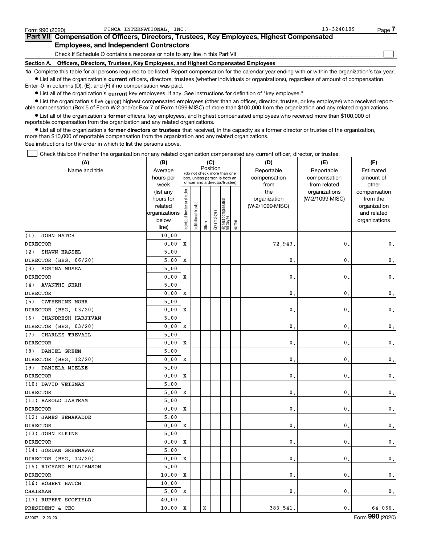| Form 990 (2020) | FINCA INTERNATIONAL INC.                                                                                                                                   | $13 - 3240109$ | Page |
|-----------------|------------------------------------------------------------------------------------------------------------------------------------------------------------|----------------|------|
|                 | Part VII Compensation of Officers, Directors, Trustees, Key Employees, Highest Compensated                                                                 |                |      |
|                 | <b>Employees, and Independent Contractors</b>                                                                                                              |                |      |
|                 | Check if Schedule O contains a response or note to any line in this Part VII                                                                               |                |      |
|                 | Section A. Officers, Directors, Trustees, Key Employees, and Highest Compensated Employees                                                                 |                |      |
|                 | 1a Complete this table for all persons required to be listed. Report compensation for the calendar year ending with or within the organization's tax year. |                |      |

 $\bullet$  List all of the organization's current officers, directors, trustees (whether individuals or organizations), regardless of amount of compensation. Enter -0- in columns (D), (E), and (F) if no compensation was paid.

**•** List all of the organization's current key employees, if any. See instructions for definition of "key employee."

**•** List the organization's five current highest compensated employees (other than an officer, director, trustee, or key employee) who received reportable compensation (Box 5 of Form W-2 and/or Box 7 of Form 1099-MISC) of more than \$100,000 from the organization and any related organizations.

 $\bullet$  List all of the organization's former officers, key employees, and highest compensated employees who received more than \$100,000 of reportable compensation from the organization and any related organizations.

**•** List all of the organization's former directors or trustees that received, in the capacity as a former director or trustee of the organization, more than \$10,000 of reportable compensation from the organization and any related organizations.

See instructions for the order in which to list the persons above.

Check this box if neither the organization nor any related organization compensated any current officer, director, or trustee.  $\Box$ 

| (A)                        | (B)            |                                                                  |                       |         | (C)          |                                   |        | (D)             | (E)             | (F)           |
|----------------------------|----------------|------------------------------------------------------------------|-----------------------|---------|--------------|-----------------------------------|--------|-----------------|-----------------|---------------|
| Name and title             | Average        | Position<br>(do not check more than one                          |                       |         |              |                                   |        | Reportable      | Reportable      | Estimated     |
|                            | hours per      | box, unless person is both an<br>officer and a director/trustee) |                       |         |              |                                   |        | compensation    | compensation    | amount of     |
|                            | week           |                                                                  |                       |         |              |                                   |        | from            | from related    | other         |
|                            | (list any      |                                                                  |                       |         |              |                                   |        | the             | organizations   | compensation  |
|                            | hours for      |                                                                  |                       |         |              |                                   |        | organization    | (W-2/1099-MISC) | from the      |
|                            | related        |                                                                  |                       |         |              |                                   |        | (W-2/1099-MISC) |                 | organization  |
|                            | organizations  |                                                                  |                       |         |              |                                   |        |                 |                 | and related   |
|                            | below<br>line) | ndividual trustee or director                                    | Institutional trustee | Officer | Key employee | Highest compensated<br>  employee | Former |                 |                 | organizations |
| JOHN HATCH<br>(1)          | 10.00          |                                                                  |                       |         |              |                                   |        |                 |                 |               |
| <b>DIRECTOR</b>            | 0.00           | X                                                                |                       |         |              |                                   |        | 72,943          | 0               | $\mathbf 0$ . |
| SHAWN HASSEL<br>(2)        | 5.00           |                                                                  |                       |         |              |                                   |        |                 |                 |               |
| DIRECTOR (BEG. 06/20)      | 5,00           | X                                                                |                       |         |              |                                   |        | $\mathbf{0}$    | 0               | $\mathbf 0$ . |
| AGRINA MUSSA<br>(3)        | 5,00           |                                                                  |                       |         |              |                                   |        |                 |                 |               |
| <b>DIRECTOR</b>            | 0.00           | X                                                                |                       |         |              |                                   |        | $\mathbf{0}$    | 0               | 0.            |
| <b>AVANTHI SHAH</b><br>(4) | 5.00           |                                                                  |                       |         |              |                                   |        |                 |                 |               |
| <b>DIRECTOR</b>            | 0.00           | X                                                                |                       |         |              |                                   |        | 0               | 0               | $\mathbf 0$ . |
| CATHERINE MOHR<br>(5)      | 5,00           |                                                                  |                       |         |              |                                   |        |                 |                 |               |
| DIRECTOR (BEG. 03/20)      | 0.00           | X                                                                |                       |         |              |                                   |        | $\mathbf{0}$ .  | 0               | 0.            |
| CHANDRESH HARJIVAN<br>(6)  | 5.00           |                                                                  |                       |         |              |                                   |        |                 |                 |               |
| DIRECTOR (BEG. 03/20)      | 0.00           | X                                                                |                       |         |              |                                   |        | $\mathbf{0}$    | $\mathbf{0}$    | $\mathbf 0$ . |
| CHARLES TREVAIL<br>(7)     | 5,00           |                                                                  |                       |         |              |                                   |        |                 |                 |               |
| <b>DIRECTOR</b>            | 0.00           | X                                                                |                       |         |              |                                   |        | $\mathbf{0}$ .  | 0               | 0.            |
| DANIEL GREEN<br>(8)        | 5.00           |                                                                  |                       |         |              |                                   |        |                 |                 |               |
| DIRECTOR (BEG. 12/20)      | 0.00           | X                                                                |                       |         |              |                                   |        | $\mathbf{0}$ .  | 0               | 0.            |
| (9)<br>DANIELA MIELKE      | 5,00           |                                                                  |                       |         |              |                                   |        |                 |                 |               |
| <b>DIRECTOR</b>            | 0.00           | $\mathbf x$                                                      |                       |         |              |                                   |        | $\mathbf{0}$ .  | $\mathbf{0}$    | $\mathbf 0$ . |
| (10) DAVID WEISMAN         | 5.00           |                                                                  |                       |         |              |                                   |        |                 |                 |               |
| <b>DIRECTOR</b>            | 5,00           | $\mathbf x$                                                      |                       |         |              |                                   |        | $\mathbf{0}$ .  | $\mathbf{0}$ .  | 0.            |
| (11) HAROLD JASTRAM        | 5,00           |                                                                  |                       |         |              |                                   |        |                 |                 |               |
| <b>DIRECTOR</b>            | 0.00           | $\mathbf x$                                                      |                       |         |              |                                   |        | $\mathbf{0}$ .  | 0               | $\mathbf 0$ . |
| (12) JAMES SEMAKADDE       | 5,00           |                                                                  |                       |         |              |                                   |        |                 |                 |               |
| <b>DIRECTOR</b>            | 0.00           | $\mathbf x$                                                      |                       |         |              |                                   |        | $\mathbf{0}$ .  | 0               | $\mathbf 0$ . |
| (13) JOHN ELKINS           | 5,00           |                                                                  |                       |         |              |                                   |        |                 |                 |               |
| <b>DIRECTOR</b>            | 0.00           | $\mathbf x$                                                      |                       |         |              |                                   |        | $\mathbf{0}$ .  | 0               | $\mathbf 0$ . |
| (14) JORDAN GREENAWAY      | 5.00           |                                                                  |                       |         |              |                                   |        |                 |                 |               |
| DIRECTOR (BEG. 12/20)      | 0.00           | X                                                                |                       |         |              |                                   |        | $\mathbf{0}$ .  | $\mathbf{0}$ .  | $\mathbf 0$ . |
| (15) RICHARD WILLIAMSON    | 5.00           |                                                                  |                       |         |              |                                   |        |                 |                 |               |
| <b>DIRECTOR</b>            | 10.00          | $\mathbf x$                                                      |                       |         |              |                                   |        | $\mathbf{0}$ .  | $\mathbf{0}$    | $\mathbf 0$ . |
| (16) ROBERT HATCH          | 10.00          |                                                                  |                       |         |              |                                   |        |                 |                 |               |
| <b>CHAIRMAN</b>            | 5.00           | X                                                                |                       |         |              |                                   |        | $\mathbf{0}$ .  | $\mathbf{0}$ .  | 0.            |
| (17) RUPERT SCOFIELD       | 40.00          |                                                                  |                       |         |              |                                   |        |                 |                 |               |
| PRESIDENT & CEO            | 10.00          | $\mathbf x$                                                      |                       | X       |              |                                   |        | 383,541         | $\mathbf{0}$ .  | 64,056.       |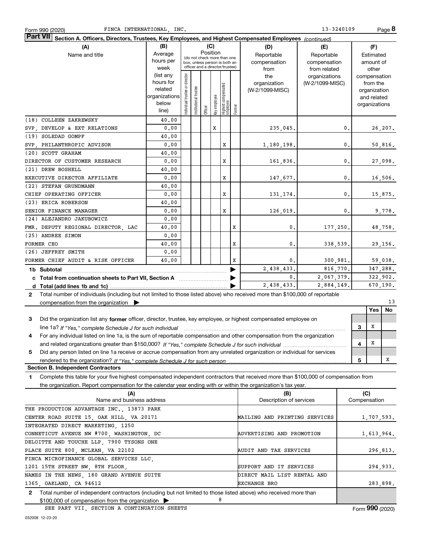| <b>Part VII</b> Section A. Officers, Directors, Trustees, Key Employees, and Highest Compensated Employees (continued)                               |                        |                                                                  |                       |         |              |                                   |             |                 |                 |   |                             |          |
|------------------------------------------------------------------------------------------------------------------------------------------------------|------------------------|------------------------------------------------------------------|-----------------------|---------|--------------|-----------------------------------|-------------|-----------------|-----------------|---|-----------------------------|----------|
| (A)                                                                                                                                                  | (B)                    |                                                                  |                       |         | (C)          |                                   |             | (D)             | (E)             |   | (F)                         |          |
| Name and title                                                                                                                                       | Average                | Position<br>(do not check more than one                          |                       |         |              |                                   |             | Reportable      | Reportable      |   | Estimated                   |          |
|                                                                                                                                                      | hours per              | box, unless person is both an<br>officer and a director/trustee) |                       |         |              |                                   |             | compensation    | compensation    |   | amount of                   |          |
|                                                                                                                                                      | week                   |                                                                  |                       |         |              |                                   |             | from            | from related    |   | other                       |          |
|                                                                                                                                                      | (list any<br>hours for |                                                                  |                       |         |              |                                   |             | the             | organizations   |   | compensation                |          |
|                                                                                                                                                      | related                |                                                                  |                       |         |              |                                   |             | organization    | (W-2/1099-MISC) |   | from the                    |          |
|                                                                                                                                                      | organizations          |                                                                  |                       |         |              |                                   |             | (W-2/1099-MISC) |                 |   | organization<br>and related |          |
|                                                                                                                                                      | below                  |                                                                  |                       |         |              |                                   |             |                 |                 |   | organizations               |          |
|                                                                                                                                                      | line)                  | Individual trustee or director                                   | Institutional trustee | Officer | key employee | Highest compensated<br>  employee | Former      |                 |                 |   |                             |          |
| (18) COLLEEN ZAKREWSKY                                                                                                                               | 40.00                  |                                                                  |                       |         |              |                                   |             |                 |                 |   |                             |          |
| SVP, DEVELOP & EXT RELATIONS                                                                                                                         | 0.00                   |                                                                  |                       |         | X            |                                   |             | 235,045.        | 0.              |   |                             | 26, 207. |
| (19) SOLEDAD GOMPF                                                                                                                                   | 40.00                  |                                                                  |                       |         |              |                                   |             |                 |                 |   |                             |          |
| SVP PHILANTHROPIC ADVISOR                                                                                                                            | 0.00                   |                                                                  |                       |         |              | x                                 |             | 1,180,198.      | 0.              |   |                             | 50,816.  |
| (20) SCOTT GRAHAM                                                                                                                                    | 40.00                  |                                                                  |                       |         |              |                                   |             |                 |                 |   |                             |          |
| DIRECTOR OF CUSTOMER RESEARCH                                                                                                                        | 0.00                   |                                                                  |                       |         |              | X                                 |             | 161,836.        | 0.              |   |                             | 27,098.  |
| (21) DREW BOSHELL                                                                                                                                    | 40.00                  |                                                                  |                       |         |              |                                   |             |                 |                 |   |                             |          |
| EXECUTIVE DIRECTOR AFFILIATE                                                                                                                         | 0.00                   |                                                                  |                       |         |              | $\mathbf x$                       |             | 147,677.        | 0.              |   |                             | 16,506.  |
| (22) STEFAN GRUNDMANN                                                                                                                                | 40.00                  |                                                                  |                       |         |              |                                   |             |                 |                 |   |                             |          |
| CHIEF OPERATING OFFICER                                                                                                                              | 0.00                   |                                                                  |                       |         |              | X                                 |             | 131, 174.       | 0.              |   |                             | 15,875.  |
| (23) ERICA ROBERSON                                                                                                                                  | 40.00                  |                                                                  |                       |         |              |                                   |             |                 |                 |   |                             |          |
| SENIOR FINANCE MANAGER                                                                                                                               | 0.00                   |                                                                  |                       |         |              | X                                 |             | 126,019.        | 0.              |   |                             | 9,778.   |
| (24) ALEJANDRO JAKUBOWICZ                                                                                                                            | 0.00                   |                                                                  |                       |         |              |                                   |             |                 |                 |   |                             |          |
| FMR. DEPUTY REGIONAL DIRECTOR, LAC                                                                                                                   | 40.00                  |                                                                  |                       |         |              |                                   | X           | 0.              | 177,250.        |   |                             | 48,758.  |
| (25) ANDREE SIMON                                                                                                                                    | 0.00                   |                                                                  |                       |         |              |                                   |             |                 |                 |   |                             |          |
| FORMER CEO                                                                                                                                           | 40.00                  |                                                                  |                       |         |              |                                   | X           | 0.              | 338,539.        |   |                             | 29,156.  |
| (26) JEFFREY SMITH                                                                                                                                   | 0.00                   |                                                                  |                       |         |              |                                   |             |                 |                 |   |                             |          |
| FORMER CHIEF AUDIT & RISK OFFICER                                                                                                                    | 40.00                  |                                                                  |                       |         |              |                                   | $\mathbf x$ | 0.              | 300,981.        |   |                             | 59,038.  |
| 1b Subtotal                                                                                                                                          |                        |                                                                  |                       |         |              |                                   |             | 2,438,433.      | 816,770.        |   |                             | 347,288. |
| c Total from continuation sheets to Part VII, Section A <b>Constant Contact Part</b>                                                                 |                        |                                                                  |                       |         |              |                                   |             | 0.              | 2,067,379.      |   |                             | 322,902. |
|                                                                                                                                                      |                        |                                                                  |                       |         |              |                                   |             | 2,438,433.      | 2,884,149.      |   |                             | 670,190. |
| Total number of individuals (including but not limited to those listed above) who received more than \$100,000 of reportable<br>$\mathbf{2}$         |                        |                                                                  |                       |         |              |                                   |             |                 |                 |   |                             |          |
| compensation from the organization $\blacktriangleright$                                                                                             |                        |                                                                  |                       |         |              |                                   |             |                 |                 |   |                             | 13       |
|                                                                                                                                                      |                        |                                                                  |                       |         |              |                                   |             |                 |                 |   | Yes                         | No       |
| Did the organization list any former officer, director, trustee, key employee, or highest compensated employee on<br>3                               |                        |                                                                  |                       |         |              |                                   |             |                 |                 |   |                             |          |
| line 1a? If "Yes," complete Schedule J for such individual manufactured contained and the line 1a? If "Yes," complete Schedule J for such individual |                        |                                                                  |                       |         |              |                                   |             |                 |                 | 3 | X                           |          |
| For any individual listed on line 1a, is the sum of reportable compensation and other compensation from the organization<br>4                        |                        |                                                                  |                       |         |              |                                   |             |                 |                 |   |                             |          |
|                                                                                                                                                      |                        |                                                                  |                       |         |              |                                   |             |                 | 4               | X |                             |          |
| Did any person listed on line 1a receive or accrue compensation from any unrelated organization or individual for services<br>5                      |                        |                                                                  |                       |         |              |                                   |             |                 |                 |   |                             |          |
| rendered to the organization? If "Yes." complete Schedule J for such person                                                                          |                        |                                                                  |                       |         |              |                                   |             | 5               |                 | x |                             |          |
| <b>Section B. Independent Contractors</b>                                                                                                            |                        |                                                                  |                       |         |              |                                   |             |                 |                 |   |                             |          |
| Complete this table for your five highest compensated independent contractors that received more than \$100,000 of compensation from<br>1.           |                        |                                                                  |                       |         |              |                                   |             |                 |                 |   |                             |          |

the organization. Report compensation for the calendar year ending with or within the organization's tax year.

| (A)<br>Name and business address                                                                                                 | (B)<br>Description of services | (C)<br>Compensation |
|----------------------------------------------------------------------------------------------------------------------------------|--------------------------------|---------------------|
| THE PRODUCTION ADVANTAGE INC. 13873 PARK                                                                                         |                                |                     |
| CENTER ROAD SUITE 15, OAK HILL, VA 20171                                                                                         | MAILING AND PRINTING SERVICES  | 1,707,593.          |
| INTEGRATED DIRECT MARKETING 1250                                                                                                 |                                |                     |
| CONNETICUT AVENUE NW #700, WASHINGTON, DC                                                                                        | ADVERTISING AND PROMOTION      | 1,613,964.          |
| DELOITTE AND TOUCHE LLP, 7900 TYSONS ONE                                                                                         |                                |                     |
| PLACE SUITE 800, MCLEAN, VA 22102                                                                                                | AUDIT AND TAX SERVICES         | 296,813.            |
| FINCA MICROFINANCE GLOBAL SERVICES LLC,                                                                                          |                                |                     |
| 1201 15TH STREET NW, 8TH FLOOR,                                                                                                  | SUPPORT AND IT SERVICES        | 294,933.            |
| NAMES IN THE NEWS, 180 GRAND AVENUE SUITE                                                                                        | DIRECT MAIL LIST RENTAL AND    |                     |
| 1365, OAKLAND, CA 94612                                                                                                          | <b>EXCHANGE BRO</b>            | 283,898.            |
| Total number of independent contractors (including but not limited to those listed above) who received more than<br>$\mathbf{2}$ |                                |                     |
| 8<br>$$100,000$ of compensation from the organization $\triangleright$                                                           |                                |                     |

SEE PART VII, SECTION A CONTINUATION SHEETS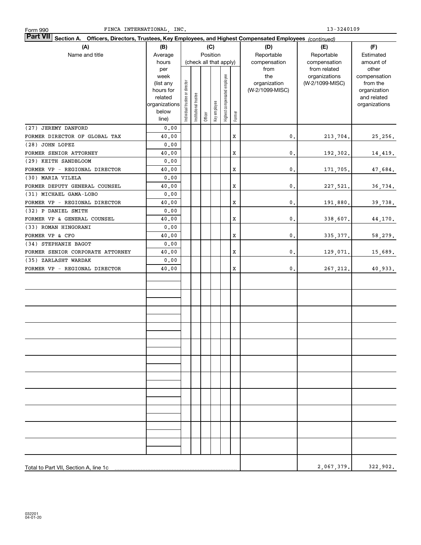| Part VII Section A. Officers, Directors, Trustees, Key Employees, and Highest Compensated Employees (continued) |                   |                                |                        |         |              |                              |        |                     |                                  |                          |
|-----------------------------------------------------------------------------------------------------------------|-------------------|--------------------------------|------------------------|---------|--------------|------------------------------|--------|---------------------|----------------------------------|--------------------------|
| (A)                                                                                                             | (B)               |                                |                        |         | (C)          |                              |        | (D)                 | (E)                              | (F)                      |
| Name and title                                                                                                  | Average           |                                |                        |         | Position     |                              |        | Reportable          | Reportable                       | Estimated                |
|                                                                                                                 | hours             |                                | (check all that apply) |         |              |                              |        | compensation        | compensation                     | amount of                |
|                                                                                                                 | per               |                                |                        |         |              |                              |        | from                | from related                     | other                    |
|                                                                                                                 | week<br>(list any |                                |                        |         |              |                              |        | the<br>organization | organizations<br>(W-2/1099-MISC) | compensation<br>from the |
|                                                                                                                 | hours for         |                                |                        |         |              |                              |        | (W-2/1099-MISC)     |                                  | organization             |
|                                                                                                                 | related           |                                |                        |         |              |                              |        |                     |                                  | and related              |
|                                                                                                                 | organizations     |                                |                        |         |              |                              |        |                     |                                  | organizations            |
|                                                                                                                 | below             | Individual trustee or director | Institutional trustee  | Officer | Key employee | Highest compensated employee | Former |                     |                                  |                          |
|                                                                                                                 | line)             |                                |                        |         |              |                              |        |                     |                                  |                          |
| (27) JEREMY DANFORD                                                                                             | 0.00              |                                |                        |         |              |                              |        |                     |                                  |                          |
| FORMER DIRECTOR OF GLOBAL TAX                                                                                   | 40.00             |                                |                        |         |              |                              | X      | 0.                  | 213,704.                         | 25,256.                  |
| (28) JOHN LOPEZ                                                                                                 | 0.00              |                                |                        |         |              |                              |        |                     |                                  |                          |
| FORMER SENIOR ATTORNEY                                                                                          | 40.00             |                                |                        |         |              |                              | X      | $\mathfrak o$ .     | 192,302.                         | 14,419.                  |
| (29) KEITH SANDBLOOM                                                                                            | 0.00              |                                |                        |         |              |                              |        |                     |                                  |                          |
| FORMER VP - REGIONAL DIRECTOR                                                                                   | 40.00             |                                |                        |         |              |                              | X      | $\mathbf{0}$ .      | 171,705.                         | 47,684.                  |
| (30) MARIA VILELA                                                                                               | 0.00              |                                |                        |         |              |                              |        |                     |                                  |                          |
| FORMER DEPUTY GENERAL COUNSEL                                                                                   | 40.00             |                                |                        |         |              |                              | x      | $\mathbf{0}$ .      | 227,521.                         | 36,734.                  |
| (31) MICHAEL GAMA-LOBO                                                                                          | 0.00              |                                |                        |         |              |                              |        |                     |                                  |                          |
| FORMER VP - REGIONAL DIRECTOR                                                                                   | 40.00             |                                |                        |         |              |                              | x      | $\mathbf{0}$ .      | 191,880.                         | 39,738.                  |
| (32) P DANIEL SMITH                                                                                             | 0.00              |                                |                        |         |              |                              |        |                     |                                  |                          |
| FORMER VP & GENERAL COUNSEL                                                                                     | 40.00             |                                |                        |         |              |                              | x      | $\mathbf{0}$ .      | 338,607.                         | 44,170.                  |
| (33) ROMAN HINGORANI                                                                                            | 0.00              |                                |                        |         |              |                              |        |                     |                                  |                          |
| FORMER VP & CFO                                                                                                 | 40.00             |                                |                        |         |              |                              | x      | 0.                  | 335, 377.                        | 58,279.                  |
| (34) STEPHANIE BAGOT                                                                                            | 0.00              |                                |                        |         |              |                              | X      | 0.                  |                                  |                          |
| FORMER SENIOR CORPORATE ATTORNEY<br>(35) ZARLASHT WARDAK                                                        | 40.00             |                                |                        |         |              |                              |        |                     | 129,071.                         | 15,689.                  |
| FORMER VP - REGIONAL DIRECTOR                                                                                   | 0.00<br>40.00     |                                |                        |         |              |                              | X      | $\mathsf{0}\,.$     |                                  |                          |
|                                                                                                                 |                   |                                |                        |         |              |                              |        |                     | 267, 212.                        | 40,933.                  |
|                                                                                                                 |                   |                                |                        |         |              |                              |        |                     |                                  |                          |
|                                                                                                                 |                   |                                |                        |         |              |                              |        |                     |                                  |                          |
|                                                                                                                 |                   |                                |                        |         |              |                              |        |                     |                                  |                          |
|                                                                                                                 |                   |                                |                        |         |              |                              |        |                     |                                  |                          |
|                                                                                                                 |                   |                                |                        |         |              |                              |        |                     |                                  |                          |
|                                                                                                                 |                   |                                |                        |         |              |                              |        |                     |                                  |                          |
|                                                                                                                 |                   |                                |                        |         |              |                              |        |                     |                                  |                          |
|                                                                                                                 |                   |                                |                        |         |              |                              |        |                     |                                  |                          |
|                                                                                                                 |                   |                                |                        |         |              |                              |        |                     |                                  |                          |
|                                                                                                                 |                   |                                |                        |         |              |                              |        |                     |                                  |                          |
|                                                                                                                 |                   |                                |                        |         |              |                              |        |                     |                                  |                          |
|                                                                                                                 |                   |                                |                        |         |              |                              |        |                     |                                  |                          |
|                                                                                                                 |                   |                                |                        |         |              |                              |        |                     |                                  |                          |
|                                                                                                                 |                   |                                |                        |         |              |                              |        |                     |                                  |                          |
|                                                                                                                 |                   |                                |                        |         |              |                              |        |                     |                                  |                          |
|                                                                                                                 |                   |                                |                        |         |              |                              |        |                     |                                  |                          |
|                                                                                                                 |                   |                                |                        |         |              |                              |        |                     |                                  |                          |
|                                                                                                                 |                   |                                |                        |         |              |                              |        |                     |                                  |                          |
|                                                                                                                 |                   |                                |                        |         |              |                              |        |                     |                                  |                          |
|                                                                                                                 |                   |                                |                        |         |              |                              |        |                     |                                  |                          |
|                                                                                                                 |                   |                                |                        |         |              |                              |        |                     |                                  |                          |
|                                                                                                                 |                   |                                |                        |         |              |                              |        |                     |                                  |                          |
| Total to Part VII, Section A, line 1c                                                                           |                   |                                |                        |         |              |                              |        |                     | 2,067,379.                       | 322,902.                 |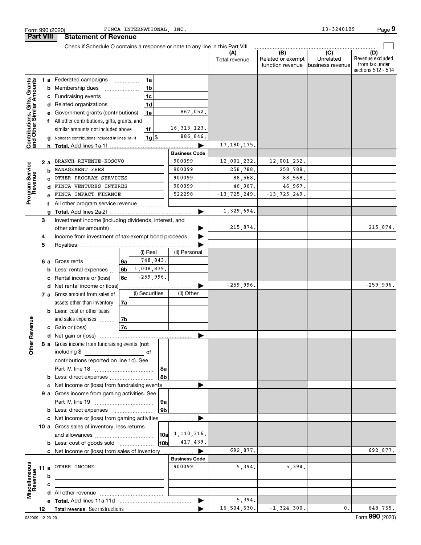|                                                           |    |     | Form 990 (2020)                                                               |      | FINCA INTERNATIONAL, INC.  |                        |                      |                                              | 13-3240109                                       | Page 9                                                          |
|-----------------------------------------------------------|----|-----|-------------------------------------------------------------------------------|------|----------------------------|------------------------|----------------------|----------------------------------------------|--------------------------------------------------|-----------------------------------------------------------------|
| <b>Part VIII</b>                                          |    |     | <b>Statement of Revenue</b>                                                   |      |                            |                        |                      |                                              |                                                  |                                                                 |
|                                                           |    |     | Check if Schedule O contains a response or note to any line in this Part VIII |      |                            |                        |                      |                                              |                                                  |                                                                 |
|                                                           |    |     |                                                                               |      |                            |                        | (A)<br>Total revenue | (B)<br>Related or exempt<br>function revenue | $\overline{C}$<br>Unrelated<br>Ibusiness revenue | (D)<br>Revenue excluded<br>from tax under<br>sections 512 - 514 |
|                                                           |    |     | 1 a Federated campaigns                                                       |      | <b>1a</b>                  |                        |                      |                                              |                                                  |                                                                 |
| Contributions, Gifts, Grants<br>and Other Similar Amounts |    |     | <b>b</b> Membership dues                                                      |      | 1 <sub>b</sub>             |                        |                      |                                              |                                                  |                                                                 |
|                                                           |    |     | c Fundraising events                                                          |      | 1 <sub>c</sub>             |                        |                      |                                              |                                                  |                                                                 |
|                                                           |    |     | d Related organizations                                                       |      | 1 <sub>d</sub><br>$\cdots$ |                        |                      |                                              |                                                  |                                                                 |
|                                                           |    |     | e Government grants (contributions)                                           |      | 1e                         | 867,052.               |                      |                                              |                                                  |                                                                 |
|                                                           |    |     | f All other contributions, gifts, grants, and                                 |      |                            |                        |                      |                                              |                                                  |                                                                 |
|                                                           |    |     | similar amounts not included above                                            |      | 1f                         | 16, 313, 123.          |                      |                                              |                                                  |                                                                 |
|                                                           |    |     | g Noncash contributions included in lines 1a-1f                               |      | $1g$ \$                    | 886,846.               |                      |                                              |                                                  |                                                                 |
|                                                           |    |     |                                                                               |      |                            |                        | 17, 180, 175.        |                                              |                                                  |                                                                 |
|                                                           |    |     |                                                                               |      |                            | <b>Business Code</b>   |                      |                                              |                                                  |                                                                 |
|                                                           |    | 2 a | BRANCH REVENUE-KOSOVO                                                         |      |                            | 900099                 | 12,001,232.          | 12,001,232.                                  |                                                  |                                                                 |
|                                                           |    |     | MANAGEMENT FEES                                                               |      |                            | 900099                 | 258,788.             | 258,788.                                     |                                                  |                                                                 |
|                                                           |    |     | OTHER PROGRAM SERVICES                                                        |      |                            | 900099                 | 88,568.              | 88,568.                                      |                                                  |                                                                 |
|                                                           |    |     | FINCA VENTURES INTERES                                                        |      |                            | 900099                 | 46,967.              | 46,967.                                      |                                                  |                                                                 |
| Program Service<br>Revenue                                |    |     | FINCA IMPACT FINANCE                                                          |      |                            | 522298                 | $-13, 725, 249.$     | $-13, 725, 249.$                             |                                                  |                                                                 |
|                                                           |    |     | f All other program service revenue                                           |      |                            |                        |                      |                                              |                                                  |                                                                 |
|                                                           |    |     |                                                                               |      |                            |                        | $-1, 329, 694.$      |                                              |                                                  |                                                                 |
|                                                           | З  |     | Investment income (including dividends, interest, and                         |      |                            |                        |                      |                                              |                                                  |                                                                 |
|                                                           |    |     |                                                                               |      |                            |                        | 215,874.             |                                              |                                                  | 215,874.                                                        |
|                                                           | 4  |     | Income from investment of tax-exempt bond proceeds                            |      |                            |                        |                      |                                              |                                                  |                                                                 |
|                                                           | 5  |     |                                                                               |      |                            |                        |                      |                                              |                                                  |                                                                 |
|                                                           |    |     |                                                                               |      | (i) Real                   | (ii) Personal          |                      |                                              |                                                  |                                                                 |
|                                                           |    |     | 6 a Gross rents                                                               | ∣6a  | 748,843.                   |                        |                      |                                              |                                                  |                                                                 |
|                                                           |    |     | <b>b</b> Less: rental expenses                                                | 6b   | 1,008,839.<br>$-259,996.$  |                        |                      |                                              |                                                  |                                                                 |
|                                                           |    |     | c Rental income or (loss)                                                     | 6c   |                            |                        | $-259,996.$          |                                              |                                                  | $-259,996.$                                                     |
|                                                           |    |     | d Net rental income or (loss)<br>7 a Gross amount from sales of               |      | (i) Securities             | (ii) Other             |                      |                                              |                                                  |                                                                 |
|                                                           |    |     | assets other than inventory                                                   | 7a   |                            |                        |                      |                                              |                                                  |                                                                 |
|                                                           |    |     | <b>b</b> Less: cost or other basis                                            |      |                            |                        |                      |                                              |                                                  |                                                                 |
|                                                           |    |     | and sales expenses                                                            | l 7b |                            |                        |                      |                                              |                                                  |                                                                 |
| evenue                                                    |    |     | c Gain or (loss)                                                              | 7c   |                            |                        |                      |                                              |                                                  |                                                                 |
|                                                           |    |     |                                                                               |      |                            |                        |                      |                                              |                                                  |                                                                 |
| Œ.                                                        |    |     | 8 a Gross income from fundraising events (not                                 |      |                            |                        |                      |                                              |                                                  |                                                                 |
| <b>Other</b>                                              |    |     | including \$                                                                  |      | of                         |                        |                      |                                              |                                                  |                                                                 |
|                                                           |    |     | contributions reported on line 1c). See                                       |      |                            |                        |                      |                                              |                                                  |                                                                 |
|                                                           |    |     |                                                                               |      | 8a                         |                        |                      |                                              |                                                  |                                                                 |
|                                                           |    |     | <b>b</b> Less: direct expenses <b>constants b</b>                             |      |                            | 8b                     |                      |                                              |                                                  |                                                                 |
|                                                           |    |     | c Net income or (loss) from fundraising events                                |      |                            |                        |                      |                                              |                                                  |                                                                 |
|                                                           |    |     | 9 a Gross income from gaming activities. See                                  |      |                            |                        |                      |                                              |                                                  |                                                                 |
|                                                           |    |     |                                                                               |      | 9a                         |                        |                      |                                              |                                                  |                                                                 |
|                                                           |    |     |                                                                               |      |                            | 9 <sub>b</sub>         |                      |                                              |                                                  |                                                                 |
|                                                           |    |     | c Net income or (loss) from gaming activities                                 |      |                            |                        |                      |                                              |                                                  |                                                                 |
|                                                           |    |     | 10 a Gross sales of inventory, less returns                                   |      |                            |                        |                      |                                              |                                                  |                                                                 |
|                                                           |    |     |                                                                               |      |                            | $10a \quad 1,110,316.$ |                      |                                              |                                                  |                                                                 |
|                                                           |    |     |                                                                               |      |                            | 417,439.<br>10Ь        |                      |                                              |                                                  |                                                                 |
|                                                           |    |     | c Net income or (loss) from sales of inventory                                |      |                            |                        | 692,877.             |                                              |                                                  | 692,877.                                                        |
|                                                           |    |     |                                                                               |      |                            | <b>Business Code</b>   |                      |                                              |                                                  |                                                                 |
| Miscellaneous                                             |    |     | 11 a OTHER INCOME                                                             |      |                            | 900099                 | 5,394.               | 5,394.                                       |                                                  |                                                                 |
| Revenu                                                    |    | b   |                                                                               |      |                            |                        |                      |                                              |                                                  |                                                                 |
|                                                           |    | с   |                                                                               |      |                            |                        |                      |                                              |                                                  |                                                                 |
|                                                           |    |     |                                                                               |      |                            |                        |                      |                                              |                                                  |                                                                 |
|                                                           |    |     |                                                                               |      |                            | ▶                      | 5,394.               |                                              |                                                  |                                                                 |
|                                                           | 12 |     |                                                                               |      |                            |                        | 16, 504, 630.        | $-1, 324, 300.$                              | $\mathbf{0}$ .                                   | 648,755.                                                        |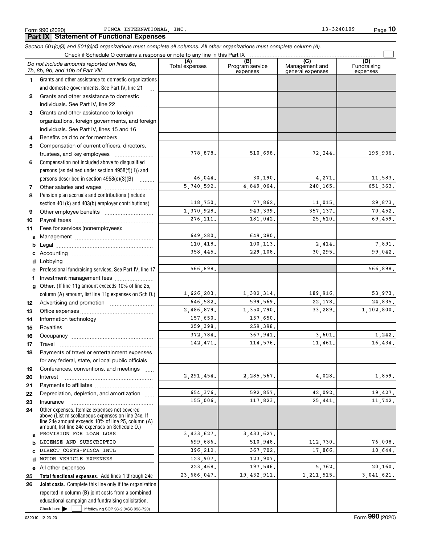Form 990 (2020) FINCA INTERNATIONAL, INC. The extended of the set of the set of the Page Page

**Part IX Statement of Functional Expenses**

**10**

#### **Total functional expenses.**  Add lines 1 through 24e **Joint costs.** Complete this line only if the organization **(A) (B) (C) (D) 1 2 3** Grants and other assistance to foreign **4 5 6 7 8 9 10 11 a b c d e f g 12 13 14 15 16 17 18 19 20 21 22 23 24 a b c d e 25 26** *Section 501(c)(3) and 501(c)(4) organizations must complete all columns. All other organizations must complete column (A).* Grants and other assistance to domestic organizations and domestic governments. See Part IV, line 21 Compensation not included above to disqualified persons (as defined under section 4958(f)(1)) and persons described in section  $4958(c)(3)(B)$  ......... Pension plan accruals and contributions (include section 401(k) and 403(b) employer contributions) Professional fundraising services. See Part IV, line 17 Other. (If line 11g amount exceeds 10% of line 25, column (A) amount, list line 11g expenses on Sch O.) Other expenses. Itemize expenses not covered above (List miscellaneous expenses on line 24e. If line 24e amount exceeds 10% of line 25, column (A) amount, list line 24e expenses on Schedule O.) reported in column (B) joint costs from a combined educational campaign and fundraising solicitation. Check if Schedule O contains a response or note to any line in this Part IX (C) (C) (C) (C) (C) (C) (A) (B)<br>Total expenses Program service expenses Management and general expenses Fundraising expenses .<br>... Grants and other assistance to domestic individuals. See Part IV, line 22 ~~~~~~~ organizations, foreign governments, and foreign individuals. See Part IV, lines 15 and 16  $\ldots$ Benefits paid to or for members .................... Compensation of current officers, directors, trustees, and key employees  $\ldots$   $\ldots$   $\ldots$   $\ldots$   $\ldots$ Other salaries and wages ~~~~~~~~~~ Other employee benefits ~~~~~~~~~~ Payroll taxes ~~~~~~~~~~~~~~~~ Fees for services (nonemployees): Management ~~~~~~~~~~~~~~~~ Legal ~~~~~~~~~~~~~~~~~~~~ Accounting ~~~~~~~~~~~~~~~~~ Lobbying ~~~~~~~~~~~~~~~~~~ Investment management fees ........................ Advertising and promotion *www.community.com* Office expenses ~~~~~~~~~~~~~~~ Information technology ~~~~~~~~~~~ Royalties ~~~~~~~~~~~~~~~~~~ Occupancy ~~~~~~~~~~~~~~~~~ Travel ………………………………………………………… Payments of travel or entertainment expenses for any federal, state, or local public officials ... Conferences, conventions, and meetings Interest Payments to affiliates ~~~~~~~~~~~~ ~~~~~~~~~~~~~~~~~~ Depreciation, depletion, and amortization ...... Insurance ~~~~~~~~~~~~~~~~~ All other expenses *Do not include amounts reported on lines 6b, 7b, 8b, 9b, and 10b of Part VIII.*  $\boxed{\phantom{1}}$ 778,878. 46,044. 5,740,592. 118,750. 1,370,928. 276,111. 649,280. 110,418. 358,445. 566,898. 1,626,203. 646,582. 2,486,879. 157,650. 259,398. 372,784. 142,471. 2,291,454. 654,376. 155,006. 3,433,627. 699,686. 396,212. 123,907. 223,468. 23,686,047. 510,698. 72,244. 195,936. 30,190. 4,271. 11,583. 4,849,064. 240,165. 651,363. 77,862. 11,015. 29,873. 943,339. 357,137. 70,452. 181,042. 25,610. 69,459. 649,280. 100,113. 2,414. 7,891. 229,108. 30,295. 99,042. 566,898. 1,382,314. 189,916. 53,973. 599,569. 22,178. 24,835. 1,350,790. 33,289. 1,102,800. 157,650. 259,398. 367,941. 3,601. 1,242. 114,576. 11,461. 16,434. 2,285,567. 4,028. 1,859. 592,857. 42,092. 19,427.<br>117,823. 25,441. 11.742. 117,823. 25,441. 11,742. 3,433,627. 510,948. 112,730. 76,008. 367,702. 17,866. 10,644. 123,907. 197,546. 5,762. 20,160. 19,432,911. 1,211,515. 3,041,621. PROVISION FOR LOAN LOSS LICENSE AND SUBSCRIPTIO DIRECT COSTS-FINCA INTL MOTOR VEHICLE EXPENSES

 $\blacktriangleright$   $\sqcup$ 

 $\frac{1}{2}$  if following SOP 98-2 (ASC 958-720)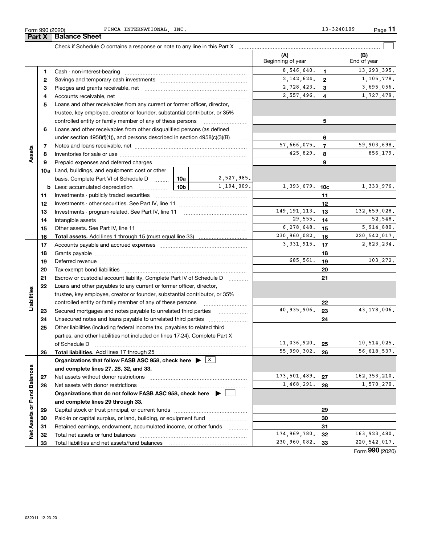|                             | Form 990 (2020) | FINCA INTERNATIONAL, INC.                                                                                                                               |       |                     |                   | 13-3240109      | Page         |
|-----------------------------|-----------------|---------------------------------------------------------------------------------------------------------------------------------------------------------|-------|---------------------|-------------------|-----------------|--------------|
|                             | Part X          | <b>Balance Sheet</b>                                                                                                                                    |       |                     |                   |                 |              |
|                             |                 |                                                                                                                                                         |       |                     | (A)               |                 | (B)          |
|                             |                 |                                                                                                                                                         |       |                     | Beginning of year |                 | End of year  |
|                             | 1               |                                                                                                                                                         |       |                     | 8,546,640.        | $\mathbf{1}$    | 13, 293, 39  |
|                             | 2               |                                                                                                                                                         |       |                     | 2, 142, 624.      | $\overline{2}$  | 1,105,77     |
|                             | 3               |                                                                                                                                                         |       |                     | 2,728,423.        | 3               | 3,695,05     |
|                             | 4               |                                                                                                                                                         |       |                     | 2,557,496.        | 4               | 1,727,47     |
|                             | 5               | Loans and other receivables from any current or former officer, director,                                                                               |       |                     |                   |                 |              |
|                             |                 | trustee, key employee, creator or founder, substantial contributor, or 35%<br>controlled entity or family member of any of these persons                |       |                     |                   | 5               |              |
|                             | 6               | Loans and other receivables from other disqualified persons (as defined                                                                                 |       |                     |                   |                 |              |
|                             |                 | under section 4958(f)(1)), and persons described in section 4958(c)(3)(B)                                                                               |       | $\sim$              |                   | 6               |              |
|                             | 7               |                                                                                                                                                         |       |                     | 57,666,075.       | $\overline{7}$  | 59,903,69    |
| Assets                      | 8               |                                                                                                                                                         |       |                     | 425,829.          | 8               | 856,17       |
|                             | 9               | Prepaid expenses and deferred charges                                                                                                                   |       |                     |                   | 9               |              |
|                             |                 | 10a Land, buildings, and equipment: cost or other                                                                                                       |       |                     |                   |                 |              |
|                             |                 | basis. Complete Part VI of Schedule D  10a                                                                                                              |       | 2,527,985.          |                   |                 |              |
|                             |                 | <b>b</b> Less: accumulated depreciation                                                                                                                 | 10b l | 1,194,009.          | 1,393,679.        | 10 <sub>c</sub> | 1,333,97     |
|                             | 11              |                                                                                                                                                         |       |                     |                   | 11              |              |
|                             | 12<br>13        |                                                                                                                                                         |       |                     | 149, 191, 113.    | 12<br>13        | 132,659,02   |
|                             | 14              |                                                                                                                                                         |       |                     | 29,555.           | 14              | 52,54        |
|                             | 15              |                                                                                                                                                         |       |                     | 6,278,648.        | 15              | 5,914,88     |
|                             | 16              |                                                                                                                                                         |       |                     | 230,960,082.      | 16              | 220, 542, 01 |
|                             | 17              |                                                                                                                                                         |       |                     | 3, 331, 915.      | 17              | 2,823,23     |
|                             | 18              |                                                                                                                                                         |       |                     |                   | 18              |              |
|                             | 19              |                                                                                                                                                         |       |                     | 685,561.          | 19              | 103,27       |
|                             | 20              |                                                                                                                                                         |       |                     |                   | 20              |              |
|                             | 21              | Escrow or custodial account liability. Complete Part IV of Schedule D                                                                                   |       | 1.1.1.1.1.1.1.1.1.1 |                   | 21              |              |
|                             | 22              | Loans and other payables to any current or former officer, director,                                                                                    |       |                     |                   |                 |              |
| Liabilities                 |                 | trustee, key employee, creator or founder, substantial contributor, or 35%<br>controlled entity or family member of any of these persons                |       |                     |                   | 22              |              |
|                             | 23              | Secured mortgages and notes payable to unrelated third parties                                                                                          |       |                     | 40,935,906.       | 23              | 43,178,00    |
|                             | 24              | Unsecured notes and loans payable to unrelated third parties                                                                                            |       |                     |                   | 24              |              |
|                             | 25              | Other liabilities (including federal income tax, payables to related third                                                                              |       |                     |                   |                 |              |
|                             |                 | parties, and other liabilities not included on lines 17-24). Complete Part X                                                                            |       |                     |                   |                 |              |
|                             |                 | of Schedule D                                                                                                                                           |       |                     | 11,036,920.       | 25              | 10,514,02    |
|                             | 26              |                                                                                                                                                         |       |                     | 55,990,302.       | 26              | 56,618,53    |
|                             |                 | Organizations that follow FASB ASC 958, check here $\blacktriangleright \begin{array}{c} \perp X \end{array}$<br>and complete lines 27, 28, 32, and 33. |       |                     |                   |                 |              |
|                             | 27              |                                                                                                                                                         |       |                     | 173,501,489.      | 27              | 162, 353, 21 |
| Net Assets or Fund Balances | 28              |                                                                                                                                                         |       |                     | 1,468,291.        | 28              | 1,570,27     |
|                             |                 | Organizations that do not follow FASB ASC 958, check here ▶ │                                                                                           |       |                     |                   |                 |              |
|                             |                 | and complete lines 29 through 33.                                                                                                                       |       |                     |                   |                 |              |
|                             | 29              |                                                                                                                                                         |       |                     |                   | 29              |              |
|                             | 30              | Paid-in or capital surplus, or land, building, or equipment fund                                                                                        |       |                     |                   | 30              |              |
|                             | 31              | Retained earnings, endowment, accumulated income, or other funds                                                                                        |       |                     |                   | 31              |              |
|                             | 32              |                                                                                                                                                         |       |                     | 174,969,780.      | 32              | 163,923,48   |

**28 and complete lines 27, 28, 32, and 33. 27 28 Organizations that do not follow FASB ASC 958, check here** | **and complete lines 29 through 33. 29 30 31 32 33** Net assets without donor restrictions ~~~~~~~~~~~~~~~~~~~~ Net assets with donor restrictions ~~~~~~~~~~~~~~~~~~~~~~ Capital stock or trust principal, or current funds ~~~~~~~~~~~~~~~ Paid-in or capital surplus, or land, building, or equipment fund *witterstanding* Retained earnings, endowment, accumulated income, or other funds ~~~~ Total net assets or fund balances ~~~~~~~~~~~~~~~~~~~~~~ Total liabilities and net assets/fund balances 11,036,920. 10,514,025. 55,990,302. 56,618,537. 173,501,489. 27 162,353,210.  $1,468,291.$  28  $1,570,270.$ 174,969,780. 32 163,923,480.  $230,960,082.$   $33$   $220,542,017.$ 

Form (2020) **990**

 $\boxed{\phantom{1}}$ 

13,293,395.

1,105,778.

2,557,496. 1,727,479. 3,695,056.

59,903,698. 425,829. 856,179.

132,659,028.

6,278,648. 5,914,880. 230,960,082. 220,542,017.

3,331,915. 2,823,234.

685,561. 103,272.

40,935,906. 43,178,006.

52,548.

1,333,976.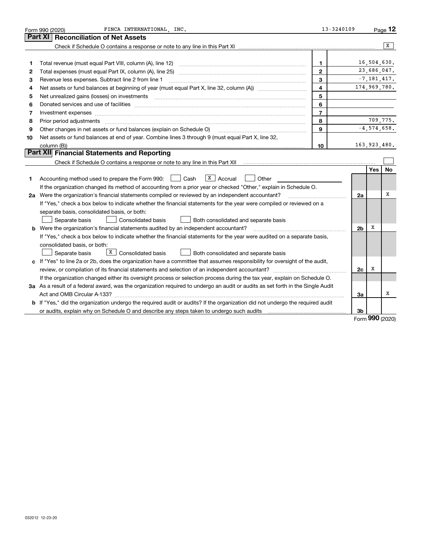|    | FINCA INTERNATIONAL, INC.<br>Form 990 (2020)                                                                                                                                                                                   | $13 - 3240109$          |                |                 | Page $12$ |
|----|--------------------------------------------------------------------------------------------------------------------------------------------------------------------------------------------------------------------------------|-------------------------|----------------|-----------------|-----------|
|    | <b>Reconciliation of Net Assets</b><br>Part XI                                                                                                                                                                                 |                         |                |                 |           |
|    |                                                                                                                                                                                                                                |                         |                |                 | X         |
|    |                                                                                                                                                                                                                                |                         |                |                 |           |
| 1  |                                                                                                                                                                                                                                | 1                       |                | 16,504,630.     |           |
| 2  |                                                                                                                                                                                                                                | $\mathbf{2}$            |                | 23,686,047.     |           |
| З  | Revenue less expenses. Subtract line 2 from line 1                                                                                                                                                                             | 3                       |                | $-7, 181, 417.$ |           |
| 4  |                                                                                                                                                                                                                                | $\overline{\mathbf{4}}$ |                | 174,969,780.    |           |
| 5  | Net unrealized gains (losses) on investments [11] matter continuum matter is a set of the set of the set of the                                                                                                                | 5                       |                |                 |           |
| 6  | Donated services and use of facilities [111] processes and the service of facilities [11] processes and use of facilities [11] processes and the service of facilities [11] processes and the service of the service of the se | 6                       |                |                 |           |
| 7  | Investment expenses www.communication.com/www.communication.com/www.communication.com/www.com                                                                                                                                  | $\overline{7}$          |                |                 |           |
| 8  | Prior period adjustments www.communication.communication.communication.com/                                                                                                                                                    | 8                       |                | 709,775.        |           |
| 9  | Other changes in net assets or fund balances (explain on Schedule O)                                                                                                                                                           | 9                       |                | $-4, 574, 658.$ |           |
| 10 | Net assets or fund balances at end of year. Combine lines 3 through 9 (must equal Part X, line 32,                                                                                                                             |                         |                |                 |           |
|    |                                                                                                                                                                                                                                | 10                      |                | 163,923,480.    |           |
|    | Part XII Financial Statements and Reporting                                                                                                                                                                                    |                         |                |                 |           |
|    |                                                                                                                                                                                                                                |                         |                |                 |           |
|    |                                                                                                                                                                                                                                |                         |                | <b>Yes</b>      | No        |
| 1  | $X \vert$ Accrual<br>Accounting method used to prepare the Form 990: <u>I</u> Cash<br>Other                                                                                                                                    |                         |                |                 |           |
|    | If the organization changed its method of accounting from a prior year or checked "Other," explain in Schedule O.                                                                                                              |                         |                |                 |           |
|    | 2a Were the organization's financial statements compiled or reviewed by an independent accountant?                                                                                                                             |                         | 2a             |                 | х         |
|    | If "Yes," check a box below to indicate whether the financial statements for the year were compiled or reviewed on a                                                                                                           |                         |                |                 |           |
|    | separate basis, consolidated basis, or both:                                                                                                                                                                                   |                         |                |                 |           |
|    | Separate basis<br><b>Consolidated basis</b><br>Both consolidated and separate basis                                                                                                                                            |                         |                |                 |           |
|    | <b>b</b> Were the organization's financial statements audited by an independent accountant?                                                                                                                                    |                         | 2 <sub>b</sub> | х               |           |
|    | If "Yes," check a box below to indicate whether the financial statements for the year were audited on a separate basis,                                                                                                        |                         |                |                 |           |
|    | consolidated basis, or both:                                                                                                                                                                                                   |                         |                |                 |           |
|    | $X$ Consolidated basis<br>Separate basis<br>Both consolidated and separate basis                                                                                                                                               |                         |                |                 |           |
|    | c If "Yes" to line 2a or 2b, does the organization have a committee that assumes responsibility for oversight of the audit,                                                                                                    |                         |                |                 |           |
|    |                                                                                                                                                                                                                                |                         | 2c             | x               |           |
|    | If the organization changed either its oversight process or selection process during the tax year, explain on Schedule O.                                                                                                      |                         |                |                 |           |
|    | 3a As a result of a federal award, was the organization required to undergo an audit or audits as set forth in the Single Audit                                                                                                |                         |                |                 |           |
|    |                                                                                                                                                                                                                                |                         | За             |                 | х         |
|    | b If "Yes," did the organization undergo the required audit or audits? If the organization did not undergo the required audit                                                                                                  |                         |                |                 |           |
|    | or audits, explain why on Schedule O and describe any steps taken to undergo such audits manufactured contents                                                                                                                 |                         | 3b             | <u>nnn</u>      |           |

Form (2020) **990**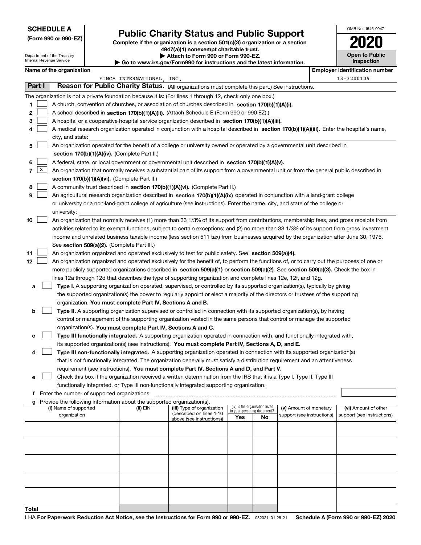## **Public Charity Status and Public Support**

**(Form 990 or 990-EZ) Complete if the organization is a section 501(c)(3) organization or a section 4947(a)(1) nonexempt charitable trust. | Attach to Form 990 or Form 990-EZ.** 

| OMB No. 1545-0047     |
|-----------------------|
| 2020                  |
| <b>Open to Public</b> |

|                |        | Department of the Treasury<br>Internal Revenue Service |                                                                        | Attach to Form 990 or Form 990-EZ.<br>$\blacktriangleright$ Go to www.irs.gov/Form990 for instructions and the latest information.           |     |                                                                |                            | <b>Open to Public</b><br>Inspection   |
|----------------|--------|--------------------------------------------------------|------------------------------------------------------------------------|----------------------------------------------------------------------------------------------------------------------------------------------|-----|----------------------------------------------------------------|----------------------------|---------------------------------------|
|                |        | Name of the organization                               |                                                                        |                                                                                                                                              |     |                                                                |                            | <b>Employer identification number</b> |
|                |        |                                                        | FINCA INTERNATIONAL, INC.                                              |                                                                                                                                              |     |                                                                |                            | 13-3240109                            |
|                | Part I |                                                        |                                                                        | Reason for Public Charity Status. (All organizations must complete this part.) See instructions.                                             |     |                                                                |                            |                                       |
|                |        |                                                        |                                                                        | The organization is not a private foundation because it is: (For lines 1 through 12, check only one box.)                                    |     |                                                                |                            |                                       |
| 1              |        |                                                        |                                                                        | A church, convention of churches, or association of churches described in section 170(b)(1)(A)(i).                                           |     |                                                                |                            |                                       |
| 2              |        |                                                        |                                                                        | A school described in section 170(b)(1)(A)(ii). (Attach Schedule E (Form 990 or 990-EZ).)                                                    |     |                                                                |                            |                                       |
| з              |        |                                                        |                                                                        | A hospital or a cooperative hospital service organization described in section 170(b)(1)(A)(iii).                                            |     |                                                                |                            |                                       |
| 4              |        |                                                        |                                                                        | A medical research organization operated in conjunction with a hospital described in section 170(b)(1)(A)(iii). Enter the hospital's name,   |     |                                                                |                            |                                       |
|                |        | city, and state:                                       |                                                                        |                                                                                                                                              |     |                                                                |                            |                                       |
| 5              |        |                                                        |                                                                        | An organization operated for the benefit of a college or university owned or operated by a governmental unit described in                    |     |                                                                |                            |                                       |
|                |        |                                                        | section 170(b)(1)(A)(iv). (Complete Part II.)                          |                                                                                                                                              |     |                                                                |                            |                                       |
| 6              |        |                                                        |                                                                        | A federal, state, or local government or governmental unit described in section 170(b)(1)(A)(v).                                             |     |                                                                |                            |                                       |
| 7 <sup>1</sup> | X      |                                                        |                                                                        | An organization that normally receives a substantial part of its support from a governmental unit or from the general public described in    |     |                                                                |                            |                                       |
|                |        |                                                        | section 170(b)(1)(A)(vi). (Complete Part II.)                          |                                                                                                                                              |     |                                                                |                            |                                       |
| 8              |        |                                                        |                                                                        | A community trust described in section 170(b)(1)(A)(vi). (Complete Part II.)                                                                 |     |                                                                |                            |                                       |
| 9              |        |                                                        |                                                                        | An agricultural research organization described in section 170(b)(1)(A)(ix) operated in conjunction with a land-grant college                |     |                                                                |                            |                                       |
|                |        |                                                        |                                                                        | or university or a non-land-grant college of agriculture (see instructions). Enter the name, city, and state of the college or               |     |                                                                |                            |                                       |
|                |        | university:                                            |                                                                        |                                                                                                                                              |     |                                                                |                            |                                       |
| 10             |        |                                                        |                                                                        | An organization that normally receives (1) more than 33 1/3% of its support from contributions, membership fees, and gross receipts from     |     |                                                                |                            |                                       |
|                |        |                                                        |                                                                        | activities related to its exempt functions, subject to certain exceptions; and (2) no more than 33 1/3% of its support from gross investment |     |                                                                |                            |                                       |
|                |        |                                                        |                                                                        | income and unrelated business taxable income (less section 511 tax) from businesses acquired by the organization after June 30, 1975.        |     |                                                                |                            |                                       |
|                |        |                                                        | See section 509(a)(2). (Complete Part III.)                            |                                                                                                                                              |     |                                                                |                            |                                       |
| 11             |        |                                                        |                                                                        | An organization organized and operated exclusively to test for public safety. See section 509(a)(4).                                         |     |                                                                |                            |                                       |
| 12             |        |                                                        |                                                                        | An organization organized and operated exclusively for the benefit of, to perform the functions of, or to carry out the purposes of one or   |     |                                                                |                            |                                       |
|                |        |                                                        |                                                                        | more publicly supported organizations described in section 509(a)(1) or section 509(a)(2). See section 509(a)(3). Check the box in           |     |                                                                |                            |                                       |
|                |        |                                                        |                                                                        | lines 12a through 12d that describes the type of supporting organization and complete lines 12e, 12f, and 12g.                               |     |                                                                |                            |                                       |
| а              |        |                                                        |                                                                        | Type I. A supporting organization operated, supervised, or controlled by its supported organization(s), typically by giving                  |     |                                                                |                            |                                       |
|                |        |                                                        |                                                                        | the supported organization(s) the power to regularly appoint or elect a majority of the directors or trustees of the supporting              |     |                                                                |                            |                                       |
|                |        |                                                        | organization. You must complete Part IV, Sections A and B.             |                                                                                                                                              |     |                                                                |                            |                                       |
| b              |        |                                                        |                                                                        | Type II. A supporting organization supervised or controlled in connection with its supported organization(s), by having                      |     |                                                                |                            |                                       |
|                |        |                                                        |                                                                        | control or management of the supporting organization vested in the same persons that control or manage the supported                         |     |                                                                |                            |                                       |
|                |        |                                                        | organization(s). You must complete Part IV, Sections A and C.          |                                                                                                                                              |     |                                                                |                            |                                       |
| с              |        |                                                        |                                                                        | Type III functionally integrated. A supporting organization operated in connection with, and functionally integrated with,                   |     |                                                                |                            |                                       |
|                |        |                                                        |                                                                        | its supported organization(s) (see instructions). You must complete Part IV, Sections A, D, and E.                                           |     |                                                                |                            |                                       |
| d              |        |                                                        |                                                                        | Type III non-functionally integrated. A supporting organization operated in connection with its supported organization(s)                    |     |                                                                |                            |                                       |
|                |        |                                                        |                                                                        | that is not functionally integrated. The organization generally must satisfy a distribution requirement and an attentiveness                 |     |                                                                |                            |                                       |
|                |        |                                                        |                                                                        | requirement (see instructions). You must complete Part IV, Sections A and D, and Part V.                                                     |     |                                                                |                            |                                       |
| е              |        |                                                        |                                                                        | Check this box if the organization received a written determination from the IRS that it is a Type I, Type II, Type III                      |     |                                                                |                            |                                       |
|                |        |                                                        |                                                                        | functionally integrated, or Type III non-functionally integrated supporting organization.                                                    |     |                                                                |                            |                                       |
| f              |        | Enter the number of supported organizations            |                                                                        |                                                                                                                                              |     |                                                                |                            |                                       |
| a              |        |                                                        | Provide the following information about the supported organization(s). |                                                                                                                                              |     |                                                                |                            |                                       |
|                |        | (i) Name of supported                                  | (ii) EIN                                                               | (iii) Type of organization<br>(described on lines 1-10                                                                                       |     | (iv) Is the organization listed<br>in your governing document? | (v) Amount of monetary     | (vi) Amount of other                  |
|                |        | organization                                           |                                                                        | above (see instructions))                                                                                                                    | Yes | No                                                             | support (see instructions) | support (see instructions)            |
|                |        |                                                        |                                                                        |                                                                                                                                              |     |                                                                |                            |                                       |
|                |        |                                                        |                                                                        |                                                                                                                                              |     |                                                                |                            |                                       |
|                |        |                                                        |                                                                        |                                                                                                                                              |     |                                                                |                            |                                       |
|                |        |                                                        |                                                                        |                                                                                                                                              |     |                                                                |                            |                                       |
|                |        |                                                        |                                                                        |                                                                                                                                              |     |                                                                |                            |                                       |
|                |        |                                                        |                                                                        |                                                                                                                                              |     |                                                                |                            |                                       |
|                |        |                                                        |                                                                        |                                                                                                                                              |     |                                                                |                            |                                       |
|                |        |                                                        |                                                                        |                                                                                                                                              |     |                                                                |                            |                                       |
|                |        |                                                        |                                                                        |                                                                                                                                              |     |                                                                |                            |                                       |
|                |        |                                                        |                                                                        |                                                                                                                                              |     |                                                                |                            |                                       |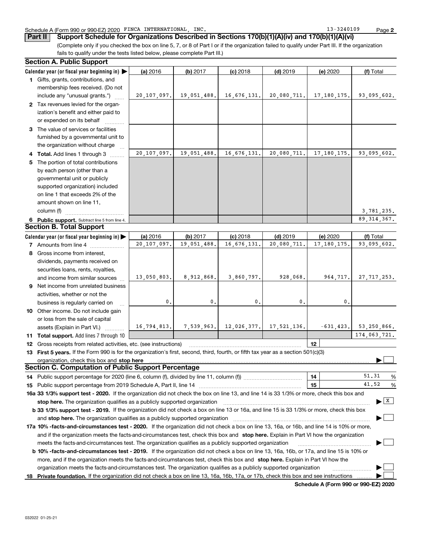### Schedule A (Form 990 or 990-EZ) 2020 FINCA INTERNATIONAL, INC. The magnetic contract of the state of the page

**Part II** Support Schedule for Organizations Described in Sections 170(b)(1)(A)(iv) and 170(b)(1)(A)(vi)

(Complete only if you checked the box on line 5, 7, or 8 of Part I or if the organization failed to qualify under Part III. If the organization fails to qualify under the tests listed below, please complete Part III.)

|    | <b>Section A. Public Support</b>                                                                                                                                                                                              |             |                                                    |             |             |                  |                                       |
|----|-------------------------------------------------------------------------------------------------------------------------------------------------------------------------------------------------------------------------------|-------------|----------------------------------------------------|-------------|-------------|------------------|---------------------------------------|
|    | Calendar year (or fiscal year beginning in) $\blacktriangleright$                                                                                                                                                             | (a) 2016    | (b) 2017                                           | $(c)$ 2018  | $(d)$ 2019  | (e) 2020         | (f) Total                             |
|    | 1 Gifts, grants, contributions, and                                                                                                                                                                                           |             |                                                    |             |             |                  |                                       |
|    | membership fees received. (Do not                                                                                                                                                                                             |             |                                                    |             |             |                  |                                       |
|    | include any "unusual grants.")                                                                                                                                                                                                | 20,107,097. | 19,051,488.                                        | 16,676,131. | 20,080,711. | 17, 180, 175.    | 93,095,602.                           |
|    | 2 Tax revenues levied for the organ-                                                                                                                                                                                          |             |                                                    |             |             |                  |                                       |
|    | ization's benefit and either paid to                                                                                                                                                                                          |             |                                                    |             |             |                  |                                       |
|    | or expended on its behalf                                                                                                                                                                                                     |             |                                                    |             |             |                  |                                       |
|    | 3 The value of services or facilities                                                                                                                                                                                         |             |                                                    |             |             |                  |                                       |
|    | furnished by a governmental unit to                                                                                                                                                                                           |             |                                                    |             |             |                  |                                       |
|    | the organization without charge                                                                                                                                                                                               |             |                                                    |             |             |                  |                                       |
|    | Total. Add lines 1 through 3                                                                                                                                                                                                  | 20,107,097. | 19,051,488.                                        | 16,676,131. | 20,080,711. | 17, 180, 175.    | 93,095,602.                           |
| 5  | The portion of total contributions                                                                                                                                                                                            |             |                                                    |             |             |                  |                                       |
|    | by each person (other than a                                                                                                                                                                                                  |             |                                                    |             |             |                  |                                       |
|    | governmental unit or publicly                                                                                                                                                                                                 |             |                                                    |             |             |                  |                                       |
|    | supported organization) included                                                                                                                                                                                              |             |                                                    |             |             |                  |                                       |
|    | on line 1 that exceeds 2% of the                                                                                                                                                                                              |             |                                                    |             |             |                  |                                       |
|    | amount shown on line 11,                                                                                                                                                                                                      |             |                                                    |             |             |                  |                                       |
|    | column (f)                                                                                                                                                                                                                    |             |                                                    |             |             |                  | 3,781,235.                            |
|    | 6 Public support. Subtract line 5 from line 4.                                                                                                                                                                                |             |                                                    |             |             |                  | 89, 314, 367.                         |
|    | <b>Section B. Total Support</b>                                                                                                                                                                                               |             |                                                    |             |             |                  |                                       |
|    | Calendar year (or fiscal year beginning in)                                                                                                                                                                                   | (a) 2016    | (b) 2017                                           | $(c)$ 2018  | $(d)$ 2019  | (e) 2020         | (f) Total                             |
|    | 7 Amounts from line 4                                                                                                                                                                                                         | 20,107,097. | 19,051,488.                                        | 16,676,131. | 20,080,711. | 17, 180, 175.    | 93,095,602.                           |
|    | 8 Gross income from interest,                                                                                                                                                                                                 |             |                                                    |             |             |                  |                                       |
|    | dividends, payments received on                                                                                                                                                                                               |             |                                                    |             |             |                  |                                       |
|    | securities loans, rents, royalties,                                                                                                                                                                                           |             |                                                    |             |             |                  |                                       |
|    | and income from similar sources                                                                                                                                                                                               | 13,050,803. | 8,912,868.                                         | 3,860,797.  | 928,068.    | 964,717.         | 27, 717, 253.                         |
| 9. | Net income from unrelated business                                                                                                                                                                                            |             |                                                    |             |             |                  |                                       |
|    | activities, whether or not the                                                                                                                                                                                                |             |                                                    |             |             |                  |                                       |
|    | business is regularly carried on                                                                                                                                                                                              | 0.          | 0.                                                 | 0.          | 0.          | 0.               |                                       |
|    | 10 Other income. Do not include gain                                                                                                                                                                                          |             |                                                    |             |             |                  |                                       |
|    | or loss from the sale of capital                                                                                                                                                                                              |             |                                                    |             |             |                  |                                       |
|    | assets (Explain in Part VI.)                                                                                                                                                                                                  |             | $16, 794, 813.$ 7,539,963. 12,026,377. 17,521,136. |             |             | $-631, 423.$     | 53,250,866.                           |
|    | 11 Total support. Add lines 7 through 10                                                                                                                                                                                      |             |                                                    |             |             |                  | 174,063,721.                          |
| 12 | Gross receipts from related activities, etc. (see instructions)                                                                                                                                                               |             |                                                    |             |             | 12 <sup>12</sup> |                                       |
|    | 13 First 5 years. If the Form 990 is for the organization's first, second, third, fourth, or fifth tax year as a section 501(c)(3)                                                                                            |             |                                                    |             |             |                  |                                       |
|    | organization, check this box and stop here manufactured and stream and the state of the state of the stream and stream and stream and stream and stream and stream and stream and stream and stream and stream and stream and |             |                                                    |             |             |                  |                                       |
|    | <b>Section C. Computation of Public Support Percentage</b>                                                                                                                                                                    |             |                                                    |             |             |                  |                                       |
|    |                                                                                                                                                                                                                               |             |                                                    |             |             | 14               | 51.31<br>%                            |
| 15 | Public support percentage from 2019 Schedule A, Part II, line 14 [2010] contains a material contract the Public support percentage from 2019 Schedule A, Part II, line 14                                                     |             |                                                    |             |             | 15               | 41.52<br>%                            |
|    | 16a 33 1/3% support test - 2020. If the organization did not check the box on line 13, and line 14 is 33 1/3% or more, check this box and                                                                                     |             |                                                    |             |             |                  |                                       |
|    | stop here. The organization qualifies as a publicly supported organization                                                                                                                                                    |             |                                                    |             |             |                  | $\blacktriangleright$ $\mid$ X $\mid$ |
|    | <b>b 33 1/3% support test - 2019.</b> If the organization did not check a box on line 13 or 16a, and line 15 is 33 1/3% or more, check this box                                                                               |             |                                                    |             |             |                  |                                       |
|    | and stop here. The organization qualifies as a publicly supported organization                                                                                                                                                |             |                                                    |             |             |                  |                                       |
|    | 17a 10% -facts-and-circumstances test - 2020. If the organization did not check a box on line 13, 16a, or 16b, and line 14 is 10% or more,                                                                                    |             |                                                    |             |             |                  |                                       |
|    | and if the organization meets the facts-and-circumstances test, check this box and stop here. Explain in Part VI how the organization                                                                                         |             |                                                    |             |             |                  |                                       |
|    | meets the facts-and-circumstances test. The organization qualifies as a publicly supported organization                                                                                                                       |             |                                                    |             |             |                  |                                       |
|    | <b>b 10% -facts-and-circumstances test - 2019.</b> If the organization did not check a box on line 13, 16a, 16b, or 17a, and line 15 is 10% or                                                                                |             |                                                    |             |             |                  |                                       |
|    | more, and if the organization meets the facts-and-circumstances test, check this box and stop here. Explain in Part VI how the                                                                                                |             |                                                    |             |             |                  |                                       |
|    | organization meets the facts-and-circumstances test. The organization qualifies as a publicly supported organization                                                                                                          |             |                                                    |             |             |                  |                                       |
|    | 18 Private foundation. If the organization did not check a box on line 13, 16a, 16b, 17a, or 17b, check this box and see instructions                                                                                         |             |                                                    |             |             |                  |                                       |
|    |                                                                                                                                                                                                                               |             |                                                    |             |             |                  |                                       |

**Schedule A (Form 990 or 990-EZ) 2020**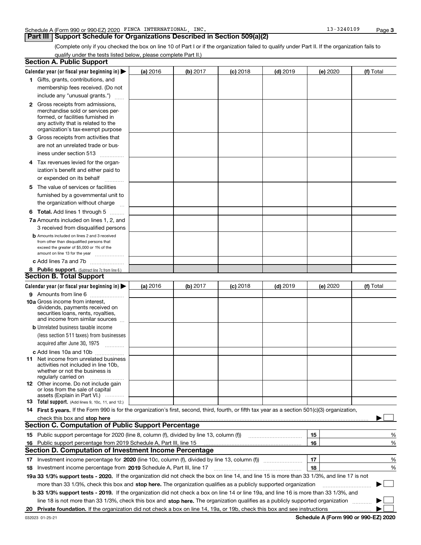#### **Part III | Support Schedule for Organizations Described in Section 509(a)(2)**

(Complete only if you checked the box on line 10 of Part I or if the organization failed to qualify under Part II. If the organization fails to qualify under the tests listed below, please complete Part II.)

|   | <b>Section A. Public Support</b>                                                                                                                                                                                               |          |          |                 |            |          |           |
|---|--------------------------------------------------------------------------------------------------------------------------------------------------------------------------------------------------------------------------------|----------|----------|-----------------|------------|----------|-----------|
|   | Calendar year (or fiscal year beginning in) $\blacktriangleright$                                                                                                                                                              | (a) 2016 | (b) 2017 | <b>(c)</b> 2018 | $(d)$ 2019 | (e) 2020 | (f) Total |
|   | 1 Gifts, grants, contributions, and                                                                                                                                                                                            |          |          |                 |            |          |           |
|   | membership fees received. (Do not                                                                                                                                                                                              |          |          |                 |            |          |           |
|   | include any "unusual grants.")                                                                                                                                                                                                 |          |          |                 |            |          |           |
|   | <b>2</b> Gross receipts from admissions,                                                                                                                                                                                       |          |          |                 |            |          |           |
|   | merchandise sold or services per-                                                                                                                                                                                              |          |          |                 |            |          |           |
|   | formed, or facilities furnished in                                                                                                                                                                                             |          |          |                 |            |          |           |
|   | any activity that is related to the<br>organization's tax-exempt purpose                                                                                                                                                       |          |          |                 |            |          |           |
|   | Gross receipts from activities that                                                                                                                                                                                            |          |          |                 |            |          |           |
| 3 | are not an unrelated trade or bus-                                                                                                                                                                                             |          |          |                 |            |          |           |
|   |                                                                                                                                                                                                                                |          |          |                 |            |          |           |
|   | iness under section 513                                                                                                                                                                                                        |          |          |                 |            |          |           |
|   | 4 Tax revenues levied for the organ-                                                                                                                                                                                           |          |          |                 |            |          |           |
|   | ization's benefit and either paid to                                                                                                                                                                                           |          |          |                 |            |          |           |
|   | or expended on its behalf                                                                                                                                                                                                      |          |          |                 |            |          |           |
|   | 5 The value of services or facilities                                                                                                                                                                                          |          |          |                 |            |          |           |
|   | furnished by a governmental unit to                                                                                                                                                                                            |          |          |                 |            |          |           |
|   | the organization without charge                                                                                                                                                                                                |          |          |                 |            |          |           |
|   | <b>6 Total.</b> Add lines 1 through 5                                                                                                                                                                                          |          |          |                 |            |          |           |
|   | 7a Amounts included on lines 1, 2, and                                                                                                                                                                                         |          |          |                 |            |          |           |
|   | 3 received from disqualified persons                                                                                                                                                                                           |          |          |                 |            |          |           |
|   | <b>b</b> Amounts included on lines 2 and 3 received                                                                                                                                                                            |          |          |                 |            |          |           |
|   | from other than disqualified persons that                                                                                                                                                                                      |          |          |                 |            |          |           |
|   | exceed the greater of \$5,000 or 1% of the<br>amount on line 13 for the year                                                                                                                                                   |          |          |                 |            |          |           |
|   | c Add lines 7a and 7b                                                                                                                                                                                                          |          |          |                 |            |          |           |
|   | 8 Public support. (Subtract line 7c from line 6.)                                                                                                                                                                              |          |          |                 |            |          |           |
|   | <b>Section B. Total Support</b>                                                                                                                                                                                                |          |          |                 |            |          |           |
|   | Calendar year (or fiscal year beginning in) $\blacktriangleright$                                                                                                                                                              | (a) 2016 | (b) 2017 | $(c)$ 2018      | $(d)$ 2019 | (e) 2020 | (f) Total |
|   | 9 Amounts from line 6                                                                                                                                                                                                          |          |          |                 |            |          |           |
|   | 10a Gross income from interest,                                                                                                                                                                                                |          |          |                 |            |          |           |
|   | dividends, payments received on                                                                                                                                                                                                |          |          |                 |            |          |           |
|   | securities loans, rents, royalties,                                                                                                                                                                                            |          |          |                 |            |          |           |
|   | and income from similar sources                                                                                                                                                                                                |          |          |                 |            |          |           |
|   | <b>b</b> Unrelated business taxable income                                                                                                                                                                                     |          |          |                 |            |          |           |
|   | (less section 511 taxes) from businesses                                                                                                                                                                                       |          |          |                 |            |          |           |
|   | acquired after June 30, 1975                                                                                                                                                                                                   |          |          |                 |            |          |           |
|   | c Add lines 10a and 10b                                                                                                                                                                                                        |          |          |                 |            |          |           |
|   | <b>11</b> Net income from unrelated business<br>activities not included in line 10b,                                                                                                                                           |          |          |                 |            |          |           |
|   | whether or not the business is                                                                                                                                                                                                 |          |          |                 |            |          |           |
|   | regularly carried on                                                                                                                                                                                                           |          |          |                 |            |          |           |
|   | <b>12</b> Other income. Do not include gain                                                                                                                                                                                    |          |          |                 |            |          |           |
|   | or loss from the sale of capital<br>assets (Explain in Part VI.)                                                                                                                                                               |          |          |                 |            |          |           |
|   | <b>13</b> Total support. (Add lines 9, 10c, 11, and 12.)                                                                                                                                                                       |          |          |                 |            |          |           |
|   | 14 First 5 years. If the Form 990 is for the organization's first, second, third, fourth, or fifth tax year as a section 501(c)(3) organization,                                                                               |          |          |                 |            |          |           |
|   | check this box and stop here measurements and starting the starting of the starting of the starting of the starting of the starting of the starting of the starting of the starting of the starting of the starting of the sta |          |          |                 |            |          |           |
|   | <b>Section C. Computation of Public Support Percentage</b>                                                                                                                                                                     |          |          |                 |            |          |           |
|   | 15 Public support percentage for 2020 (line 8, column (f), divided by line 13, column (f))                                                                                                                                     |          |          |                 |            | 15       | %         |
|   | 16 Public support percentage from 2019 Schedule A, Part III, line 15                                                                                                                                                           |          |          |                 |            | 16       | %         |
|   | Section D. Computation of Investment Income Percentage                                                                                                                                                                         |          |          |                 |            |          |           |
|   |                                                                                                                                                                                                                                |          |          |                 |            | 17       | %         |
|   | 18 Investment income percentage from 2019 Schedule A, Part III, line 17                                                                                                                                                        |          |          |                 |            | 18       | %         |
|   | 19a 33 1/3% support tests - 2020. If the organization did not check the box on line 14, and line 15 is more than 33 1/3%, and line 17 is not                                                                                   |          |          |                 |            |          |           |
|   | more than 33 1/3%, check this box and stop here. The organization qualifies as a publicly supported organization                                                                                                               |          |          |                 |            |          |           |
|   | <b>b 33 1/3% support tests - 2019.</b> If the organization did not check a box on line 14 or line 19a, and line 16 is more than 33 1/3%, and                                                                                   |          |          |                 |            |          |           |
|   | line 18 is not more than 33 1/3%, check this box and stop here. The organization qualifies as a publicly supported organization                                                                                                |          |          |                 |            |          |           |
|   | 20 Private foundation. If the organization did not check a box on line 14, 19a, or 19b, check this box and see instructions                                                                                                    |          |          |                 |            |          |           |
|   |                                                                                                                                                                                                                                |          |          |                 |            |          |           |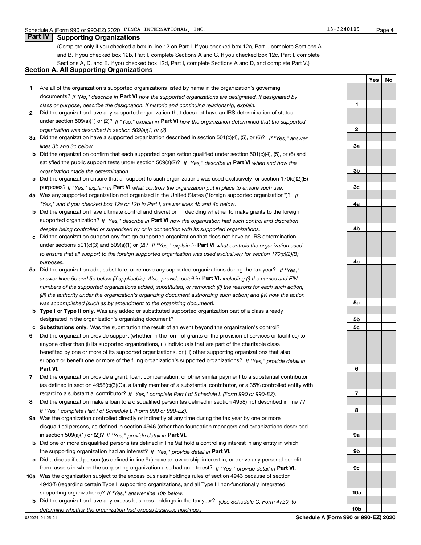**1**

**2**

**3a**

Yes | No

## **Part IV Supporting Organizations**

(Complete only if you checked a box in line 12 on Part I. If you checked box 12a, Part I, complete Sections A and B. If you checked box 12b, Part I, complete Sections A and C. If you checked box 12c, Part I, complete Sections A, D, and E. If you checked box 12d, Part I, complete Sections A and D, and complete Part V.)

#### **Section A. All Supporting Organizations**

- **1** Are all of the organization's supported organizations listed by name in the organization's governing documents? If "No," describe in Part VI how the supported organizations are designated. If designated by *class or purpose, describe the designation. If historic and continuing relationship, explain.*
- **2** Did the organization have any supported organization that does not have an IRS determination of status under section 509(a)(1) or (2)? If "Yes," explain in Part VI how the organization determined that the supported *organization was described in section 509(a)(1) or (2).*
- **3a** Did the organization have a supported organization described in section 501(c)(4), (5), or (6)? If "Yes," answer *lines 3b and 3c below.*
- **b** Did the organization confirm that each supported organization qualified under section 501(c)(4), (5), or (6) and satisfied the public support tests under section 509(a)(2)? If "Yes," describe in **Part VI** when and how the *organization made the determination.*
- **c** Did the organization ensure that all support to such organizations was used exclusively for section 170(c)(2)(B) purposes? If "Yes," explain in Part VI what controls the organization put in place to ensure such use.
- **4 a** *If* Was any supported organization not organized in the United States ("foreign supported organization")? *"Yes," and if you checked box 12a or 12b in Part I, answer lines 4b and 4c below.*
- **b** Did the organization have ultimate control and discretion in deciding whether to make grants to the foreign supported organization? If "Yes," describe in Part VI how the organization had such control and discretion *despite being controlled or supervised by or in connection with its supported organizations.*
- **c** Did the organization support any foreign supported organization that does not have an IRS determination under sections 501(c)(3) and 509(a)(1) or (2)? If "Yes," explain in Part VI what controls the organization used *to ensure that all support to the foreign supported organization was used exclusively for section 170(c)(2)(B) purposes.*
- **5a** Did the organization add, substitute, or remove any supported organizations during the tax year? If "Yes," answer lines 5b and 5c below (if applicable). Also, provide detail in **Part VI,** including (i) the names and EIN *numbers of the supported organizations added, substituted, or removed; (ii) the reasons for each such action; (iii) the authority under the organization's organizing document authorizing such action; and (iv) how the action was accomplished (such as by amendment to the organizing document).*
- **b Type I or Type II only.** Was any added or substituted supported organization part of a class already designated in the organization's organizing document?
- **c Substitutions only.**  Was the substitution the result of an event beyond the organization's control?
- **6** Did the organization provide support (whether in the form of grants or the provision of services or facilities) to **Part VI.** *If "Yes," provide detail in* support or benefit one or more of the filing organization's supported organizations? anyone other than (i) its supported organizations, (ii) individuals that are part of the charitable class benefited by one or more of its supported organizations, or (iii) other supporting organizations that also
- **7** Did the organization provide a grant, loan, compensation, or other similar payment to a substantial contributor regard to a substantial contributor? If "Yes," complete Part I of Schedule L (Form 990 or 990-EZ). (as defined in section 4958(c)(3)(C)), a family member of a substantial contributor, or a 35% controlled entity with
- **8** Did the organization make a loan to a disqualified person (as defined in section 4958) not described in line 7? *If "Yes," complete Part I of Schedule L (Form 990 or 990-EZ).*
- **9 a** Was the organization controlled directly or indirectly at any time during the tax year by one or more in section 509(a)(1) or (2))? If "Yes," provide detail in Part VI. disqualified persons, as defined in section 4946 (other than foundation managers and organizations described
- **b** Did one or more disqualified persons (as defined in line 9a) hold a controlling interest in any entity in which the supporting organization had an interest? If "Yes," provide detail in Part VI.
- **c** Did a disqualified person (as defined in line 9a) have an ownership interest in, or derive any personal benefit from, assets in which the supporting organization also had an interest? If "Yes," provide detail in Part VI.
- **10 a** Was the organization subject to the excess business holdings rules of section 4943 because of section supporting organizations)? If "Yes," answer line 10b below. 4943(f) (regarding certain Type II supporting organizations, and all Type III non-functionally integrated
	- **b** Did the organization have any excess business holdings in the tax year? (Use Schedule C, Form 4720, to *determine whether the organization had excess business holdings.)*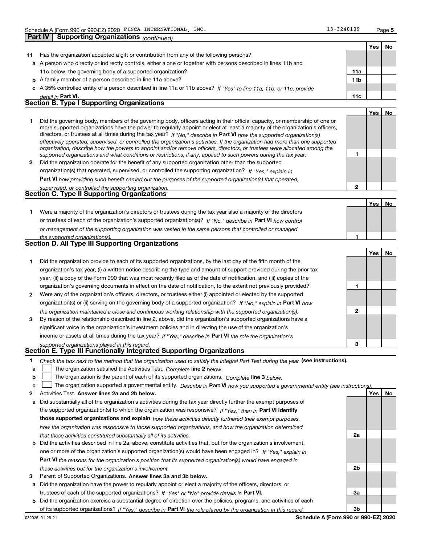**Part IV | Supporting Organizations** *(continued)* 

**1**

**2**

|    |                                                                                                                      |                 | Yes l | No. |
|----|----------------------------------------------------------------------------------------------------------------------|-----------------|-------|-----|
| 11 | Has the organization accepted a gift or contribution from any of the following persons?                              |                 |       |     |
|    | a A person who directly or indirectly controls, either alone or together with persons described in lines 11b and     |                 |       |     |
|    | 11c below, the governing body of a supported organization?                                                           | 11a             |       |     |
|    | <b>b</b> A family member of a person described in line 11a above?                                                    | 11 <sub>b</sub> |       |     |
|    | c A 35% controlled entity of a person described in line 11a or 11b above? If "Yes" to line 11a, 11b, or 11c, provide |                 |       |     |
|    | detail in Part VI.                                                                                                   | 11c             |       |     |
|    | <b>Section B. Type I Supporting Organizations</b>                                                                    |                 |       |     |
|    |                                                                                                                      |                 | Yes   | Nο  |
|    |                                                                                                                      |                 |       |     |

|              | Did the governing body, members of the governing body, officers acting in their official capacity, or membership of one or<br>more supported organizations have the power to regularly appoint or elect at least a majority of the organization's officers, |  |
|--------------|-------------------------------------------------------------------------------------------------------------------------------------------------------------------------------------------------------------------------------------------------------------|--|
|              | directors, or trustees at all times during the tax year? If "No," describe in Part VI how the supported organization(s)                                                                                                                                     |  |
|              | effectively operated, supervised, or controlled the organization's activities. If the organization had more than one supported<br>organization, describe how the powers to appoint and/or remove officers, directors, or trustees were allocated among the  |  |
|              | supported organizations and what conditions or restrictions, if any, applied to such powers during the tax year.                                                                                                                                            |  |
| $\mathbf{2}$ | Did the organization operate for the benefit of any supported organization other than the supported                                                                                                                                                         |  |
|              |                                                                                                                                                                                                                                                             |  |

organization(s) that operated, supervised, or controlled the supporting organization? If "Yes," explain in

**Part VI**  *how providing such benefit carried out the purposes of the supported organization(s) that operated,*

| supervised, or controlled the supporting organization. |  |
|--------------------------------------------------------|--|
| <b>Section C. Type II Supporting Organizations</b>     |  |

Yes | No **1** or trustees of each of the organization's supported organization(s)? If "No," describe in Part VI how control **1** *or management of the supporting organization was vested in the same persons that controlled or managed the supported organization(s).* Were a majority of the organization's directors or trustees during the tax year also a majority of the directors

|--|

|              |                                                                                                                        |   | Yes l | No. |
|--------------|------------------------------------------------------------------------------------------------------------------------|---|-------|-----|
|              | Did the organization provide to each of its supported organizations, by the last day of the fifth month of the         |   |       |     |
|              | organization's tax year, (i) a written notice describing the type and amount of support provided during the prior tax  |   |       |     |
|              | year, (ii) a copy of the Form 990 that was most recently filed as of the date of notification, and (iii) copies of the |   |       |     |
|              | organization's governing documents in effect on the date of notification, to the extent not previously provided?       |   |       |     |
| $\mathbf{2}$ | Were any of the organization's officers, directors, or trustees either (i) appointed or elected by the supported       |   |       |     |
|              | organization(s) or (ii) serving on the governing body of a supported organization? If "No," explain in Part VI how     |   |       |     |
|              | the organization maintained a close and continuous working relationship with the supported organization(s).            | 2 |       |     |
| 3            | By reason of the relationship described in line 2, above, did the organization's supported organizations have a        |   |       |     |
|              | significant voice in the organization's investment policies and in directing the use of the organization's             |   |       |     |
|              | income or assets at all times during the tax year? If "Yes," describe in Part VI the role the organization's           |   |       |     |
|              | supported organizations played in this regard.                                                                         | з |       |     |

## *supported organizations played in this regard.* **Section E. Type III Functionally Integrated Supporting Organizations**

- **1** Check the box next to the method that the organization used to satisfy the Integral Part Test during the year (see instructions).
- **a** The organization satisfied the Activities Test. Complete line 2 below.
- **b** The organization is the parent of each of its supported organizations. *Complete* line 3 below.  $\begin{array}{c} \hline \end{array}$

|  |  | c $\Box$ The organization supported a governmental entity. Describe in Part VI how you supported a governmental entity (see instructions) |  |  |  |  |  |
|--|--|-------------------------------------------------------------------------------------------------------------------------------------------|--|--|--|--|--|
|--|--|-------------------------------------------------------------------------------------------------------------------------------------------|--|--|--|--|--|

- **2 Answer lines 2a and 2b below. Yes No** Activities Test.
- **a** Did substantially all of the organization's activities during the tax year directly further the exempt purposes of the supported organization(s) to which the organization was responsive? If "Yes," then in **Part VI identify those supported organizations and explain**  *how these activities directly furthered their exempt purposes, how the organization was responsive to those supported organizations, and how the organization determined that these activities constituted substantially all of its activities.*
- **b** Did the activities described in line 2a, above, constitute activities that, but for the organization's involvement, **Part VI**  *the reasons for the organization's position that its supported organization(s) would have engaged in* one or more of the organization's supported organization(s) would have been engaged in? If "Yes," explain in *these activities but for the organization's involvement.*
- 3 Parent of Supported Organizations. Answer lines 3a and 3b below.
- **a** Did the organization have the power to regularly appoint or elect a majority of the officers, directors, or trustees of each of the supported organizations? If "Yes" or "No" provide details in Part VI.
- **b** Did the organization exercise a substantial degree of direction over the policies, programs, and activities of each of its supported organizations? If "Yes," describe in Part VI the role played by the organization in this regard.

**2a**

**2b**

**3a**

**3b**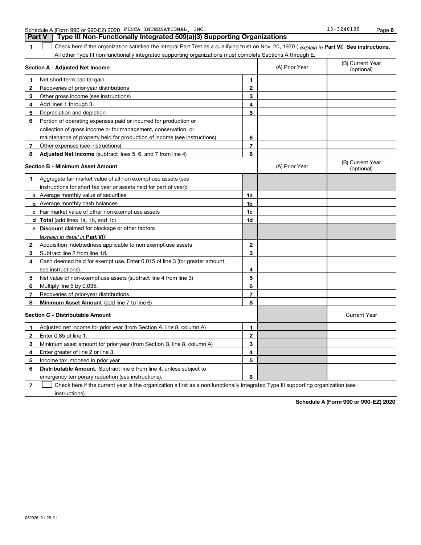|  |  | T Check here if the organization satisfie |  |
|--|--|-------------------------------------------|--|
|--|--|-------------------------------------------|--|

**Part V** | Type III Non-Functionally Integrated 509(a)(3) Supporting Organizations

**1**  $\Box$  Check here if the organization satisfied the Integral Part Test as a qualifying trust on Nov. 20, 1970 ( explain in Part VI). See instructions. All other Type III non-functionally integrated supporting organizations must complete Sections A through E.  $\begin{array}{c} \hline \end{array}$ 

| Section A - Adjusted Net Income |                                                                             |                | (A) Prior Year | (B) Current Year<br>(optional) |
|---------------------------------|-----------------------------------------------------------------------------|----------------|----------------|--------------------------------|
| 1                               | Net short-term capital gain                                                 | 1              |                |                                |
| $\mathbf{2}$                    | Recoveries of prior-year distributions                                      | $\overline{2}$ |                |                                |
| 3                               | Other gross income (see instructions)                                       | 3              |                |                                |
| 4                               | Add lines 1 through 3.                                                      | 4              |                |                                |
| 5                               | Depreciation and depletion                                                  | 5              |                |                                |
| 6                               | Portion of operating expenses paid or incurred for production or            |                |                |                                |
|                                 | collection of gross income or for management, conservation, or              |                |                |                                |
|                                 | maintenance of property held for production of income (see instructions)    | 6              |                |                                |
| 7                               | Other expenses (see instructions)                                           | $\overline{7}$ |                |                                |
| 8                               | <b>Adjusted Net Income</b> (subtract lines 5, 6, and 7 from line 4)         | 8              |                |                                |
|                                 | <b>Section B - Minimum Asset Amount</b>                                     |                | (A) Prior Year | (B) Current Year<br>(optional) |
| 1                               | Aggregate fair market value of all non-exempt-use assets (see               |                |                |                                |
|                                 | instructions for short tax year or assets held for part of year):           |                |                |                                |
|                                 | <b>a</b> Average monthly value of securities                                | 1a             |                |                                |
|                                 | <b>b</b> Average monthly cash balances                                      | 1b             |                |                                |
|                                 | c Fair market value of other non-exempt-use assets                          | 1c             |                |                                |
|                                 | <b>d</b> Total (add lines 1a, 1b, and 1c)                                   | 1d             |                |                                |
|                                 | <b>e</b> Discount claimed for blockage or other factors                     |                |                |                                |
|                                 | (explain in detail in Part VI):                                             |                |                |                                |
| 2                               | Acquisition indebtedness applicable to non-exempt-use assets                | $\mathbf{2}$   |                |                                |
| 3                               | Subtract line 2 from line 1d.                                               | 3              |                |                                |
| 4                               | Cash deemed held for exempt use. Enter 0.015 of line 3 (for greater amount, |                |                |                                |
|                                 | see instructions).                                                          | 4              |                |                                |
| 5                               | Net value of non-exempt-use assets (subtract line 4 from line 3)            | 5              |                |                                |
| 6                               | Multiply line 5 by 0.035.                                                   | 6              |                |                                |
| 7                               | Recoveries of prior-year distributions                                      | $\overline{7}$ |                |                                |
| 8                               | Minimum Asset Amount (add line 7 to line 6)                                 | 8              |                |                                |
|                                 | <b>Section C - Distributable Amount</b>                                     |                |                | <b>Current Year</b>            |
| 1                               | Adjusted net income for prior year (from Section A, line 8, column A)       | 1              |                |                                |
| $\mathbf{2}$                    | Enter 0.85 of line 1.                                                       | $\mathbf{2}$   |                |                                |
| 3                               | Minimum asset amount for prior year (from Section B, line 8, column A)      | 3              |                |                                |
| 4                               | Enter greater of line 2 or line 3.                                          | 4              |                |                                |
| 5                               | Income tax imposed in prior year                                            | 5              |                |                                |
| 6                               | <b>Distributable Amount.</b> Subtract line 5 from line 4, unless subject to |                |                |                                |
|                                 | emergency temporary reduction (see instructions).                           | 6              |                |                                |

**7** Check here if the current year is the organization's first as a non-functionally integrated Type III supporting organization (see instructions).

**Schedule A (Form 990 or 990-EZ) 2020**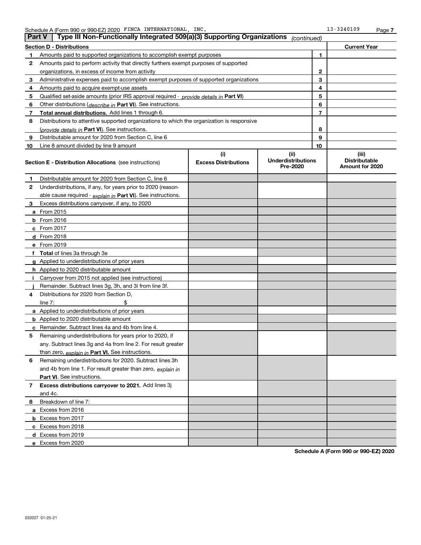|    | Type III Non-Functionally Integrated 509(a)(3) Supporting Organizations<br><b>Part V</b>   |                             | (continued)                           |                |                                         |
|----|--------------------------------------------------------------------------------------------|-----------------------------|---------------------------------------|----------------|-----------------------------------------|
|    | Section D - Distributions                                                                  |                             |                                       |                | <b>Current Year</b>                     |
|    | Amounts paid to supported organizations to accomplish exempt purposes                      |                             | 1                                     |                |                                         |
| 2  | Amounts paid to perform activity that directly furthers exempt purposes of supported       |                             |                                       |                |                                         |
|    | organizations, in excess of income from activity                                           |                             | $\mathbf{2}$                          |                |                                         |
| 3  | Administrative expenses paid to accomplish exempt purposes of supported organizations      |                             |                                       | 3              |                                         |
| 4  | Amounts paid to acquire exempt-use assets                                                  |                             |                                       | 4              |                                         |
| 5  | Qualified set-aside amounts (prior IRS approval required - provide details in Part VI)     |                             |                                       | 5              |                                         |
| 6  | Other distributions ( <i>describe in</i> Part VI). See instructions.                       |                             |                                       | 6              |                                         |
| 7  | Total annual distributions. Add lines 1 through 6.                                         |                             |                                       | $\overline{7}$ |                                         |
| 8  | Distributions to attentive supported organizations to which the organization is responsive |                             |                                       |                |                                         |
|    | (provide details in <b>Part VI</b> ). See instructions.                                    |                             |                                       | 8              |                                         |
| 9  | Distributable amount for 2020 from Section C, line 6                                       |                             |                                       | 9              |                                         |
| 10 | Line 8 amount divided by line 9 amount                                                     |                             |                                       | 10             |                                         |
|    |                                                                                            | (i)                         | (iii)                                 |                | (iii)                                   |
|    | Section E - Distribution Allocations (see instructions)                                    | <b>Excess Distributions</b> | <b>Underdistributions</b><br>Pre-2020 |                | <b>Distributable</b><br>Amount for 2020 |
| 1  | Distributable amount for 2020 from Section C, line 6                                       |                             |                                       |                |                                         |
| 2  | Underdistributions, if any, for years prior to 2020 (reason-                               |                             |                                       |                |                                         |
|    | able cause required - explain in Part VI). See instructions.                               |                             |                                       |                |                                         |
| з  | Excess distributions carryover, if any, to 2020                                            |                             |                                       |                |                                         |
|    | <b>a</b> From 2015                                                                         |                             |                                       |                |                                         |
|    | <b>b</b> From $2016$                                                                       |                             |                                       |                |                                         |
|    | c From 2017                                                                                |                             |                                       |                |                                         |
|    | <b>d</b> From 2018                                                                         |                             |                                       |                |                                         |
|    | e From 2019                                                                                |                             |                                       |                |                                         |
|    | <b>Total</b> of lines 3a through 3e                                                        |                             |                                       |                |                                         |
|    | <b>g</b> Applied to underdistributions of prior years                                      |                             |                                       |                |                                         |
|    | <b>h</b> Applied to 2020 distributable amount                                              |                             |                                       |                |                                         |
|    | Carryover from 2015 not applied (see instructions)                                         |                             |                                       |                |                                         |
|    | Remainder. Subtract lines 3g, 3h, and 3i from line 3f.                                     |                             |                                       |                |                                         |
| 4  | Distributions for 2020 from Section D,                                                     |                             |                                       |                |                                         |
|    | line $7:$                                                                                  |                             |                                       |                |                                         |
|    | <b>a</b> Applied to underdistributions of prior years                                      |                             |                                       |                |                                         |
|    | <b>b</b> Applied to 2020 distributable amount                                              |                             |                                       |                |                                         |
|    | Remainder. Subtract lines 4a and 4b from line 4.                                           |                             |                                       |                |                                         |
| 5  | Remaining underdistributions for years prior to 2020, if                                   |                             |                                       |                |                                         |
|    | any. Subtract lines 3g and 4a from line 2. For result greater                              |                             |                                       |                |                                         |
|    | than zero, explain in Part VI. See instructions.                                           |                             |                                       |                |                                         |
| 6  | Remaining underdistributions for 2020. Subtract lines 3h                                   |                             |                                       |                |                                         |
|    | and 4b from line 1. For result greater than zero, explain in                               |                             |                                       |                |                                         |
|    | Part VI. See instructions.                                                                 |                             |                                       |                |                                         |
| 7  | Excess distributions carryover to 2021. Add lines 3j                                       |                             |                                       |                |                                         |
|    | and 4c.                                                                                    |                             |                                       |                |                                         |
| 8  | Breakdown of line 7:                                                                       |                             |                                       |                |                                         |
|    | a Excess from 2016                                                                         |                             |                                       |                |                                         |
|    | <b>b</b> Excess from 2017                                                                  |                             |                                       |                |                                         |
|    | c Excess from 2018                                                                         |                             |                                       |                |                                         |
|    | d Excess from 2019                                                                         |                             |                                       |                |                                         |
|    | e Excess from 2020                                                                         |                             |                                       |                |                                         |

**Schedule A (Form 990 or 990-EZ) 2020**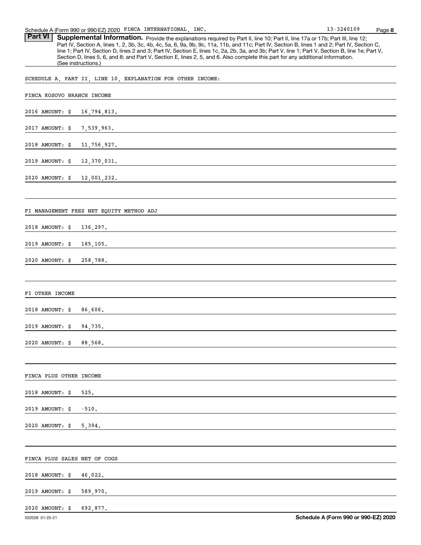Part VI | Supplemental Information. Provide the explanations required by Part II, line 10; Part II, line 17a or 17b; Part III, line 12; Part IV, Section A, lines 1, 2, 3b, 3c, 4b, 4c, 5a, 6, 9a, 9b, 9c, 11a, 11b, and 11c; Part IV, Section B, lines 1 and 2; Part IV, Section C, line 1; Part IV, Section D, lines 2 and 3; Part IV, Section E, lines 1c, 2a, 2b, 3a, and 3b; Part V, line 1; Part V, Section B, line 1e; Part V, Section D, lines 5, 6, and 8; and Part V, Section E, lines 2, 5, and 6. Also complete this part for any additional information. (See instructions.)

SCHEDULE A, PART II, LINE 10, EXPLANATION FOR OTHER INCOME:

| FINCA KOSOVO BRANCH INCOME   |                                                                                                                        |  |  |  |  |
|------------------------------|------------------------------------------------------------------------------------------------------------------------|--|--|--|--|
|                              | 2016 AMOUNT: \$ 16,794,813.                                                                                            |  |  |  |  |
|                              | 2017 AMOUNT: \$ 7,539,963.                                                                                             |  |  |  |  |
|                              | 2018 AMOUNT: \$ 11,756,927.                                                                                            |  |  |  |  |
|                              | 2019 AMOUNT: \$ 12,370,031.                                                                                            |  |  |  |  |
| 2020 AMOUNT: \$ 12,001,232.  | <u> 1989 - Johann Stoff, deutscher Stoffen und der Stoffen und der Stoffen und der Stoffen und der Stoffen und der</u> |  |  |  |  |
|                              |                                                                                                                        |  |  |  |  |
|                              | FI MANAGEMENT FEES NET EQUITY METHOD ADJ                                                                               |  |  |  |  |
|                              | 2018 AMOUNT: \$ 136,297.                                                                                               |  |  |  |  |
|                              | 2019 AMOUNT: \$185,105.                                                                                                |  |  |  |  |
| 2020 AMOUNT: \$ 258,788.     | <u> 1989 - Johann Barn, amerikan besteman besteman besteman besteman besteman besteman besteman besteman bestema</u>   |  |  |  |  |
|                              |                                                                                                                        |  |  |  |  |
| FI OTHER INCOME              |                                                                                                                        |  |  |  |  |
| 2018 AMOUNT: \$ 86,606.      | <u> 1989 - Johann Barn, fransk politik (d. 1989)</u>                                                                   |  |  |  |  |
| 2019 AMOUNT: \$ 94,735.      | <u> 1989 - Johann Stein, marwolaethau a bhann an t-Amhain Aonaich an t-Amhain Aonaich an t-Amhain Aonaich an t-A</u>   |  |  |  |  |
| 2020 AMOUNT: \$ 88,568.      |                                                                                                                        |  |  |  |  |
|                              |                                                                                                                        |  |  |  |  |
| FINCA PLUS OTHER INCOME      |                                                                                                                        |  |  |  |  |
| 2018 AMOUNT: \$              | 525.                                                                                                                   |  |  |  |  |
| 2019 AMOUNT: \$              | $-510.$                                                                                                                |  |  |  |  |
| 2020 AMOUNT: \$              | 5,394.                                                                                                                 |  |  |  |  |
|                              |                                                                                                                        |  |  |  |  |
| FINCA PLUS SALES NET OF COGS |                                                                                                                        |  |  |  |  |
| 2018 AMOUNT: \$              | 46,022.                                                                                                                |  |  |  |  |
| 2019 AMOUNT: \$              | 589,970.                                                                                                               |  |  |  |  |
| 2020 AMOUNT: \$              | 692,877.                                                                                                               |  |  |  |  |
|                              |                                                                                                                        |  |  |  |  |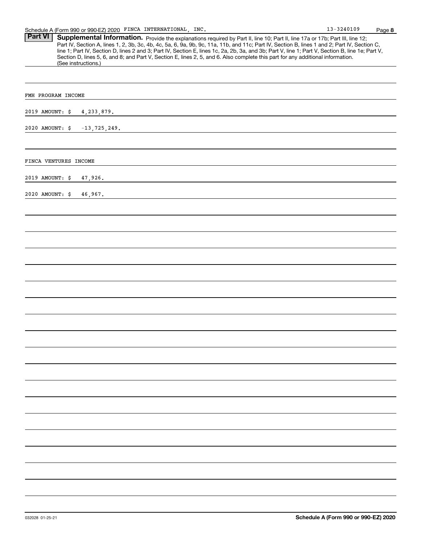Part VI | Supplemental Information. Provide the explanations required by Part II, line 10; Part II, line 17a or 17b; Part III, line 12; Part IV, Section A, lines 1, 2, 3b, 3c, 4b, 4c, 5a, 6, 9a, 9b, 9c, 11a, 11b, and 11c; Part IV, Section B, lines 1 and 2; Part IV, Section C, line 1; Part IV, Section D, lines 2 and 3; Part IV, Section E, lines 1c, 2a, 2b, 3a, and 3b; Part V, line 1; Part V, Section B, line 1e; Part V, Section D, lines 5, 6, and 8; and Part V, Section E, lines 2, 5, and 6. Also complete this part for any additional information. (See instructions.)

| FMH PROGRAM INCOME                      |         |
|-----------------------------------------|---------|
| 2019 AMOUNT: \$ 4,233,879.              |         |
| 2020 AMOUNT: $\frac{1}{2}$ -13,725,249. |         |
|                                         |         |
| FINCA VENTURES INCOME                   |         |
| 2019 AMOUNT: \$                         | 47,926. |
| 2020 AMOUNT: \$                         | 46,967. |
|                                         |         |
|                                         |         |
|                                         |         |
|                                         |         |
|                                         |         |
|                                         |         |
|                                         |         |
|                                         |         |
|                                         |         |
|                                         |         |
|                                         |         |
|                                         |         |
|                                         |         |
|                                         |         |
|                                         |         |
|                                         |         |
|                                         |         |
|                                         |         |
|                                         |         |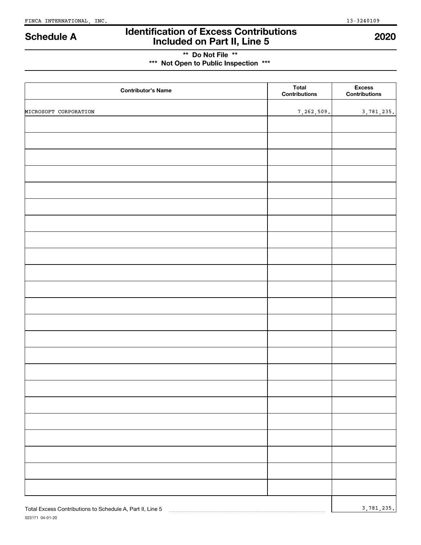023171 04-01-20

## **Identification of Excess Contributions Included on Part II, Line 5 Schedule A <sup>2020</sup>**

## **\*\* Do Not File \*\* \*\*\* Not Open to Public Inspection \*\*\***

| <b>Contributor's Name</b>                                 | <b>Total</b><br><b>Contributions</b> | <b>Excess</b><br>Contributions |
|-----------------------------------------------------------|--------------------------------------|--------------------------------|
| MICROSOFT CORPORATION                                     | 7,262,509.                           | 3,781,235.                     |
|                                                           |                                      |                                |
|                                                           |                                      |                                |
|                                                           |                                      |                                |
|                                                           |                                      |                                |
|                                                           |                                      |                                |
|                                                           |                                      |                                |
|                                                           |                                      |                                |
|                                                           |                                      |                                |
|                                                           |                                      |                                |
|                                                           |                                      |                                |
|                                                           |                                      |                                |
|                                                           |                                      |                                |
|                                                           |                                      |                                |
|                                                           |                                      |                                |
|                                                           |                                      |                                |
|                                                           |                                      |                                |
|                                                           |                                      |                                |
|                                                           |                                      |                                |
|                                                           |                                      |                                |
|                                                           |                                      |                                |
|                                                           |                                      |                                |
|                                                           |                                      |                                |
|                                                           |                                      |                                |
|                                                           |                                      |                                |
|                                                           |                                      |                                |
|                                                           |                                      |                                |
| Total Excess Contributions to Schedule A, Part II, Line 5 |                                      | 3,781,235.                     |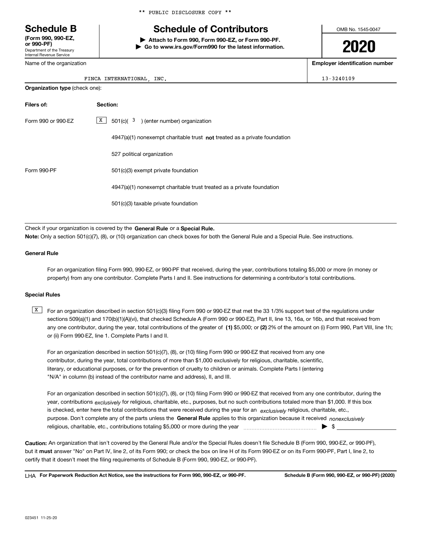Department of the Treasury Internal Revenue Service **(Form 990, 990-EZ,**

Name of the organization

\*\* PUBLIC DISCLOSURE COPY \*\*

## **Schedule B Schedule of Contributors**

**or 990-PF) | Attach to Form 990, Form 990-EZ, or Form 990-PF. | Go to www.irs.gov/Form990 for the latest information.** OMB No. 1545-0047

# **2020**

**Employer identification number**

| INTERNATIONAL<br>FINCA | INC. |  | 13-3240109 |
|------------------------|------|--|------------|
|------------------------|------|--|------------|

| <b>Organization type (check one):</b> |                                                                             |  |  |  |
|---------------------------------------|-----------------------------------------------------------------------------|--|--|--|
| Filers of:                            | Section:                                                                    |  |  |  |
| Form 990 or 990-EZ                    | X<br>$501(c)$ ( $3$ ) (enter number) organization                           |  |  |  |
|                                       | $4947(a)(1)$ nonexempt charitable trust not treated as a private foundation |  |  |  |
|                                       | 527 political organization                                                  |  |  |  |
| Form 990-PF                           | 501(c)(3) exempt private foundation                                         |  |  |  |
|                                       | 4947(a)(1) nonexempt charitable trust treated as a private foundation       |  |  |  |
|                                       | 501(c)(3) taxable private foundation                                        |  |  |  |
|                                       |                                                                             |  |  |  |

Check if your organization is covered by the General Rule or a Special Rule. **Note:**  Only a section 501(c)(7), (8), or (10) organization can check boxes for both the General Rule and a Special Rule. See instructions.

#### **General Rule**

For an organization filing Form 990, 990-EZ, or 990-PF that received, during the year, contributions totaling \$5,000 or more (in money or property) from any one contributor. Complete Parts I and II. See instructions for determining a contributor's total contributions.

#### **Special Rules**

any one contributor, during the year, total contributions of the greater of  $\,$  (1) \$5,000; or (2) 2% of the amount on (i) Form 990, Part VIII, line 1h;  $\boxed{\text{X}}$  For an organization described in section 501(c)(3) filing Form 990 or 990-EZ that met the 33 1/3% support test of the regulations under sections 509(a)(1) and 170(b)(1)(A)(vi), that checked Schedule A (Form 990 or 990-EZ), Part II, line 13, 16a, or 16b, and that received from or (ii) Form 990-EZ, line 1. Complete Parts I and II.

For an organization described in section 501(c)(7), (8), or (10) filing Form 990 or 990-EZ that received from any one contributor, during the year, total contributions of more than \$1,000 exclusively for religious, charitable, scientific, literary, or educational purposes, or for the prevention of cruelty to children or animals. Complete Parts I (entering "N/A" in column (b) instead of the contributor name and address), II, and III.

purpose. Don't complete any of the parts unless the General Rule applies to this organization because it received *nonexclusively* year, contributions <sub>exclusively</sub> for religious, charitable, etc., purposes, but no such contributions totaled more than \$1,000. If this box is checked, enter here the total contributions that were received during the year for an *exclusively* religious, charitable, etc., For an organization described in section 501(c)(7), (8), or (10) filing Form 990 or 990-EZ that received from any one contributor, during the religious, charitable, etc., contributions totaling \$5,000 or more during the year ~~~~~~~~~~~~~~~ | \$

**Caution:**  An organization that isn't covered by the General Rule and/or the Special Rules doesn't file Schedule B (Form 990, 990-EZ, or 990-PF),  **must** but it answer "No" on Part IV, line 2, of its Form 990; or check the box on line H of its Form 990-EZ or on its Form 990-PF, Part I, line 2, to certify that it doesn't meet the filing requirements of Schedule B (Form 990, 990-EZ, or 990-PF).

**For Paperwork Reduction Act Notice, see the instructions for Form 990, 990-EZ, or 990-PF. Schedule B (Form 990, 990-EZ, or 990-PF) (2020)** LHA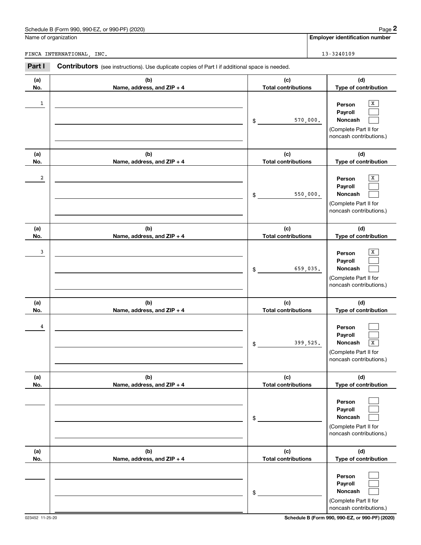| (2020)<br>. or 990-PF <sup>\</sup><br>$J.990 F^-$<br>Schedule B<br>n 990<br>-orm | Page |
|----------------------------------------------------------------------------------|------|
|                                                                                  |      |

**Employer identification number**

FINCA INTERNATIONAL, INC. 13-3240109

| Part I       | Contributors (see instructions). Use duplicate copies of Part I if additional space is needed. |                                   |                                                                                                                    |
|--------------|------------------------------------------------------------------------------------------------|-----------------------------------|--------------------------------------------------------------------------------------------------------------------|
| (a)<br>No.   | (b)<br>Name, address, and ZIP + 4                                                              | (c)<br><b>Total contributions</b> | (d)<br>Type of contribution                                                                                        |
| $\mathbf{1}$ |                                                                                                | 570,000.<br>\$                    | Х<br>Person<br>Payroll<br><b>Noncash</b><br>(Complete Part II for<br>noncash contributions.)                       |
| (a)<br>No.   | (b)<br>Name, address, and ZIP + 4                                                              | (c)<br><b>Total contributions</b> | (d)<br>Type of contribution                                                                                        |
| 2            |                                                                                                | 550,000.<br>\$                    | Х<br>Person<br>Payroll<br><b>Noncash</b><br>(Complete Part II for<br>noncash contributions.)                       |
| (a)<br>No.   | (b)<br>Name, address, and ZIP + 4                                                              | (c)<br><b>Total contributions</b> | (d)<br>Type of contribution                                                                                        |
| 3            |                                                                                                | 659,035.<br>\$                    | Х<br>Person<br>Payroll<br><b>Noncash</b><br>(Complete Part II for<br>noncash contributions.)                       |
| (a)<br>No.   | (b)<br>Name, address, and ZIP + 4                                                              | (c)<br><b>Total contributions</b> | (d)<br>Type of contribution                                                                                        |
| 4            |                                                                                                | 399,525.<br>\$                    | Person<br>Payroll<br><b>Noncash</b><br>$\overline{\mathbf{x}}$<br>(Complete Part II for<br>noncash contributions.) |
| (a)<br>No.   | (b)<br>Name, address, and ZIP + 4                                                              | (c)<br><b>Total contributions</b> | (d)<br>Type of contribution                                                                                        |
|              |                                                                                                | \$                                | Person<br>Payroll<br>Noncash<br>(Complete Part II for<br>noncash contributions.)                                   |
| (a)<br>No.   | (b)<br>Name, address, and ZIP + 4                                                              | (c)<br><b>Total contributions</b> | (d)<br>Type of contribution                                                                                        |
|              |                                                                                                | \$                                | Person<br>Payroll<br>Noncash<br>(Complete Part II for<br>noncash contributions.)                                   |

023452 11-25-20 **Schedule B (Form 990, 990-EZ, or 990-PF) (2020)**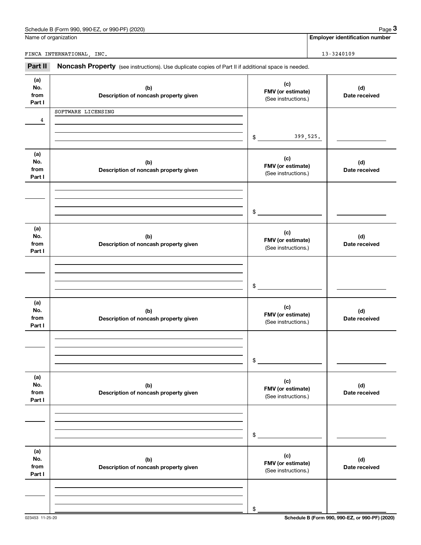| Schedule B (Form 990, 990-EZ, or 990-PF) (2020)                                                                       | Page                                  |
|-----------------------------------------------------------------------------------------------------------------------|---------------------------------------|
| Name of organization                                                                                                  | <b>Employer identification number</b> |
|                                                                                                                       |                                       |
| FINCA INTERNATIONAL.<br>INC.                                                                                          | 13-3240109                            |
| Part II<br><b>Noncash Property</b> (see instructions). Use duplicate copies of Part II if additional space is needed. |                                       |

| (a)<br>No.<br>from<br>Part I | (b)<br>Description of noncash property given | (c)<br>FMV (or estimate)<br>(See instructions.) | (d)<br>Date received |
|------------------------------|----------------------------------------------|-------------------------------------------------|----------------------|
| 4                            | SOFTWARE LICENSING                           | 399,525.<br>\$                                  |                      |
| (a)<br>No.<br>from<br>Part I | (b)<br>Description of noncash property given | (c)<br>FMV (or estimate)<br>(See instructions.) | (d)<br>Date received |
|                              |                                              | \$                                              |                      |
| (a)<br>No.<br>from<br>Part I | (b)<br>Description of noncash property given | (c)<br>FMV (or estimate)<br>(See instructions.) | (d)<br>Date received |
|                              |                                              | \$                                              |                      |
| (a)<br>No.<br>from<br>Part I | (b)<br>Description of noncash property given | (c)<br>FMV (or estimate)<br>(See instructions.) | (d)<br>Date received |
|                              |                                              | \$                                              |                      |
| (a)<br>No.<br>from<br>Part I | (b)<br>Description of noncash property given | (c)<br>FMV (or estimate)<br>(See instructions.) | (d)<br>Date received |
|                              |                                              | \$                                              |                      |
| (a)<br>No.<br>from<br>Part I | (b)<br>Description of noncash property given | (c)<br>FMV (or estimate)<br>(See instructions.) | (d)<br>Date received |
|                              |                                              | \$                                              |                      |

**3**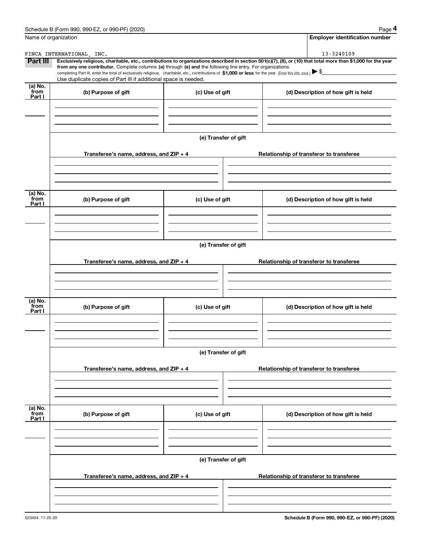| Name of organization      |                                                                                                                                                                               |                      | <b>Employer identification number</b>                                                                                                                                                                                                                                                                                           |
|---------------------------|-------------------------------------------------------------------------------------------------------------------------------------------------------------------------------|----------------------|---------------------------------------------------------------------------------------------------------------------------------------------------------------------------------------------------------------------------------------------------------------------------------------------------------------------------------|
|                           | FINCA INTERNATIONAL, INC.                                                                                                                                                     |                      | 13-3240109                                                                                                                                                                                                                                                                                                                      |
| Part III                  | from any one contributor. Complete columns (a) through (e) and the following line entry. For organizations<br>Use duplicate copies of Part III if additional space is needed. |                      | Exclusively religious, charitable, etc., contributions to organizations described in section 501(c)(7), (8), or (10) that total more than \$1,000 for the year<br>completing Part III, enter the total of exclusively religious, charitable, etc., contributions of \$1,000 or less for the year. (Enter this info. once.) ▶ \$ |
| (a) No.<br>from<br>Part I | (b) Purpose of gift                                                                                                                                                           | (c) Use of gift      | (d) Description of how gift is held                                                                                                                                                                                                                                                                                             |
|                           |                                                                                                                                                                               | (e) Transfer of gift |                                                                                                                                                                                                                                                                                                                                 |
|                           | Transferee's name, address, and $ZIP + 4$                                                                                                                                     |                      | Relationship of transferor to transferee                                                                                                                                                                                                                                                                                        |
| (a) No.<br>from<br>Part I | (b) Purpose of gift                                                                                                                                                           | (c) Use of gift      | (d) Description of how gift is held                                                                                                                                                                                                                                                                                             |
|                           | Transferee's name, address, and $ZIP + 4$                                                                                                                                     | (e) Transfer of gift | Relationship of transferor to transferee                                                                                                                                                                                                                                                                                        |
| (a) No.<br>from<br>Part I | (b) Purpose of gift                                                                                                                                                           | (c) Use of gift      | (d) Description of how gift is held                                                                                                                                                                                                                                                                                             |
|                           | Transferee's name, address, and ZIP + 4                                                                                                                                       | (e) Transfer of gift | Relationship of transferor to transferee                                                                                                                                                                                                                                                                                        |
|                           |                                                                                                                                                                               |                      |                                                                                                                                                                                                                                                                                                                                 |
| (a) No.<br>from<br>Part I | (b) Purpose of gift                                                                                                                                                           | (c) Use of gift      | (d) Description of how gift is held                                                                                                                                                                                                                                                                                             |
|                           |                                                                                                                                                                               | (e) Transfer of gift |                                                                                                                                                                                                                                                                                                                                 |
|                           | Transferee's name, address, and $ZIP + 4$                                                                                                                                     |                      | Relationship of transferor to transferee                                                                                                                                                                                                                                                                                        |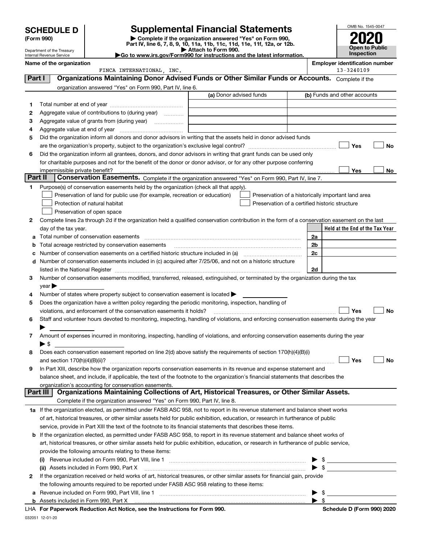|        |                                                                                                                                         |                                                                                                        |                                                                                                                                                |                | OMB No. 1545-0047                                   |
|--------|-----------------------------------------------------------------------------------------------------------------------------------------|--------------------------------------------------------------------------------------------------------|------------------------------------------------------------------------------------------------------------------------------------------------|----------------|-----------------------------------------------------|
|        | <b>SCHEDULE D</b>                                                                                                                       |                                                                                                        | <b>Supplemental Financial Statements</b><br>Complete if the organization answered "Yes" on Form 990,                                           |                |                                                     |
|        | (Form 990)                                                                                                                              |                                                                                                        | Part IV, line 6, 7, 8, 9, 10, 11a, 11b, 11c, 11d, 11e, 11f, 12a, or 12b.                                                                       |                |                                                     |
|        | Department of the Treasury<br>Internal Revenue Service                                                                                  |                                                                                                        | Attach to Form 990.<br>Go to www.irs.gov/Form990 for instructions and the latest information.                                                  |                | <b>Open to Public</b><br><b>Inspection</b>          |
|        | Name of the organization                                                                                                                |                                                                                                        |                                                                                                                                                |                | <b>Employer identification number</b><br>13-3240109 |
| Part I |                                                                                                                                         | FINCA INTERNATIONAL, INC.                                                                              | Organizations Maintaining Donor Advised Funds or Other Similar Funds or Accounts. Complete if the                                              |                |                                                     |
|        |                                                                                                                                         | organization answered "Yes" on Form 990, Part IV, line 6.                                              |                                                                                                                                                |                |                                                     |
|        |                                                                                                                                         |                                                                                                        | (a) Donor advised funds                                                                                                                        |                | (b) Funds and other accounts                        |
| 1.     |                                                                                                                                         |                                                                                                        |                                                                                                                                                |                |                                                     |
| 2      |                                                                                                                                         | Aggregate value of contributions to (during year)                                                      |                                                                                                                                                |                |                                                     |
| 3      |                                                                                                                                         |                                                                                                        |                                                                                                                                                |                |                                                     |
| 4      |                                                                                                                                         |                                                                                                        |                                                                                                                                                |                |                                                     |
| 5      |                                                                                                                                         |                                                                                                        | Did the organization inform all donors and donor advisors in writing that the assets held in donor advised funds                               |                |                                                     |
|        |                                                                                                                                         |                                                                                                        |                                                                                                                                                |                | Yes<br>No                                           |
| 6      |                                                                                                                                         |                                                                                                        | Did the organization inform all grantees, donors, and donor advisors in writing that grant funds can be used only                              |                |                                                     |
|        |                                                                                                                                         |                                                                                                        | for charitable purposes and not for the benefit of the donor or donor advisor, or for any other purpose conferring                             |                |                                                     |
|        | impermissible private benefit?                                                                                                          |                                                                                                        |                                                                                                                                                |                | Yes<br>No                                           |
|        | Part II                                                                                                                                 |                                                                                                        | Conservation Easements. Complete if the organization answered "Yes" on Form 990, Part IV, line 7.                                              |                |                                                     |
| 1      |                                                                                                                                         | Purpose(s) of conservation easements held by the organization (check all that apply).                  |                                                                                                                                                |                |                                                     |
|        |                                                                                                                                         | Preservation of land for public use (for example, recreation or education)                             | Preservation of a historically important land area                                                                                             |                |                                                     |
|        |                                                                                                                                         | Protection of natural habitat                                                                          | Preservation of a certified historic structure                                                                                                 |                |                                                     |
|        |                                                                                                                                         | Preservation of open space                                                                             |                                                                                                                                                |                |                                                     |
| 2      |                                                                                                                                         |                                                                                                        | Complete lines 2a through 2d if the organization held a qualified conservation contribution in the form of a conservation easement on the last |                |                                                     |
| a      | day of the tax year.                                                                                                                    | Total number of conservation easements                                                                 |                                                                                                                                                | 2a             | Held at the End of the Tax Year                     |
| b      |                                                                                                                                         | Total acreage restricted by conservation easements                                                     |                                                                                                                                                | 2 <sub>b</sub> |                                                     |
| c      |                                                                                                                                         |                                                                                                        | Number of conservation easements on a certified historic structure included in (a) manufacture of conservation                                 | 2c             |                                                     |
| d      |                                                                                                                                         |                                                                                                        | Number of conservation easements included in (c) acquired after 7/25/06, and not on a historic structure                                       |                |                                                     |
|        |                                                                                                                                         |                                                                                                        |                                                                                                                                                | 2d             |                                                     |
| З.     |                                                                                                                                         |                                                                                                        | Number of conservation easements modified, transferred, released, extinguished, or terminated by the organization during the tax               |                |                                                     |
|        | year                                                                                                                                    |                                                                                                        |                                                                                                                                                |                |                                                     |
|        |                                                                                                                                         | Number of states where property subject to conservation easement is located >                          |                                                                                                                                                |                |                                                     |
| 5      |                                                                                                                                         | Does the organization have a written policy regarding the periodic monitoring, inspection, handling of |                                                                                                                                                |                |                                                     |
|        |                                                                                                                                         | violations, and enforcement of the conservation easements it holds?                                    |                                                                                                                                                |                | Yes<br>No                                           |
| 6      |                                                                                                                                         |                                                                                                        | Staff and volunteer hours devoted to monitoring, inspecting, handling of violations, and enforcing conservation easements during the year      |                |                                                     |
|        |                                                                                                                                         |                                                                                                        |                                                                                                                                                |                |                                                     |
| 7      |                                                                                                                                         |                                                                                                        | Amount of expenses incurred in monitoring, inspecting, handling of violations, and enforcing conservation easements during the year            |                |                                                     |
|        | $\blacktriangleright$ \$                                                                                                                |                                                                                                        |                                                                                                                                                |                |                                                     |
| 8      |                                                                                                                                         |                                                                                                        | Does each conservation easement reported on line 2(d) above satisfy the requirements of section 170(h)(4)(B)(i)                                |                | Yes<br>No                                           |
| 9      |                                                                                                                                         |                                                                                                        | In Part XIII, describe how the organization reports conservation easements in its revenue and expense statement and                            |                |                                                     |
|        |                                                                                                                                         |                                                                                                        | balance sheet, and include, if applicable, the text of the footnote to the organization's financial statements that describes the              |                |                                                     |
|        |                                                                                                                                         | organization's accounting for conservation easements.                                                  |                                                                                                                                                |                |                                                     |
|        | Part III                                                                                                                                |                                                                                                        | Organizations Maintaining Collections of Art, Historical Treasures, or Other Similar Assets.                                                   |                |                                                     |
|        |                                                                                                                                         | Complete if the organization answered "Yes" on Form 990, Part IV, line 8.                              |                                                                                                                                                |                |                                                     |
|        |                                                                                                                                         |                                                                                                        | 1a If the organization elected, as permitted under FASB ASC 958, not to report in its revenue statement and balance sheet works                |                |                                                     |
|        |                                                                                                                                         |                                                                                                        | of art, historical treasures, or other similar assets held for public exhibition, education, or research in furtherance of public              |                |                                                     |
|        | service, provide in Part XIII the text of the footnote to its financial statements that describes these items.                          |                                                                                                        |                                                                                                                                                |                |                                                     |
| b      |                                                                                                                                         |                                                                                                        | If the organization elected, as permitted under FASB ASC 958, to report in its revenue statement and balance sheet works of                    |                |                                                     |
|        | art, historical treasures, or other similar assets held for public exhibition, education, or research in furtherance of public service, |                                                                                                        |                                                                                                                                                |                |                                                     |
|        |                                                                                                                                         | provide the following amounts relating to these items:                                                 |                                                                                                                                                |                |                                                     |
|        | (i)                                                                                                                                     |                                                                                                        |                                                                                                                                                |                |                                                     |
|        |                                                                                                                                         |                                                                                                        |                                                                                                                                                |                |                                                     |
| 2      |                                                                                                                                         |                                                                                                        | If the organization received or held works of art, historical treasures, or other similar assets for financial gain, provide                   |                |                                                     |

**a** Revenue included on Form 990, Part VIII, line 1 ~~~~~~~~~~~~~~~~~~~~~~~~~~~~~~ | \$ the following amounts required to be reported under FASB ASC 958 relating to these items: | \$

**b** Assets included in Form 990, Part X

032051 12-01-20 **For Paperwork Reduction Act Notice, see the Instructions for Form 990. Schedule D (Form 990) 2020** LHA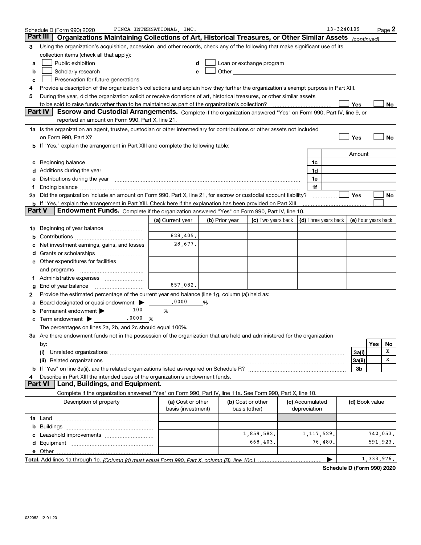|        | Schedule D (Form 990) 2020                                                                                                                                                                                                    | FINCA INTERNATIONAL, INC.               |                |                                                                                                                                                                                                                               |                                 | 13-3240109 |                     |            | Page 2 |
|--------|-------------------------------------------------------------------------------------------------------------------------------------------------------------------------------------------------------------------------------|-----------------------------------------|----------------|-------------------------------------------------------------------------------------------------------------------------------------------------------------------------------------------------------------------------------|---------------------------------|------------|---------------------|------------|--------|
|        | Part III<br>Organizations Maintaining Collections of Art, Historical Treasures, or Other Similar Assets                                                                                                                       |                                         |                |                                                                                                                                                                                                                               |                                 |            | (continued)         |            |        |
| 3      | Using the organization's acquisition, accession, and other records, check any of the following that make significant use of its                                                                                               |                                         |                |                                                                                                                                                                                                                               |                                 |            |                     |            |        |
|        | collection items (check all that apply):                                                                                                                                                                                      |                                         |                |                                                                                                                                                                                                                               |                                 |            |                     |            |        |
| a      | Public exhibition                                                                                                                                                                                                             | d                                       |                | Loan or exchange program                                                                                                                                                                                                      |                                 |            |                     |            |        |
| b      | Scholarly research                                                                                                                                                                                                            | е                                       |                | Other and the contract of the contract of the contract of the contract of the contract of the contract of the contract of the contract of the contract of the contract of the contract of the contract of the contract of the |                                 |            |                     |            |        |
| c      | Preservation for future generations                                                                                                                                                                                           |                                         |                |                                                                                                                                                                                                                               |                                 |            |                     |            |        |
| 4      | Provide a description of the organization's collections and explain how they further the organization's exempt purpose in Part XIII.                                                                                          |                                         |                |                                                                                                                                                                                                                               |                                 |            |                     |            |        |
| 5      | During the year, did the organization solicit or receive donations of art, historical treasures, or other similar assets                                                                                                      |                                         |                |                                                                                                                                                                                                                               |                                 |            |                     |            |        |
|        | to be sold to raise funds rather than to be maintained as part of the organization's collection?                                                                                                                              |                                         |                |                                                                                                                                                                                                                               |                                 |            | Yes                 |            | No     |
|        | <b>Part IV</b><br>Escrow and Custodial Arrangements. Complete if the organization answered "Yes" on Form 990, Part IV, line 9, or<br>reported an amount on Form 990, Part X, line 21.                                         |                                         |                |                                                                                                                                                                                                                               |                                 |            |                     |            |        |
|        | 1a Is the organization an agent, trustee, custodian or other intermediary for contributions or other assets not included                                                                                                      |                                         |                |                                                                                                                                                                                                                               |                                 |            |                     |            |        |
|        |                                                                                                                                                                                                                               |                                         |                |                                                                                                                                                                                                                               |                                 |            | Yes                 |            | No     |
|        | If "Yes," explain the arrangement in Part XIII and complete the following table:                                                                                                                                              |                                         |                |                                                                                                                                                                                                                               |                                 |            |                     |            |        |
|        |                                                                                                                                                                                                                               |                                         |                |                                                                                                                                                                                                                               |                                 |            | Amount              |            |        |
| c      | Beginning balance                                                                                                                                                                                                             |                                         |                |                                                                                                                                                                                                                               | 1c                              |            |                     |            |        |
|        | Additions during the year manufactured and an annual contract of the year manufactured and a set of the year manufactured and a set of the year manufactured and a set of the year manufactured and set of the set of the set |                                         |                |                                                                                                                                                                                                                               | 1d                              |            |                     |            |        |
| е      | Distributions during the year manufactured and continuum and contained and the year manufactured and contained                                                                                                                |                                         |                |                                                                                                                                                                                                                               | 1e                              |            |                     |            |        |
|        |                                                                                                                                                                                                                               |                                         |                |                                                                                                                                                                                                                               | 1f                              |            |                     |            |        |
|        | 2a Did the organization include an amount on Form 990, Part X, line 21, for escrow or custodial account liability?                                                                                                            |                                         |                |                                                                                                                                                                                                                               |                                 |            | Yes                 |            | No     |
|        | <b>b</b> If "Yes," explain the arrangement in Part XIII. Check here if the explanation has been provided on Part XIII                                                                                                         |                                         |                |                                                                                                                                                                                                                               |                                 |            |                     |            |        |
| Part V | Endowment Funds. Complete if the organization answered "Yes" on Form 990, Part IV, line 10.                                                                                                                                   |                                         |                |                                                                                                                                                                                                                               |                                 |            |                     |            |        |
|        |                                                                                                                                                                                                                               | (a) Current year                        | (b) Prior year | (c) Two years back                                                                                                                                                                                                            | (d) Three years back            |            | (e) Four years back |            |        |
| 1a     | Beginning of year balance                                                                                                                                                                                                     |                                         |                |                                                                                                                                                                                                                               |                                 |            |                     |            |        |
| b      |                                                                                                                                                                                                                               | 828,405.                                |                |                                                                                                                                                                                                                               |                                 |            |                     |            |        |
|        | Net investment earnings, gains, and losses                                                                                                                                                                                    | 28,677.                                 |                |                                                                                                                                                                                                                               |                                 |            |                     |            |        |
| d      |                                                                                                                                                                                                                               |                                         |                |                                                                                                                                                                                                                               |                                 |            |                     |            |        |
|        | e Other expenditures for facilities                                                                                                                                                                                           |                                         |                |                                                                                                                                                                                                                               |                                 |            |                     |            |        |
|        | and programs                                                                                                                                                                                                                  |                                         |                |                                                                                                                                                                                                                               |                                 |            |                     |            |        |
|        |                                                                                                                                                                                                                               |                                         |                |                                                                                                                                                                                                                               |                                 |            |                     |            |        |
| g      | End of year balance                                                                                                                                                                                                           | 857,082.                                |                |                                                                                                                                                                                                                               |                                 |            |                     |            |        |
| 2      | Provide the estimated percentage of the current year end balance (line 1g, column (a)) held as:                                                                                                                               |                                         |                |                                                                                                                                                                                                                               |                                 |            |                     |            |        |
|        | Board designated or quasi-endowment ><br>100                                                                                                                                                                                  | .0000                                   | %              |                                                                                                                                                                                                                               |                                 |            |                     |            |        |
|        | Permanent endowment ><br>$.0000 \%$                                                                                                                                                                                           | %                                       |                |                                                                                                                                                                                                                               |                                 |            |                     |            |        |
| c      | Term endowment $\blacktriangleright$                                                                                                                                                                                          |                                         |                |                                                                                                                                                                                                                               |                                 |            |                     |            |        |
|        | The percentages on lines 2a, 2b, and 2c should equal 100%.                                                                                                                                                                    |                                         |                |                                                                                                                                                                                                                               |                                 |            |                     |            |        |
|        | 3a Are there endowment funds not in the possession of the organization that are held and administered for the organization                                                                                                    |                                         |                |                                                                                                                                                                                                                               |                                 |            |                     | Yes        | No     |
|        | by:<br>(i)                                                                                                                                                                                                                    |                                         |                |                                                                                                                                                                                                                               |                                 |            | 3a(i)               |            | х      |
|        |                                                                                                                                                                                                                               |                                         |                |                                                                                                                                                                                                                               |                                 |            | 3a(ii)              |            | х      |
|        |                                                                                                                                                                                                                               |                                         |                |                                                                                                                                                                                                                               |                                 |            | 3b                  |            |        |
|        | Describe in Part XIII the intended uses of the organization's endowment funds.                                                                                                                                                |                                         |                |                                                                                                                                                                                                                               |                                 |            |                     |            |        |
|        | Land, Buildings, and Equipment.<br>Part VI                                                                                                                                                                                    |                                         |                |                                                                                                                                                                                                                               |                                 |            |                     |            |        |
|        | Complete if the organization answered "Yes" on Form 990, Part IV, line 11a. See Form 990, Part X, line 10.                                                                                                                    |                                         |                |                                                                                                                                                                                                                               |                                 |            |                     |            |        |
|        | Description of property                                                                                                                                                                                                       | (a) Cost or other<br>basis (investment) |                | (b) Cost or other<br>basis (other)                                                                                                                                                                                            | (c) Accumulated<br>depreciation |            | (d) Book value      |            |        |
|        |                                                                                                                                                                                                                               |                                         |                |                                                                                                                                                                                                                               |                                 |            |                     |            |        |
| b      |                                                                                                                                                                                                                               |                                         |                |                                                                                                                                                                                                                               |                                 |            |                     |            |        |
|        |                                                                                                                                                                                                                               |                                         |                | 1,859,582.                                                                                                                                                                                                                    | 1, 117, 529.                    |            |                     | 742,053.   |        |
|        |                                                                                                                                                                                                                               |                                         |                | 668,403.                                                                                                                                                                                                                      | 76,480.                         |            |                     | 591,923.   |        |
|        | e Other                                                                                                                                                                                                                       |                                         |                |                                                                                                                                                                                                                               |                                 |            |                     |            |        |
|        |                                                                                                                                                                                                                               |                                         |                |                                                                                                                                                                                                                               |                                 |            |                     | 1,333,976. |        |
|        |                                                                                                                                                                                                                               |                                         |                |                                                                                                                                                                                                                               |                                 |            |                     |            |        |

**Schedule D (Form 990) 2020**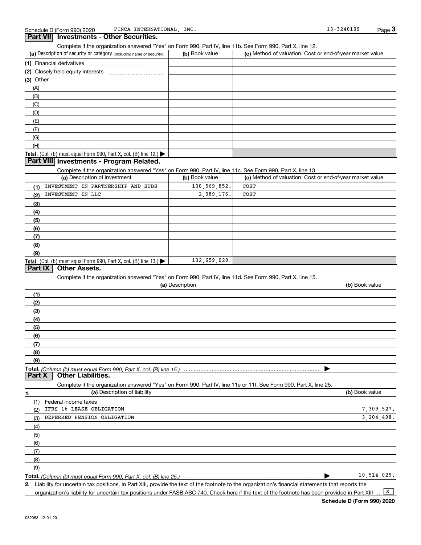**Part VII** Investments - Other Securities.

#### (a) Description of security or category (including name of security)  $\qquad$  (b) Book value  $\qquad$  (c) **Total.** (Col. (b) must equal Form 990, Part X, col. (B) line  $12$ .) **Total.** (Col. (b) must equal Form 990, Part X, col. (B) line  $13.$   $\blacktriangleright$ **(1)** Financial derivatives ~~~~~~~~~~~~~~~ **(2)** Closely held equity interests ~~~~~~~~~~~ **(3)** Other (a) Description of investment **b (b)** Book value **(1) (2) (3) (4) (5) (6) (7) (8) (9)** (a) Description **(1) (2) (3) (4) (5) (6) (7) (8) (9) Total.**  *(Column (b) must equal Form 990, Part X, col. (B) line 15.)* **1. (a)** Description of liability **and the contract of the contract of liability <b>(b)** Book value  $(b)$  Book value  $\vert$  (c) Method of valuation: Cost or end-of-year market value (A) (B) (C) (D) (E) (F) (G) (H) Complete if the organization answered "Yes" on Form 990, Part IV, line 11c. See Form 990, Part X, line 13. (c) Method of valuation: Cost or end-of-year market value Complete if the organization answered "Yes" on Form 990, Part IV, line 11d. See Form 990, Part X, line 15. (b) Book value | Complete if the organization answered "Yes" on Form 990, Part IV, line 11e or 11f. See Form 990, Part X, line 25. (1) Federal income taxes (2) (3) (4) (5) (6) (7) (8) (9) | **Part VIII Investments - Program Related. Part IX | Other Assets.** Part X | Other Liabilities. INVESTMENT IN PARTNERSHIP AND SUBS INVESTMENT IN LLC IFRS 16 LEASE OBLIGATION DEFERRED PENSION OBLIGATION COST 2,089,176. 132,659,028. 7,309,527. 3,204,498. 10,514,025. COST 130,569,852.

Complete if the organization answered "Yes" on Form 990, Part IV, line 11b. See Form 990, Part X, line 12.

**Total.**  *(Column (b) must equal Form 990, Part X, col. (B) line 25.)*

**2.** Liability for uncertain tax positions. In Part XIII, provide the text of the footnote to the organization's financial statements that reports the organization's liability for uncertain tax positions under FASB ASC 740. Check here if the text of the footnote has been provided in Part XIII  $\boxed{\mathbf{X}}$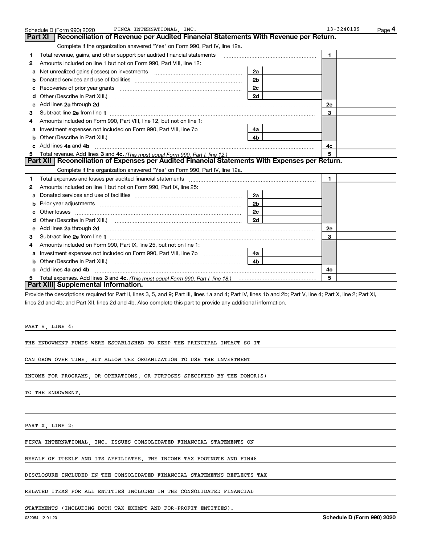|    | FINCA INTERNATIONAL, INC.<br>Schedule D (Form 990) 2020                                                                                                                                                                             |                | 13-3240109<br>Page 4 |
|----|-------------------------------------------------------------------------------------------------------------------------------------------------------------------------------------------------------------------------------------|----------------|----------------------|
|    | Reconciliation of Revenue per Audited Financial Statements With Revenue per Return.<br><b>Part XI</b>                                                                                                                               |                |                      |
|    | Complete if the organization answered "Yes" on Form 990, Part IV, line 12a.                                                                                                                                                         |                |                      |
| 1  | Total revenue, gains, and other support per audited financial statements                                                                                                                                                            |                | $\blacksquare$       |
| 2  | Amounts included on line 1 but not on Form 990, Part VIII, line 12:                                                                                                                                                                 |                |                      |
| a  | Net unrealized gains (losses) on investments [11] matter contracts and the unrealized gains (losses) on investments                                                                                                                 | 2a             |                      |
|    |                                                                                                                                                                                                                                     | 2 <sub>b</sub> |                      |
| с  | Recoveries of prior year grants [11] Recoveries of prior year grants [11] Recoveries of prior year grants                                                                                                                           | 2c             |                      |
| d  |                                                                                                                                                                                                                                     | 2d             |                      |
| е  | Add lines 2a through 2d                                                                                                                                                                                                             |                | 2e                   |
| 3  |                                                                                                                                                                                                                                     |                | 3                    |
| 4  | Amounts included on Form 990, Part VIII, line 12, but not on line 1:                                                                                                                                                                |                |                      |
|    |                                                                                                                                                                                                                                     | 4a l           |                      |
| b  | Other (Describe in Part XIII.) <b>Construction Contract Construction</b> [                                                                                                                                                          | 4 <sub>b</sub> |                      |
| C. | Add lines 4a and 4b                                                                                                                                                                                                                 |                | 4c                   |
|    |                                                                                                                                                                                                                                     |                | 5                    |
|    | Part XII   Reconciliation of Expenses per Audited Financial Statements With Expenses per Return.                                                                                                                                    |                |                      |
|    | Complete if the organization answered "Yes" on Form 990, Part IV, line 12a.                                                                                                                                                         |                |                      |
| 1  | Total expenses and losses per audited financial statements [11] [12] manuscription control expenses and losses per audited financial statements [11] [12] manuscription of the statements [12] manuscription of the statements      |                | $\mathbf{1}$         |
| 2  | Amounts included on line 1 but not on Form 990, Part IX, line 25:                                                                                                                                                                   |                |                      |
| a  |                                                                                                                                                                                                                                     | 2a             |                      |
|    |                                                                                                                                                                                                                                     | 2 <sub>b</sub> |                      |
| c  |                                                                                                                                                                                                                                     | 2c             |                      |
| d  |                                                                                                                                                                                                                                     | 2d             |                      |
| е  | Add lines 2a through 2d <b>contained a contained a contained a contained a</b> contained a contact the set of the set of the set of the set of the set of the set of the set of the set of the set of the set of the set of the set |                | 2e                   |
| 3  |                                                                                                                                                                                                                                     |                | 3                    |
| 4  | Amounts included on Form 990, Part IX, line 25, but not on line 1:                                                                                                                                                                  |                |                      |
|    |                                                                                                                                                                                                                                     | 4a l           |                      |
| b  |                                                                                                                                                                                                                                     | 4b.            |                      |
|    | Add lines 4a and 4b                                                                                                                                                                                                                 |                | 4c                   |
|    |                                                                                                                                                                                                                                     |                | 5                    |
|    | Part XIII Supplemental Information.                                                                                                                                                                                                 |                |                      |

Provide the descriptions required for Part II, lines 3, 5, and 9; Part III, lines 1a and 4; Part IV, lines 1b and 2b; Part V, line 4; Part X, line 2; Part XI, lines 2d and 4b; and Part XII, lines 2d and 4b. Also complete this part to provide any additional information.

PART V, LINE 4:

THE ENDOWMENT FUNDS WERE ESTABLISHED TO KEEP THE PRINCIPAL INTACT SO IT

CAN GROW OVER TIME, BUT ALLOW THE ORGANIZATION TO USE THE INVESTMENT

INCOME FOR PROGRAMS, OR OPERATIONS, OR PURPOSES SPECIFIED BY THE DONOR(S)

TO THE ENDOWMENT.

PART X, LINE 2:

FINCA INTERNATIONAL, INC. ISSUES CONSOLIDATED FINANCIAL STATEMENTS ON

BEHALF OF ITSELF AND ITS AFFILIATES. THE INCOME TAX FOOTNOTE AND FIN48

DISCLOSURE INCLUDED IN THE CONSOLIDATED FINANCIAL STATEMETNS REFLECTS TAX

RELATED ITEMS FOR ALL ENTITIES INCLUDED IN THE CONSOLIDATED FINANCIAL

STATEMENTS (INCLUDING BOTH TAX EXEMPT AND FOR-PROFIT ENTITIES).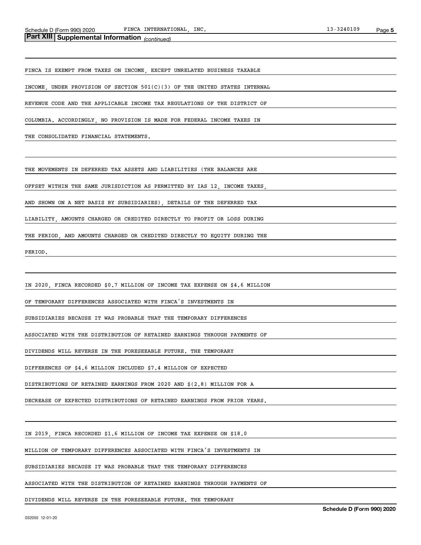## *(continued)* **Part XIII Supplemental Information**

FINCA IS EXEMPT FROM TAXES ON INCOME, EXCEPT UNRELATED BUSINESS TAXABLE

INCOME, UNDER PROVISION OF SECTION 501(C)(3) OF THE UNITED STATES INTERNAL

REVENUE CODE AND THE APPLICABLE INCOME TAX REGULATIONS OF THE DISTRICT OF

COLUMBIA. ACCORDINGLY, NO PROVISION IS MADE FOR FEDERAL INCOME TAXES IN

THE CONSOLIDATED FINANCIAL STATEMENTS.

THE MOVEMENTS IN DEFERRED TAX ASSETS AND LIABILITIES (THE BALANCES ARE

OFFSET WITHIN THE SAME JURISDICTION AS PERMITTED BY IAS 12, INCOME TAXES,

AND SHOWN ON A NET BASIS BY SUBSIDIARIES), DETAILS OF THE DEFERRED TAX

LIABILITY, AMOUNTS CHARGED OR CREDITED DIRECTLY TO PROFIT OR LOSS DURING

THE PERIOD, AND AMOUNTS CHARGED OR CREDITED DIRECTLY TO EQUITY DURING THE

PERIOD.

IN 2020, FINCA RECORDED \$0.7 MILLION OF INCOME TAX EXPENSE ON \$4.6 MILLION

OF TEMPORARY DIFFERENCES ASSOCIATED WITH FINCA'S INVESTMENTS IN

SUBSIDIARIES BECAUSE IT WAS PROBABLE THAT THE TEMPORARY DIFFERENCES

ASSOCIATED WITH THE DISTRIBUTION OF RETAINED EARNINGS THROUGH PAYMENTS OF

DIVIDENDS WILL REVERSE IN THE FORESEEABLE FUTURE. THE TEMPORARY

DIFFERENCES OF \$4.6 MILLION INCLUDED \$7.4 MILLION OF EXPECTED

DISTRIBUTIONS OF RETAINED EARNINGS FROM 2020 AND \$(2.8) MILLION FOR A

DECREASE OF EXPECTED DISTRIBUTIONS OF RETAINED EARNINGS FROM PRIOR YEARS.

IN 2019, FINCA RECORDED \$1.6 MILLION OF INCOME TAX EXPENSE ON \$18.0

MILLION OF TEMPORARY DIFFERENCES ASSOCIATED WITH FINCA'S INVESTMENTS IN

SUBSIDIARIES BECAUSE IT WAS PROBABLE THAT THE TEMPORARY DIFFERENCES

ASSOCIATED WITH THE DISTRIBUTION OF RETAINED EARNINGS THROUGH PAYMENTS OF

DIVIDENDS WILL REVERSE IN THE FORESEEABLE FUTURE. THE TEMPORARY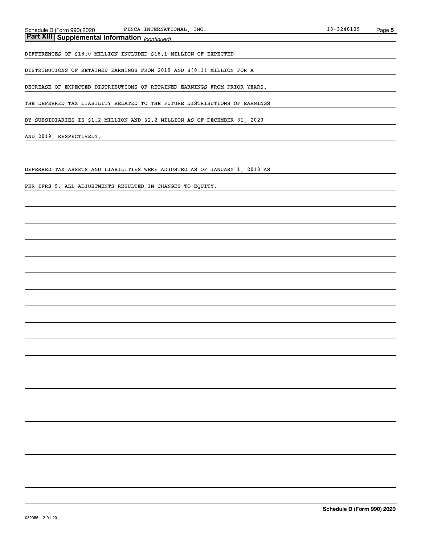*(continued)* **Part XIII Supplemental Information** 

DIFFERENCES OF \$18.0 MILLION INCLUDED \$18.1 MILLION OF EXPECTED

DISTRIBUTIONS OF RETAINED EARNINGS FROM 2019 AND \$(0.1) MILLION FOR A

DECREASE OF EXPECTED DISTRIBUTIONS OF RETAINED EARNINGS FROM PRIOR YEARS.

THE DEFERRED TAX LIABILITY RELATED TO THE FUTURE DISTRIBUTIONS OF EARNINGS

BY SUBSIDIARIES IS \$1.2 MILLION AND \$2.2 MILLION AS OF DECEMBER 31, 2020

AND 2019, RESPECTIVELY.

DEFERRED TAX ASSETS AND LIABILITIES WERE ADJUSTED AS OF JANUARY 1, 2018 AS

PER IFRS 9. ALL ADJUSTMENTS RESULTED IN CHANGES TO EQUITY.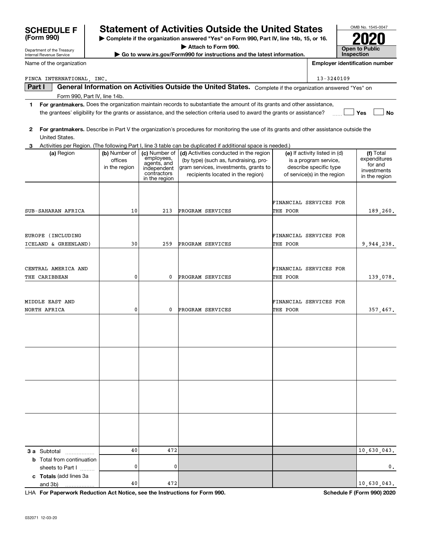| Part I |                                  |               |                                          | General Information on Activities Outside the United States. Complete if the organization answered "Yes" on                             |                               |                         |
|--------|----------------------------------|---------------|------------------------------------------|-----------------------------------------------------------------------------------------------------------------------------------------|-------------------------------|-------------------------|
|        | Form 990, Part IV, line 14b.     |               |                                          |                                                                                                                                         |                               |                         |
| 1      |                                  |               |                                          | For grantmakers. Does the organization maintain records to substantiate the amount of its grants and other assistance,                  |                               |                         |
|        |                                  |               |                                          | the grantees' eligibility for the grants or assistance, and the selection criteria used to award the grants or assistance?              |                               | Yes<br><b>No</b>        |
|        |                                  |               |                                          |                                                                                                                                         |                               |                         |
| 2      |                                  |               |                                          | For grantmakers. Describe in Part V the organization's procedures for monitoring the use of its grants and other assistance outside the |                               |                         |
|        | United States.                   |               |                                          |                                                                                                                                         |                               |                         |
| 3      |                                  |               |                                          | Activities per Region. (The following Part I, line 3 table can be duplicated if additional space is needed.)                            |                               |                         |
|        | (a) Region                       | (b) Number of | (c) Number of                            | (d) Activities conducted in the region                                                                                                  | (e) If activity listed in (d) | (f) Total               |
|        |                                  | offices       | employees,<br>agents, and<br>independent | (by type) (such as, fundraising, pro-                                                                                                   | is a program service,         | expenditures<br>for and |
|        |                                  | in the region | contractors                              | gram services, investments, grants to<br>recipients located in the region)                                                              | describe specific type        | investments             |
|        |                                  |               | in the region                            |                                                                                                                                         | of service(s) in the region   | in the region           |
|        |                                  |               |                                          |                                                                                                                                         |                               |                         |
|        |                                  |               |                                          |                                                                                                                                         |                               |                         |
|        |                                  |               |                                          |                                                                                                                                         | FINANCIAL SERVICES FOR        |                         |
|        | SUB-SAHARAN AFRICA               | 10            | 213                                      | PROGRAM SERVICES                                                                                                                        | THE POOR                      | 189,260.                |
|        |                                  |               |                                          |                                                                                                                                         |                               |                         |
|        |                                  |               |                                          |                                                                                                                                         |                               |                         |
|        | EUROPE (INCLUDING                |               |                                          |                                                                                                                                         | FINANCIAL SERVICES FOR        |                         |
|        | ICELAND & GREENLAND)             | 30            | 259                                      | PROGRAM SERVICES                                                                                                                        | THE POOR                      | 9,944,238.              |
|        |                                  |               |                                          |                                                                                                                                         |                               |                         |
|        |                                  |               |                                          |                                                                                                                                         |                               |                         |
|        | CENTRAL AMERICA AND              |               |                                          |                                                                                                                                         | FINANCIAL SERVICES FOR        |                         |
|        | THE CARIBBEAN                    | 0             | 0                                        | PROGRAM SERVICES                                                                                                                        | THE POOR                      | 139,078.                |
|        |                                  |               |                                          |                                                                                                                                         |                               |                         |
|        |                                  |               |                                          |                                                                                                                                         |                               |                         |
|        | MIDDLE EAST AND                  |               |                                          |                                                                                                                                         | FINANCIAL SERVICES FOR        |                         |
|        | NORTH AFRICA                     | 0             | 0                                        | PROGRAM SERVICES                                                                                                                        | THE POOR                      | 357,467.                |
|        |                                  |               |                                          |                                                                                                                                         |                               |                         |
|        |                                  |               |                                          |                                                                                                                                         |                               |                         |
|        |                                  |               |                                          |                                                                                                                                         |                               |                         |
|        |                                  |               |                                          |                                                                                                                                         |                               |                         |
|        |                                  |               |                                          |                                                                                                                                         |                               |                         |
|        |                                  |               |                                          |                                                                                                                                         |                               |                         |
|        |                                  |               |                                          |                                                                                                                                         |                               |                         |
|        |                                  |               |                                          |                                                                                                                                         |                               |                         |
|        |                                  |               |                                          |                                                                                                                                         |                               |                         |
|        |                                  |               |                                          |                                                                                                                                         |                               |                         |
|        |                                  |               |                                          |                                                                                                                                         |                               |                         |
|        |                                  |               |                                          |                                                                                                                                         |                               |                         |
|        |                                  |               |                                          |                                                                                                                                         |                               |                         |
|        |                                  |               |                                          |                                                                                                                                         |                               |                         |
|        |                                  |               |                                          |                                                                                                                                         |                               |                         |
|        |                                  |               |                                          |                                                                                                                                         |                               |                         |
|        | 3 a Subtotal                     | 40            | 472                                      |                                                                                                                                         |                               | 10,630,043.             |
|        | <b>b</b> Total from continuation |               |                                          |                                                                                                                                         |                               |                         |
|        | sheets to Part I                 | 0             | 0                                        |                                                                                                                                         |                               | 0.                      |
|        | c Totals (add lines 3a           |               |                                          |                                                                                                                                         |                               |                         |

## FINCA INTERNATIONAL, INC. 13-3240109

**For Paperwork Reduction Act Notice, see the Instructions for Form 990. Schedule F (Form 990) 2020** LHA

40

472 10,630,043.

and 3b)

Department of the Treasury Internal Revenue Service

Name of the organization

|                                 | <b>Statement of Activities Outside the United States</b>                                 | OMB No. 1545-004 |
|---------------------------------|------------------------------------------------------------------------------------------|------------------|
| <b>SCHEDULE F</b><br>(Form 990) |                                                                                          |                  |
|                                 | ► Complete if the organization answered "Yes" on Form 990, Part IV, line 14b, 15, or 16. | 2020             |
|                                 | $\blacktriangleright$ Attach to Earm 000 $\blacktriangleleft$                            |                  |

**| Attach to Form 990.**

 $\triangleright$  Go to www.irs.gov/Form990 for instructions and the latest information.

| OMB No. 1545-0047     |
|-----------------------|
|                       |
| <b>7021</b>           |
| <b>Open to Public</b> |
| Inspection            |

**Employer identification number**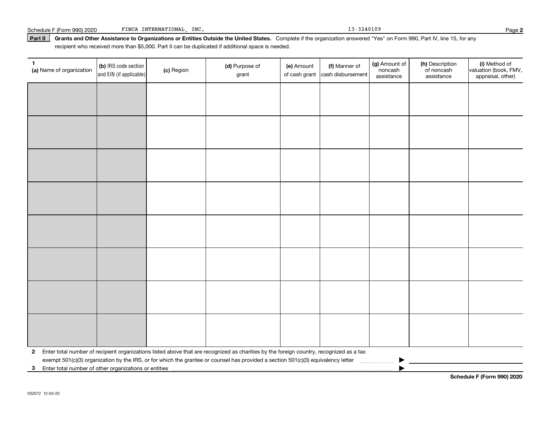### Schedule F (Form 990) 2020 FINCA INTERNATIONAL, INC. 2008 13-3240109 13-3240109

Part II | Grants and Other Assistance to Organizations or Entities Outside the United States. Complete if the organization answered "Yes" on Form 990, Part IV, line 15, for any recipient who received more than \$5,000. Part II can be duplicated if additional space is needed.

| $\mathbf{1}$<br>(a) Name of organization | (b) IRS code section<br>and EIN (if applicable) | (c) Region | (d) Purpose of<br>grant                                                                                                                 | (e) Amount<br>of cash grant | (f) Manner of<br>cash disbursement | (g) Amount of<br>noncash<br>assistance | (h) Description<br>of noncash<br>assistance | (i) Method of<br>valuation (book, FMV,<br>appraisal, other) |
|------------------------------------------|-------------------------------------------------|------------|-----------------------------------------------------------------------------------------------------------------------------------------|-----------------------------|------------------------------------|----------------------------------------|---------------------------------------------|-------------------------------------------------------------|
|                                          |                                                 |            |                                                                                                                                         |                             |                                    |                                        |                                             |                                                             |
|                                          |                                                 |            |                                                                                                                                         |                             |                                    |                                        |                                             |                                                             |
|                                          |                                                 |            |                                                                                                                                         |                             |                                    |                                        |                                             |                                                             |
|                                          |                                                 |            |                                                                                                                                         |                             |                                    |                                        |                                             |                                                             |
|                                          |                                                 |            |                                                                                                                                         |                             |                                    |                                        |                                             |                                                             |
|                                          |                                                 |            |                                                                                                                                         |                             |                                    |                                        |                                             |                                                             |
|                                          |                                                 |            |                                                                                                                                         |                             |                                    |                                        |                                             |                                                             |
|                                          |                                                 |            |                                                                                                                                         |                             |                                    |                                        |                                             |                                                             |
|                                          |                                                 |            |                                                                                                                                         |                             |                                    |                                        |                                             |                                                             |
|                                          |                                                 |            |                                                                                                                                         |                             |                                    |                                        |                                             |                                                             |
|                                          |                                                 |            |                                                                                                                                         |                             |                                    |                                        |                                             |                                                             |
|                                          |                                                 |            |                                                                                                                                         |                             |                                    |                                        |                                             |                                                             |
|                                          |                                                 |            |                                                                                                                                         |                             |                                    |                                        |                                             |                                                             |
|                                          |                                                 |            |                                                                                                                                         |                             |                                    |                                        |                                             |                                                             |
|                                          |                                                 |            |                                                                                                                                         |                             |                                    |                                        |                                             |                                                             |
|                                          |                                                 |            |                                                                                                                                         |                             |                                    |                                        |                                             |                                                             |
| $\mathbf{2}$                             |                                                 |            | Enter total number of recipient organizations listed above that are recognized as charities by the foreign country, recognized as a tax |                             |                                    |                                        |                                             |                                                             |
|                                          |                                                 |            | exempt 501(c)(3) organization by the IRS, or for which the grantee or counsel has provided a section 501(c)(3) equivalency letter       |                             |                                    |                                        |                                             |                                                             |
| 3                                        |                                                 |            |                                                                                                                                         |                             |                                    |                                        |                                             |                                                             |

**2**

**Schedule F (Form 990) 2020**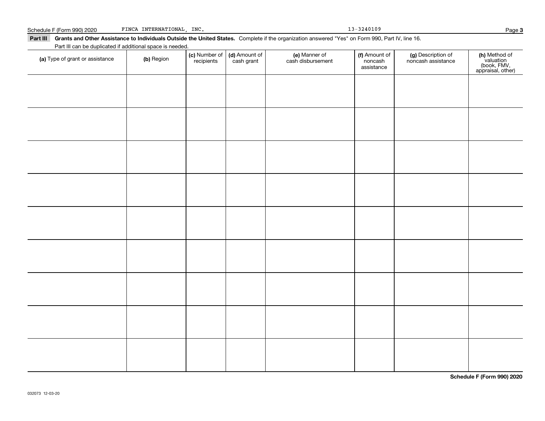### Schedule F (Form 990) 2020 FINCA INTERNATIONAL, INC. 2008 13-3240109 13-3240109

Part III Grants and Other Assistance to Individuals Outside the United States. Complete if the organization answered "Yes" on Form 990, Part IV, line 16.

(a) Type of grant or assistance (b) Region (b) Region (c) Number of (d) Amount of (e) Manner of (f) Amount of (f)<br>Region (cash grant cash dishursement noncash noncash noncash ssistance v Part III can be duplicated if additional space is needed. (c) Number of *recipients* (d) Amount of cash grant (e) Manner of cash disbursement (f) Amount of noncash assistance (g) Description of noncash assistance (**h)** Method of<br>valuation<br>(book, FMV,<br>appraisal, other)

**Schedule F (Form 990) 2020**

Page 3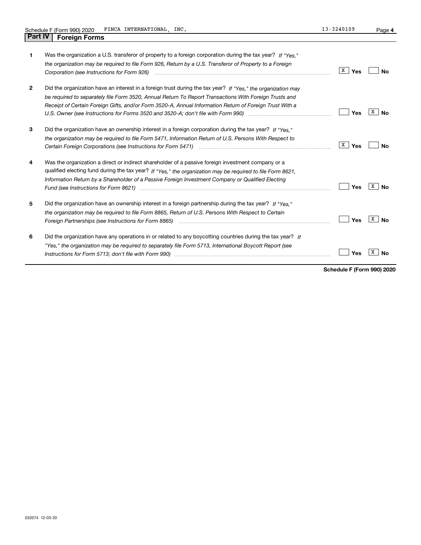| 1            | Was the organization a U.S. transferor of property to a foreign corporation during the tax year? If "Yes."<br>the organization may be required to file Form 926, Return by a U.S. Transferor of Property to a Foreign<br>Corporation (see Instructions for Form 926) <i>manual content content corporation (see Instructions</i> of the Term                                                                                                             | x  <br>Yes | Nο      |
|--------------|----------------------------------------------------------------------------------------------------------------------------------------------------------------------------------------------------------------------------------------------------------------------------------------------------------------------------------------------------------------------------------------------------------------------------------------------------------|------------|---------|
| $\mathbf{2}$ | Did the organization have an interest in a foreign trust during the tax year? If "Yes," the organization may<br>be required to separately file Form 3520, Annual Return To Report Transactions With Foreign Trusts and<br>Receipt of Certain Foreign Gifts, and/or Form 3520-A, Annual Information Return of Foreign Trust With a<br>U.S. Owner (see Instructions for Forms 3520 and 3520-A; don't file with Form 990) manual content content conte      | Yes        | x<br>No |
| 3            | Did the organization have an ownership interest in a foreign corporation during the tax year? If "Yes."<br>the organization may be required to file Form 5471, Information Return of U.S. Persons With Respect to<br>Certain Foreign Corporations (see Instructions for Form 5471) <i>[100]</i> [100] [100] [100] [100] [100] [100] [100] [100] [100] [100] [100] [100] [100] [100] [100] [100] [100] [100] [100] [100] [100] [100] [100] [100] [100] [1 | X  <br>Yes | Nο      |
| 4            | Was the organization a direct or indirect shareholder of a passive foreign investment company or a<br>qualified electing fund during the tax year? If "Yes," the organization may be required to file Form 8621.<br>Information Return by a Shareholder of a Passive Foreign Investment Company or Qualified Electing<br>Fund (see Instructions for Form 8621) manufactured control to the control of the control of the control of the                  | Yes        | X<br>Nο |
| 5            | Did the organization have an ownership interest in a foreign partnership during the tax year? If "Yes."<br>the organization may be required to file Form 8865, Return of U.S. Persons With Respect to Certain<br>Foreign Partnerships (see Instructions for Form 8865) manufactured contain the control of the control of the control of the control of the control of the control of the control of the control of the control of the control           | Yes        | X<br>Nο |
| 6            | Did the organization have any operations in or related to any boycotting countries during the tax year? If<br>"Yes," the organization may be required to separately file Form 5713, International Boycott Report (see                                                                                                                                                                                                                                    | Yes        |         |

**Schedule F (Form 990) 2020**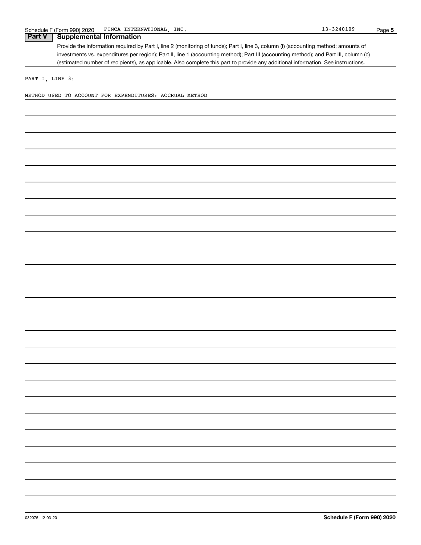# **Part V Supplemental Information**

Provide the information required by Part I, line 2 (monitoring of funds); Part I, line 3, column (f) (accounting method; amounts of investments vs. expenditures per region); Part II, line 1 (accounting method); Part III (accounting method); and Part III, column (c) (estimated number of recipients), as applicable. Also complete this part to provide any additional information. See instructions.

PART I, LINE 3:

METHOD USED TO ACCOUNT FOR EXPENDITURES: ACCRUAL METHOD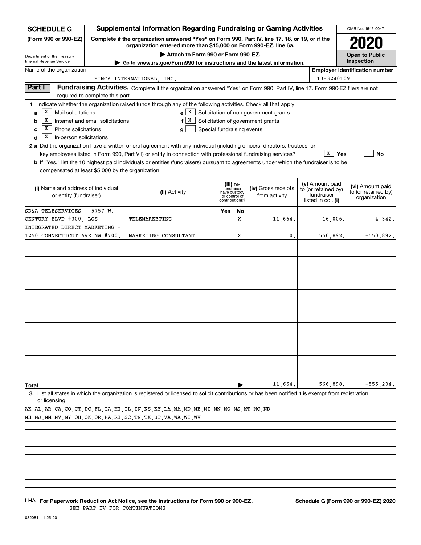| <b>SCHEDULE G</b>                                            |                                  | <b>Supplemental Information Regarding Fundraising or Gaming Activities</b>                                                                                          |                                 |             |                                             |  |                                                                                                                                                                                                                                                                                                                                                                                                                                                                                                                                       | OMB No. 1545-0047     |  |  |
|--------------------------------------------------------------|----------------------------------|---------------------------------------------------------------------------------------------------------------------------------------------------------------------|---------------------------------|-------------|---------------------------------------------|--|---------------------------------------------------------------------------------------------------------------------------------------------------------------------------------------------------------------------------------------------------------------------------------------------------------------------------------------------------------------------------------------------------------------------------------------------------------------------------------------------------------------------------------------|-----------------------|--|--|
| (Form 990 or 990-EZ)                                         |                                  | Complete if the organization answered "Yes" on Form 990, Part IV, line 17, 18, or 19, or if the<br>organization entered more than \$15,000 on Form 990-EZ, line 6a. |                                 |             |                                             |  |                                                                                                                                                                                                                                                                                                                                                                                                                                                                                                                                       | 2020                  |  |  |
| Department of the Treasury                                   |                                  | Attach to Form 990 or Form 990-EZ.                                                                                                                                  |                                 |             |                                             |  |                                                                                                                                                                                                                                                                                                                                                                                                                                                                                                                                       | <b>Open to Public</b> |  |  |
| <b>Internal Revenue Service</b>                              |                                  | Go to www.irs.gov/Form990 for instructions and the latest information.                                                                                              |                                 |             |                                             |  |                                                                                                                                                                                                                                                                                                                                                                                                                                                                                                                                       |                       |  |  |
| Name of the organization                                     |                                  |                                                                                                                                                                     |                                 |             |                                             |  |                                                                                                                                                                                                                                                                                                                                                                                                                                                                                                                                       |                       |  |  |
|                                                              |                                  | FINCA INTERNATIONAL, INC.                                                                                                                                           |                                 |             |                                             |  |                                                                                                                                                                                                                                                                                                                                                                                                                                                                                                                                       |                       |  |  |
| Part I                                                       | required to complete this part.  |                                                                                                                                                                     |                                 |             |                                             |  |                                                                                                                                                                                                                                                                                                                                                                                                                                                                                                                                       |                       |  |  |
|                                                              |                                  | 1 Indicate whether the organization raised funds through any of the following activities. Check all that apply.                                                     |                                 |             |                                             |  |                                                                                                                                                                                                                                                                                                                                                                                                                                                                                                                                       |                       |  |  |
| X<br>Mail solicitations<br>a                                 |                                  |                                                                                                                                                                     |                                 |             | $e X$ Solicitation of non-government grants |  |                                                                                                                                                                                                                                                                                                                                                                                                                                                                                                                                       |                       |  |  |
| Х<br>b                                                       | Internet and email solicitations | f                                                                                                                                                                   |                                 |             | $X$ Solicitation of government grants       |  |                                                                                                                                                                                                                                                                                                                                                                                                                                                                                                                                       |                       |  |  |
| x<br>Phone solicitations<br>C                                |                                  | g                                                                                                                                                                   | Special fundraising events      |             |                                             |  |                                                                                                                                                                                                                                                                                                                                                                                                                                                                                                                                       |                       |  |  |
| х<br>In-person solicitations<br>d                            |                                  |                                                                                                                                                                     |                                 |             |                                             |  |                                                                                                                                                                                                                                                                                                                                                                                                                                                                                                                                       |                       |  |  |
|                                                              |                                  | 2 a Did the organization have a written or oral agreement with any individual (including officers, directors, trustees, or                                          |                                 |             |                                             |  |                                                                                                                                                                                                                                                                                                                                                                                                                                                                                                                                       |                       |  |  |
|                                                              |                                  | key employees listed in Form 990, Part VII) or entity in connection with professional fundraising services?                                                         |                                 |             |                                             |  |                                                                                                                                                                                                                                                                                                                                                                                                                                                                                                                                       | No                    |  |  |
|                                                              |                                  | <b>b</b> If "Yes," list the 10 highest paid individuals or entities (fundraisers) pursuant to agreements under which the fundraiser is to be                        |                                 |             |                                             |  |                                                                                                                                                                                                                                                                                                                                                                                                                                                                                                                                       |                       |  |  |
| compensated at least \$5,000 by the organization.            |                                  |                                                                                                                                                                     |                                 |             |                                             |  |                                                                                                                                                                                                                                                                                                                                                                                                                                                                                                                                       |                       |  |  |
|                                                              |                                  |                                                                                                                                                                     | (iii) Did                       |             |                                             |  |                                                                                                                                                                                                                                                                                                                                                                                                                                                                                                                                       |                       |  |  |
| (i) Name and address of individual<br>or entity (fundraiser) |                                  | (ii) Activity                                                                                                                                                       | fundraiser<br>have custody      |             | (iv) Gross receipts<br>from activity        |  |                                                                                                                                                                                                                                                                                                                                                                                                                                                                                                                                       | to (or retained by)   |  |  |
|                                                              |                                  |                                                                                                                                                                     | or control of<br>contributions? |             |                                             |  | Inspection<br><b>Employer identification number</b><br>13-3240109<br>Fundraising Activities. Complete if the organization answered "Yes" on Form 990, Part IV, line 17. Form 990-EZ filers are not<br>$\overline{X}$   Yes<br>(v) Amount paid<br>(vi) Amount paid<br>to (or retained by)<br>fundraiser<br>listed in col. (i)<br>16,006.<br>550,892.<br>566,898.<br>$-555, 234.$<br>3 List all states in which the organization is registered or licensed to solicit contributions or has been notified it is exempt from registration | organization          |  |  |
| SD&A TELESERVICES - 5757 W.                                  |                                  |                                                                                                                                                                     | <b>Yes</b>                      | No          |                                             |  |                                                                                                                                                                                                                                                                                                                                                                                                                                                                                                                                       |                       |  |  |
| CENTURY BLVD #300, LOS                                       |                                  | TELEMARKETING                                                                                                                                                       |                                 | $\mathbf x$ | 11,664.                                     |  |                                                                                                                                                                                                                                                                                                                                                                                                                                                                                                                                       | $-4,342.$             |  |  |
| INTEGRATED DIRECT MARKETING -                                |                                  |                                                                                                                                                                     |                                 |             |                                             |  |                                                                                                                                                                                                                                                                                                                                                                                                                                                                                                                                       |                       |  |  |
| 1250 CONNECTICUT AVE NW #700,                                |                                  | MARKETING CONSULTANT                                                                                                                                                |                                 | х           | $\mathbf{0}$ .                              |  | $-550,892.$                                                                                                                                                                                                                                                                                                                                                                                                                                                                                                                           |                       |  |  |
|                                                              |                                  |                                                                                                                                                                     |                                 |             |                                             |  |                                                                                                                                                                                                                                                                                                                                                                                                                                                                                                                                       |                       |  |  |
|                                                              |                                  |                                                                                                                                                                     |                                 |             |                                             |  |                                                                                                                                                                                                                                                                                                                                                                                                                                                                                                                                       |                       |  |  |
|                                                              |                                  |                                                                                                                                                                     |                                 |             |                                             |  |                                                                                                                                                                                                                                                                                                                                                                                                                                                                                                                                       |                       |  |  |
|                                                              |                                  |                                                                                                                                                                     |                                 |             |                                             |  |                                                                                                                                                                                                                                                                                                                                                                                                                                                                                                                                       |                       |  |  |
|                                                              |                                  |                                                                                                                                                                     |                                 |             |                                             |  |                                                                                                                                                                                                                                                                                                                                                                                                                                                                                                                                       |                       |  |  |
|                                                              |                                  |                                                                                                                                                                     |                                 |             |                                             |  |                                                                                                                                                                                                                                                                                                                                                                                                                                                                                                                                       |                       |  |  |
|                                                              |                                  |                                                                                                                                                                     |                                 |             |                                             |  |                                                                                                                                                                                                                                                                                                                                                                                                                                                                                                                                       |                       |  |  |
|                                                              |                                  |                                                                                                                                                                     |                                 |             |                                             |  |                                                                                                                                                                                                                                                                                                                                                                                                                                                                                                                                       |                       |  |  |
|                                                              |                                  |                                                                                                                                                                     |                                 |             |                                             |  |                                                                                                                                                                                                                                                                                                                                                                                                                                                                                                                                       |                       |  |  |
|                                                              |                                  |                                                                                                                                                                     |                                 |             |                                             |  |                                                                                                                                                                                                                                                                                                                                                                                                                                                                                                                                       |                       |  |  |
|                                                              |                                  |                                                                                                                                                                     |                                 |             |                                             |  |                                                                                                                                                                                                                                                                                                                                                                                                                                                                                                                                       |                       |  |  |
|                                                              |                                  |                                                                                                                                                                     |                                 |             |                                             |  |                                                                                                                                                                                                                                                                                                                                                                                                                                                                                                                                       |                       |  |  |
|                                                              |                                  |                                                                                                                                                                     |                                 |             |                                             |  |                                                                                                                                                                                                                                                                                                                                                                                                                                                                                                                                       |                       |  |  |
|                                                              |                                  |                                                                                                                                                                     |                                 |             |                                             |  |                                                                                                                                                                                                                                                                                                                                                                                                                                                                                                                                       |                       |  |  |
|                                                              |                                  |                                                                                                                                                                     |                                 |             |                                             |  |                                                                                                                                                                                                                                                                                                                                                                                                                                                                                                                                       |                       |  |  |
|                                                              |                                  |                                                                                                                                                                     |                                 |             |                                             |  |                                                                                                                                                                                                                                                                                                                                                                                                                                                                                                                                       |                       |  |  |
| Total                                                        |                                  |                                                                                                                                                                     |                                 |             | 11,664.                                     |  |                                                                                                                                                                                                                                                                                                                                                                                                                                                                                                                                       |                       |  |  |

AK,AL,AR,CA,CO,CT,DC,FL,GA,HI,IL,IN,KS,KY,LA,MA,MD,ME,MI,MN,MO,MS,MT,NC,ND NH,NJ,NM,NV,NY,OH,OK,OR,PA,RI,SC,TN,TX,UT,VA,WA,WI,WV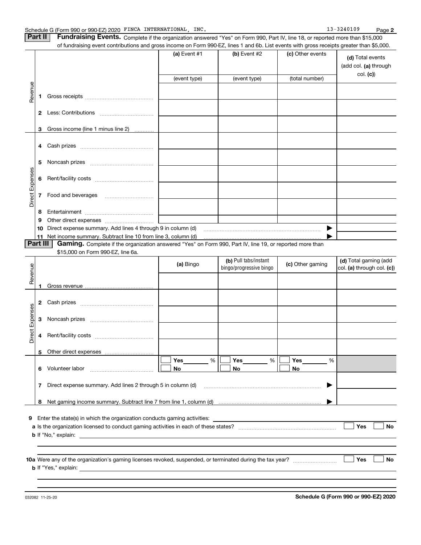| Part II   Fundraising Events. Complete if the organization answered "Yes" on Form 990, Part IV, line 18, or reported more than \$15,000   |
|-------------------------------------------------------------------------------------------------------------------------------------------|
| of fundraising event contributions and gross income on Form 990-EZ, lines 1 and 6b. List events with gross receipts greater than \$5,000. |

|                 |          | 01 Turidiaishiy event contributions and gross income on Form 990-EZ, iines T and ob. Eist events with gross receipts greater than \$0,000. |                |                         |                  |                                                       |
|-----------------|----------|--------------------------------------------------------------------------------------------------------------------------------------------|----------------|-------------------------|------------------|-------------------------------------------------------|
|                 |          |                                                                                                                                            | (a) Event $#1$ | $(b)$ Event #2          | (c) Other events | (d) Total events<br>(add col. (a) through<br>col. (c) |
|                 |          |                                                                                                                                            | (event type)   | (event type)            | (total number)   |                                                       |
| Revenue         |          |                                                                                                                                            |                |                         |                  |                                                       |
|                 |          |                                                                                                                                            |                |                         |                  |                                                       |
|                 |          | 3 Gross income (line 1 minus line 2)                                                                                                       |                |                         |                  |                                                       |
|                 |          |                                                                                                                                            |                |                         |                  |                                                       |
|                 | 5        |                                                                                                                                            |                |                         |                  |                                                       |
| Direct Expenses | 6        |                                                                                                                                            |                |                         |                  |                                                       |
|                 |          | 7 Food and beverages                                                                                                                       |                |                         |                  |                                                       |
|                 | 8        |                                                                                                                                            |                |                         |                  |                                                       |
|                 | 9        |                                                                                                                                            |                |                         |                  |                                                       |
|                 | 10       | Direct expense summary. Add lines 4 through 9 in column (d)                                                                                |                |                         | ▶                |                                                       |
|                 | Part III | Gaming. Complete if the organization answered "Yes" on Form 990, Part IV, line 19, or reported more than                                   |                |                         |                  |                                                       |
|                 |          | \$15,000 on Form 990-EZ, line 6a.                                                                                                          |                |                         |                  |                                                       |
|                 |          |                                                                                                                                            |                | (b) Pull tabs/instant   |                  | (d) Total gaming (add                                 |
| Revenue         |          |                                                                                                                                            | (a) Bingo      | bingo/progressive bingo | (c) Other gaming | col. (a) through col. (c))                            |
|                 |          |                                                                                                                                            |                |                         |                  |                                                       |
|                 | 1        |                                                                                                                                            |                |                         |                  |                                                       |
|                 |          |                                                                                                                                            |                |                         |                  |                                                       |
|                 |          |                                                                                                                                            |                |                         |                  |                                                       |
| Direct Expenses |          |                                                                                                                                            |                |                         |                  |                                                       |
|                 |          |                                                                                                                                            |                |                         |                  |                                                       |
|                 |          |                                                                                                                                            |                |                         |                  |                                                       |
|                 |          |                                                                                                                                            | Yes<br>%       | Yes<br>%                | Yes<br>%         |                                                       |
|                 | 6        | Volunteer labor                                                                                                                            | No             | No                      | No               |                                                       |
|                 | 7        | Direct expense summary. Add lines 2 through 5 in column (d)                                                                                |                |                         |                  |                                                       |
|                 |          |                                                                                                                                            |                |                         |                  |                                                       |
|                 | 8        |                                                                                                                                            |                |                         |                  |                                                       |
|                 |          | 9 Enter the state(s) in which the organization conducts gaming activities:                                                                 |                |                         |                  |                                                       |
|                 |          |                                                                                                                                            |                |                         |                  | Yes<br>No                                             |
|                 |          | <b>b</b> If "No," explain:                                                                                                                 |                |                         |                  |                                                       |
|                 |          |                                                                                                                                            |                |                         |                  |                                                       |
|                 |          |                                                                                                                                            |                |                         |                  |                                                       |
|                 |          | <b>b</b> If "Yes," explain:                                                                                                                |                |                         |                  | Yes<br>No                                             |
|                 |          |                                                                                                                                            |                |                         |                  |                                                       |
|                 |          |                                                                                                                                            |                |                         |                  |                                                       |

032082 11-25-20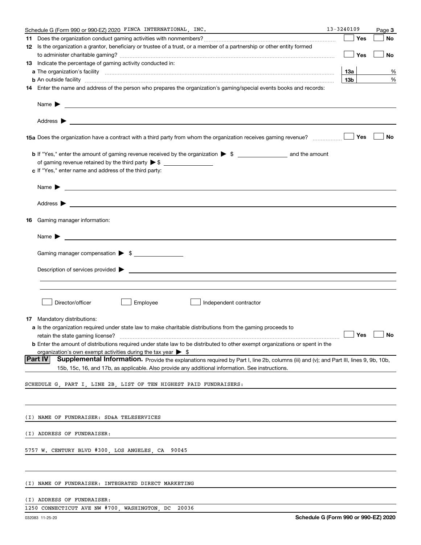|    | 13-3240109<br>Schedule G (Form 990 or 990-EZ) 2020 FINCA INTERNATIONAL, INC.                                                                                                                                                              |                      | Page 3 |
|----|-------------------------------------------------------------------------------------------------------------------------------------------------------------------------------------------------------------------------------------------|----------------------|--------|
| 11 |                                                                                                                                                                                                                                           | Yes                  | No     |
|    | 12 Is the organization a grantor, beneficiary or trustee of a trust, or a member of a partnership or other entity formed                                                                                                                  |                      |        |
|    |                                                                                                                                                                                                                                           | Yes                  | No     |
|    | <b>13</b> Indicate the percentage of gaming activity conducted in:                                                                                                                                                                        |                      |        |
|    |                                                                                                                                                                                                                                           | 13а                  | %      |
|    | <b>b</b> An outside facility <i>www.communically.communically.communically.communically.communically.communically.communically.communically.communically.communically.communically.communically.communically.communically.communicall</i> | 13 <sub>b</sub>      | %      |
|    | 14 Enter the name and address of the person who prepares the organization's gaming/special events books and records:                                                                                                                      |                      |        |
|    |                                                                                                                                                                                                                                           |                      |        |
|    |                                                                                                                                                                                                                                           |                      |        |
|    |                                                                                                                                                                                                                                           |                      |        |
|    |                                                                                                                                                                                                                                           | Yes                  | No     |
|    |                                                                                                                                                                                                                                           |                      |        |
|    |                                                                                                                                                                                                                                           |                      |        |
|    | c If "Yes," enter name and address of the third party:                                                                                                                                                                                    |                      |        |
|    |                                                                                                                                                                                                                                           |                      |        |
|    | Name $\blacktriangleright$ $\_\_$                                                                                                                                                                                                         |                      |        |
|    |                                                                                                                                                                                                                                           |                      |        |
|    | 16 Gaming manager information:                                                                                                                                                                                                            |                      |        |
|    | Name $\blacktriangleright$ $\frac{1}{\sqrt{1-\frac{1}{2}}\left(1-\frac{1}{2}\right)}$                                                                                                                                                     |                      |        |
|    | Gaming manager compensation > \$                                                                                                                                                                                                          |                      |        |
|    |                                                                                                                                                                                                                                           |                      |        |
|    |                                                                                                                                                                                                                                           |                      |        |
|    |                                                                                                                                                                                                                                           |                      |        |
|    |                                                                                                                                                                                                                                           |                      |        |
|    | Director/officer<br>Employee<br>Independent contractor                                                                                                                                                                                    |                      |        |
| 17 | Mandatory distributions:                                                                                                                                                                                                                  |                      |        |
|    | a Is the organization required under state law to make charitable distributions from the gaming proceeds to                                                                                                                               |                      |        |
|    | retain the state gaming license?                                                                                                                                                                                                          | $\Box$ Yes $\Box$ No |        |
|    | <b>b</b> Enter the amount of distributions required under state law to be distributed to other exempt organizations or spent in the                                                                                                       |                      |        |
|    | organization's own exempt activities during the tax year $\triangleright$ \$                                                                                                                                                              |                      |        |
|    | Part IV<br>Supplemental Information. Provide the explanations required by Part I, line 2b, columns (iii) and (v); and Part III, lines 9, 9b, 10b,                                                                                         |                      |        |
|    | 15b, 15c, 16, and 17b, as applicable. Also provide any additional information. See instructions.                                                                                                                                          |                      |        |
|    | SCHEDULE G, PART I, LINE 2B, LIST OF TEN HIGHEST PAID FUNDRAISERS:                                                                                                                                                                        |                      |        |
|    |                                                                                                                                                                                                                                           |                      |        |
|    |                                                                                                                                                                                                                                           |                      |        |
|    | (I) NAME OF FUNDRAISER: SD&A TELESERVICES                                                                                                                                                                                                 |                      |        |
|    | (I) ADDRESS OF FUNDRAISER:                                                                                                                                                                                                                |                      |        |
|    | 5757 W. CENTURY BLVD #300, LOS ANGELES, CA 90045                                                                                                                                                                                          |                      |        |
|    |                                                                                                                                                                                                                                           |                      |        |
|    |                                                                                                                                                                                                                                           |                      |        |
|    | (I) NAME OF FUNDRAISER: INTEGRATED DIRECT MARKETING                                                                                                                                                                                       |                      |        |
|    | (I) ADDRESS OF FUNDRAISER:                                                                                                                                                                                                                |                      |        |
|    | 1250 CONNECTICUT AVE NW #700, WASHINGTON, DC<br>20036                                                                                                                                                                                     |                      |        |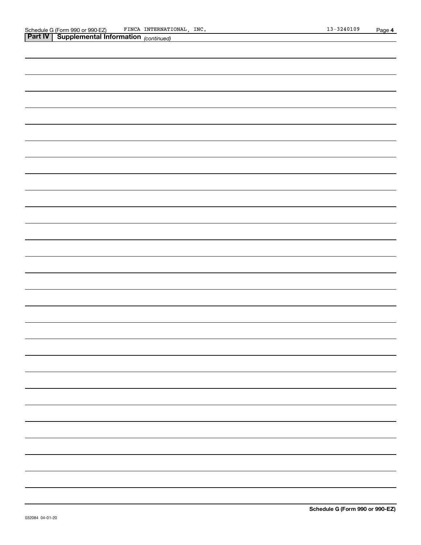| <b>Part IV Supplemental Information</b> (continued) |
|-----------------------------------------------------|
|                                                     |
|                                                     |
|                                                     |
|                                                     |
|                                                     |
|                                                     |
|                                                     |
|                                                     |
|                                                     |
|                                                     |
|                                                     |
|                                                     |
|                                                     |
|                                                     |
|                                                     |
|                                                     |
|                                                     |
|                                                     |
|                                                     |
|                                                     |
|                                                     |
|                                                     |
|                                                     |
|                                                     |
|                                                     |
|                                                     |
|                                                     |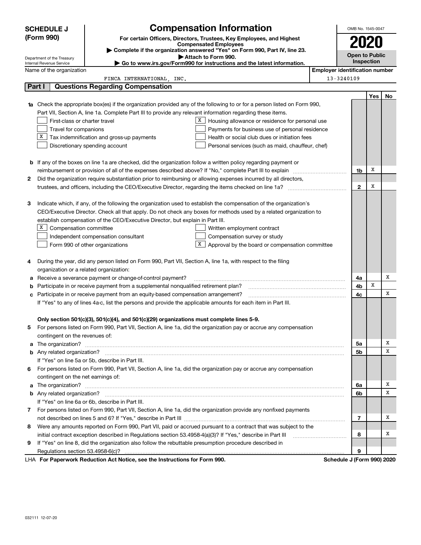|    | <b>SCHEDULE J</b>                       | <b>Compensation Information</b>                                                                                        |                                       | OMB No. 1545-0047     |            |    |  |  |  |
|----|-----------------------------------------|------------------------------------------------------------------------------------------------------------------------|---------------------------------------|-----------------------|------------|----|--|--|--|
|    | (Form 990)                              | For certain Officers, Directors, Trustees, Key Employees, and Highest                                                  |                                       |                       |            |    |  |  |  |
|    |                                         | <b>Compensated Employees</b><br>Complete if the organization answered "Yes" on Form 990, Part IV, line 23.             |                                       | <b>2020</b>           |            |    |  |  |  |
|    | Department of the Treasury              | Attach to Form 990.                                                                                                    |                                       | <b>Open to Public</b> |            |    |  |  |  |
|    | Internal Revenue Service                | ► Go to www.irs.gov/Form990 for instructions and the latest information.                                               |                                       |                       | Inspection |    |  |  |  |
|    | Name of the organization                |                                                                                                                        | <b>Employer identification number</b> |                       |            |    |  |  |  |
|    |                                         | FINCA INTERNATIONAL INC.                                                                                               | 13-3240109                            |                       |            |    |  |  |  |
|    | Part I                                  | <b>Questions Regarding Compensation</b>                                                                                |                                       |                       |            |    |  |  |  |
|    |                                         |                                                                                                                        |                                       |                       | Yes        | No |  |  |  |
| 1a |                                         | Check the appropriate box(es) if the organization provided any of the following to or for a person listed on Form 990, |                                       |                       |            |    |  |  |  |
|    |                                         | Part VII, Section A, line 1a. Complete Part III to provide any relevant information regarding these items.             |                                       |                       |            |    |  |  |  |
|    | First-class or charter travel           | X<br>Housing allowance or residence for personal use                                                                   |                                       |                       |            |    |  |  |  |
|    | Travel for companions<br>х              | Payments for business use of personal residence                                                                        |                                       |                       |            |    |  |  |  |
|    |                                         | Tax indemnification and gross-up payments<br>Health or social club dues or initiation fees                             |                                       |                       |            |    |  |  |  |
|    |                                         | Discretionary spending account<br>Personal services (such as maid, chauffeur, chef)                                    |                                       |                       |            |    |  |  |  |
|    |                                         |                                                                                                                        |                                       |                       |            |    |  |  |  |
|    |                                         | <b>b</b> If any of the boxes on line 1a are checked, did the organization follow a written policy regarding payment or |                                       |                       | x          |    |  |  |  |
| 2  |                                         |                                                                                                                        |                                       | 1b                    |            |    |  |  |  |
|    |                                         | Did the organization require substantiation prior to reimbursing or allowing expenses incurred by all directors,       |                                       | $\mathbf{2}$          | x          |    |  |  |  |
|    |                                         |                                                                                                                        |                                       |                       |            |    |  |  |  |
| з  |                                         | Indicate which, if any, of the following the organization used to establish the compensation of the organization's     |                                       |                       |            |    |  |  |  |
|    |                                         | CEO/Executive Director. Check all that apply. Do not check any boxes for methods used by a related organization to     |                                       |                       |            |    |  |  |  |
|    |                                         | establish compensation of the CEO/Executive Director, but explain in Part III.                                         |                                       |                       |            |    |  |  |  |
|    | х<br>Compensation committee             | Written employment contract                                                                                            |                                       |                       |            |    |  |  |  |
|    |                                         | Compensation survey or study<br>Independent compensation consultant                                                    |                                       |                       |            |    |  |  |  |
|    |                                         | X  <br>Approval by the board or compensation committee<br>Form 990 of other organizations                              |                                       |                       |            |    |  |  |  |
|    |                                         |                                                                                                                        |                                       |                       |            |    |  |  |  |
| 4  |                                         | During the year, did any person listed on Form 990, Part VII, Section A, line 1a, with respect to the filing           |                                       |                       |            |    |  |  |  |
|    | organization or a related organization: |                                                                                                                        |                                       |                       |            |    |  |  |  |
| а  |                                         | Receive a severance payment or change-of-control payment?                                                              |                                       | 4a                    |            | Х  |  |  |  |
| b  |                                         | Participate in or receive payment from a supplemental nonqualified retirement plan?                                    |                                       | 4b                    | x          |    |  |  |  |
| с  |                                         | Participate in or receive payment from an equity-based compensation arrangement?                                       |                                       | 4с                    |            | X  |  |  |  |
|    |                                         | If "Yes" to any of lines 4a-c, list the persons and provide the applicable amounts for each item in Part III.          |                                       |                       |            |    |  |  |  |
|    |                                         |                                                                                                                        |                                       |                       |            |    |  |  |  |
|    |                                         | Only section 501(c)(3), 501(c)(4), and 501(c)(29) organizations must complete lines 5-9.                               |                                       |                       |            |    |  |  |  |
|    |                                         | 5 For persons listed on Form 990, Part VII, Section A, line 1a, did the organization pay or accrue any compensation    |                                       |                       |            |    |  |  |  |
|    | contingent on the revenues of:          |                                                                                                                        |                                       |                       |            |    |  |  |  |
|    |                                         | a The organization? <b>Constitution</b> and the organization?                                                          |                                       | 5а                    |            | х  |  |  |  |
|    |                                         |                                                                                                                        |                                       | 5b                    |            | х  |  |  |  |
|    |                                         | If "Yes" on line 5a or 5b, describe in Part III.                                                                       |                                       |                       |            |    |  |  |  |
| 6  |                                         | For persons listed on Form 990, Part VII, Section A, line 1a, did the organization pay or accrue any compensation      |                                       |                       |            |    |  |  |  |
|    | contingent on the net earnings of:      |                                                                                                                        |                                       |                       |            |    |  |  |  |
| a  |                                         |                                                                                                                        |                                       | 6a                    |            | x  |  |  |  |
|    |                                         |                                                                                                                        |                                       | 6b                    |            | х  |  |  |  |
|    |                                         | If "Yes" on line 6a or 6b, describe in Part III.                                                                       |                                       |                       |            |    |  |  |  |
|    |                                         | 7 For persons listed on Form 990, Part VII, Section A, line 1a, did the organization provide any nonfixed payments     |                                       |                       |            |    |  |  |  |
|    |                                         |                                                                                                                        |                                       | 7                     |            | х  |  |  |  |
| 8  |                                         | Were any amounts reported on Form 990, Part VII, paid or accrued pursuant to a contract that was subject to the        |                                       |                       |            |    |  |  |  |
|    |                                         | initial contract exception described in Regulations section 53.4958-4(a)(3)? If "Yes," describe in Part III            |                                       | 8                     |            | х  |  |  |  |
| 9  |                                         | If "Yes" on line 8, did the organization also follow the rebuttable presumption procedure described in                 |                                       |                       |            |    |  |  |  |
|    | Regulations section 53.4958-6(c)?       | <b>Department Beduction Act Notice, see the Instructions for Ferm 000</b>                                              | <b>Cohodule I (Form 000) 2020</b>     | 9                     |            |    |  |  |  |

LHA For Paperwork Reduction Act Notice, see the Instructions for Form 990. Schedule J (Form 990) 2020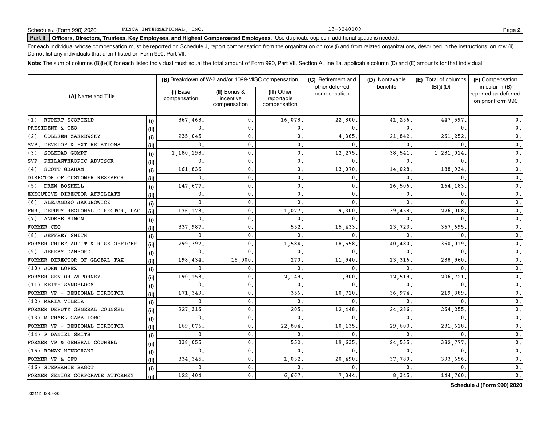13-3240109

### Part II | Officers, Directors, Trustees, Key Employees, and Highest Compensated Employees. Use duplicate copies if additional space is needed.

For each individual whose compensation must be reported on Schedule J, report compensation from the organization on row (i) and from related organizations, described in the instructions, on row (ii). Do not list any individuals that aren't listed on Form 990, Part VII.

Note: The sum of columns (B)(i)-(iii) for each listed individual must equal the total amount of Form 990, Part VII, Section A, line 1a, applicable column (D) and (E) amounts for that individual.

| (A) Name and Title                 |       |                          | (B) Breakdown of W-2 and/or 1099-MISC compensation |                                           | (C) Retirement and             | (D) Nontaxable | (E) Total of columns | (F) Compensation                                           |  |
|------------------------------------|-------|--------------------------|----------------------------------------------------|-------------------------------------------|--------------------------------|----------------|----------------------|------------------------------------------------------------|--|
|                                    |       | (i) Base<br>compensation | (ii) Bonus &<br>incentive<br>compensation          | (iii) Other<br>reportable<br>compensation | other deferred<br>compensation | benefits       | $(B)(i)$ - $(D)$     | in column (B)<br>reported as deferred<br>on prior Form 990 |  |
| RUPERT SCOFIELD<br>(1)             | (i)   | 367.463                  | 0.                                                 | 16,078                                    | 22,800                         | 41,256         | 447.597              | $\mathbf{0}$ .                                             |  |
| PRESIDENT & CEO                    | (ii)  | $\mathbf{0}$             | $\mathbf{0}$ .                                     | 0.                                        | 0                              | $\Omega$       | <sup>0</sup>         | $\mathbf 0$ .                                              |  |
| COLLEEN ZAKREWSKY<br>(2)           | (i)   | 235,045                  | $\mathbf{0}$ .                                     | 0.                                        | 4,365                          | 21,842         | 261,252              | $\mathsf{0}\,$ .                                           |  |
| DEVELOP & EXT RELATIONS<br>SVP.    | (ii)  | $\mathbf 0$ .            | $\mathbf{0}$ .                                     | 0.                                        | 0                              | $\Omega$       | 0                    | $\mathbf 0$ .                                              |  |
| SOLEDAD GOMPF<br>(3)               | (i)   | 1,180,198                | $\mathbf{0}$ .                                     | $\mathbf{0}$ .                            | 12,275                         | 38,541         | 1,231,014            | $\mathbf{0}$ .                                             |  |
| SVP PHILANTHROPIC ADVISOR          | (i)   | $\mathbf{0}$             | $\mathsf 0$ .                                      | $\mathbf{0}$ .                            | 0                              | 0              | <sup>0</sup>         | $\mathbf{0}$ .                                             |  |
| SCOTT GRAHAM<br>(4)                | (i)   | 161,836                  | $\mathbf{0}$                                       | $\mathbf 0$ .                             | 13,070                         | 14,028         | 188,934              | $\mathbf 0$ .                                              |  |
| DIRECTOR OF CUSTOMER RESEARCH      | (ii)  | $\mathbf{0}$             | $\mathbf{0}$                                       | $\mathbf 0$ .                             | 0                              | 0              | 0                    | $\mathbf 0$ .                                              |  |
| DREW BOSHELL<br>(5)                | (i)   | 147,677                  | $\mathbf 0$ .                                      | $\mathbf{0}$ .                            | 0                              | 16,506         | 164,183              | $\mathbf{0}$ .                                             |  |
| EXECUTIVE DIRECTOR AFFILIATE       | (ii)  | 0.                       | $\mathbf{0}$ .                                     | $\mathbf{0}$ .                            | 0                              | 0              | 0                    | $\mathbf{0}$ .                                             |  |
| ALEJANDRO JAKUBOWICZ<br>(6)        | (i)   | $\mathbf{0}$             | $\mathbf{0}$                                       | $\mathbf{0}$ .                            | 0                              | 0              | 0                    | 0.                                                         |  |
| FMR. DEPUTY REGIONAL DIRECTOR, LAC | (ii)  | 176,173                  | $\mathbf 0$ .                                      | 1,077                                     | 9,300                          | 39,458         | 226,008              | 0.                                                         |  |
| (7)<br>ANDREE SIMON                | (i)   | $\mathbf{0}$             | $\mathbf 0$ .                                      | $\mathbf 0$ .                             | 0                              | 0              | 0                    | $0$ .                                                      |  |
| FORMER CEO                         | (ii)  | 337,987                  | $\mathbf 0$ .                                      | 552                                       | 15,433                         | 13,723         | 367.695              | $\mathbf{0}$ .                                             |  |
| <b>JEFFREY SMITH</b><br>(8)        | (i)   | $\mathbf{0}$             | $\mathbf{0}$                                       | $\mathbf{0}$ .                            | 0                              | $\Omega$       | <sup>0</sup>         | $\mathbf{0}$ .                                             |  |
| FORMER CHIEF AUDIT & RISK OFFICER  | (ii)  | 299,397                  | $\mathbf{0}$                                       | 1,584                                     | 18,558                         | 40,480         | 360,019              | 0.                                                         |  |
| <b>JEREMY DANFORD</b><br>(9)       | (i)   | $\mathbf 0$ .            | $\mathbf{0}$                                       | $\mathbf 0$ .                             | 0                              | 0              |                      | $\mathbf{0}$ .                                             |  |
| FORMER DIRECTOR OF GLOBAL TAX      | (ii)  | 198,434                  | 15,000                                             | 270                                       | 11,940                         | 13,316         | 238,960              | $\mathbf 0$ .                                              |  |
| (10) JOHN LOPEZ                    | (i)   | $\mathbf{0}$             | $\mathbf{0}$                                       | $\mathbf{0}$                              | 0                              | 0              | $\Omega$             | $\mathbf 0$ .                                              |  |
| FORMER SENIOR ATTORNEY             | (iii) | 190,153                  | 0.                                                 | 2,149                                     | 1,900                          | 12,519         | 206,721              | $\mathbf 0$ .                                              |  |
| (11) KEITH SANDBLOOM               | (i)   | $\mathbf{0}$             | $\mathbf 0$ .                                      | $\mathbf 0$ .                             | 0                              | 0              | <sup>0</sup>         | 0.                                                         |  |
| FORMER VP - REGIONAL DIRECTOR      | (ii)  | 171,349                  | 0.                                                 | 356                                       | 10,710                         | 36,974         | 219,389              | 0.                                                         |  |
| (12) MARIA VILELA                  | (i)   | 0.                       | 0.                                                 | 0.                                        | 0                              | 0              | 0                    | $\mathbf{0}$ .                                             |  |
| FORMER DEPUTY GENERAL COUNSEL      | (ii)  | 227,316                  | $\mathbf{0}$ .                                     | 205                                       | 12,448                         | 24,286         | 264,255              | 0.                                                         |  |
| (13) MICHAEL GAMA-LOBO             | (i)   | $\mathbf{0}$             | $\mathbf{0}$ .                                     | $\mathbf{0}$ .                            | 0                              | $\mathbf 0$    | $\Omega$             | $\mathbf 0$ .                                              |  |
| FORMER VP - REGIONAL DIRECTOR      | (ii)  | 169,076                  | $\mathbf{0}$ .                                     | 22,804                                    | 10,135                         | 29,603         | 231,618              | 0.                                                         |  |
| (14) P DANIEL SMITH                | (i)   | $\mathbf{0}$             | $\mathfrak o$ .                                    | 0.                                        | 0                              | 0              | 0                    | $\mathbf 0$ .                                              |  |
| FORMER VP & GENERAL COUNSEL        | (ii)  | 338,055                  | 0.                                                 | 552                                       | 19,635                         | 24,535         | 382,777              | 0.                                                         |  |
| (15) ROMAN HINGORANI               | (i)   | $\mathbf{0}$ .           | $\mathbf{0}$ .                                     | $\mathbf{0}$ .                            | 0                              | $\mathbf{0}$   | $\mathbf{0}$         | $\mathbf 0$ .                                              |  |
| FORMER VP & CFO                    | (ii)  | 334,345                  | $\mathbf{0}$ .                                     | 1,032                                     | 20,490                         | 37,789         | 393,656              | 0.                                                         |  |
| (16) STEPHANIE BAGOT               | (i)   | 0.                       | $\mathbf{0}$ .                                     | 0.                                        | 0                              | 0              |                      | 0.                                                         |  |
| FORMER SENIOR CORPORATE ATTORNEY   | (ii)  | 122,404.                 | $\mathbf{0}$ .                                     | 6,667.                                    | 7,344                          | 8,345          | 144,760              | 0.                                                         |  |

**Schedule J (Form 990) 2020**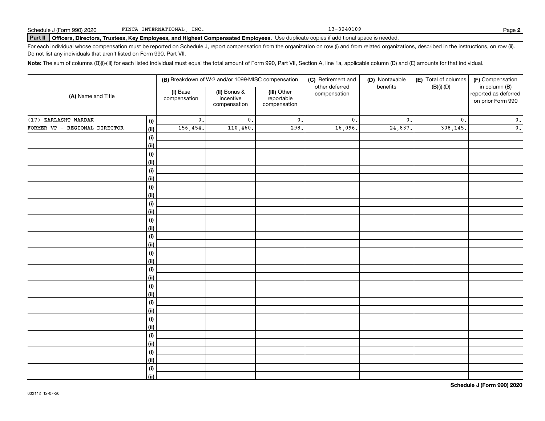13-3240109

### Part II | Officers, Directors, Trustees, Key Employees, and Highest Compensated Employees. Use duplicate copies if additional space is needed.

For each individual whose compensation must be reported on Schedule J, report compensation from the organization on row (i) and from related organizations, described in the instructions, on row (ii). Do not list any individuals that aren't listed on Form 990, Part VII.

Note: The sum of columns (B)(i)-(iii) for each listed individual must equal the total amount of Form 990, Part VII, Section A, line 1a, applicable column (D) and (E) amounts for that individual.

|                                              |                          | (B) Breakdown of W-2 and/or 1099-MISC compensation |                                           | (C) Retirement and             | (F) Compensation |                  |                                                            |
|----------------------------------------------|--------------------------|----------------------------------------------------|-------------------------------------------|--------------------------------|------------------|------------------|------------------------------------------------------------|
| (A) Name and Title                           | (i) Base<br>compensation | (ii) Bonus &<br>incentive<br>compensation          | (iii) Other<br>reportable<br>compensation | other deferred<br>compensation | benefits         | $(B)(i)-(D)$     | in column (B)<br>reported as deferred<br>on prior Form 990 |
| (17) ZARLASHT WARDAK<br>(i)                  | $\mathsf{0}$ .           | $\mathfrak o$ .                                    | $\mathbf 0$ .                             | $\mathsf{0}$ .                 | $\mathfrak o$ .  | $\mathfrak{o}$ . | $\mathbf 0$ .                                              |
| FORMER VP - REGIONAL DIRECTOR<br><u>(ii)</u> | 156,454.                 | 110,460.                                           | 298.                                      | 16,096.                        | 24,837.          | 308,145.         | $\mathbf 0$ .                                              |
| (i)                                          |                          |                                                    |                                           |                                |                  |                  |                                                            |
| <u>(ii)</u>                                  |                          |                                                    |                                           |                                |                  |                  |                                                            |
| (i)                                          |                          |                                                    |                                           |                                |                  |                  |                                                            |
| <u>(ii)</u>                                  |                          |                                                    |                                           |                                |                  |                  |                                                            |
| (i)                                          |                          |                                                    |                                           |                                |                  |                  |                                                            |
| <u>(ii)</u>                                  |                          |                                                    |                                           |                                |                  |                  |                                                            |
| (i)                                          |                          |                                                    |                                           |                                |                  |                  |                                                            |
| <u>(ii)</u>                                  |                          |                                                    |                                           |                                |                  |                  |                                                            |
| (i)                                          |                          |                                                    |                                           |                                |                  |                  |                                                            |
| <u>(ii)</u><br>(i)                           |                          |                                                    |                                           |                                |                  |                  |                                                            |
| <u>(ii)</u>                                  |                          |                                                    |                                           |                                |                  |                  |                                                            |
| (i)                                          |                          |                                                    |                                           |                                |                  |                  |                                                            |
| <u>(ii)</u>                                  |                          |                                                    |                                           |                                |                  |                  |                                                            |
| (i)                                          |                          |                                                    |                                           |                                |                  |                  |                                                            |
| <u>(ii)</u>                                  |                          |                                                    |                                           |                                |                  |                  |                                                            |
| (i)                                          |                          |                                                    |                                           |                                |                  |                  |                                                            |
| <u>(ii)</u>                                  |                          |                                                    |                                           |                                |                  |                  |                                                            |
| (i)                                          |                          |                                                    |                                           |                                |                  |                  |                                                            |
| <u>(ii)</u>                                  |                          |                                                    |                                           |                                |                  |                  |                                                            |
| (i)                                          |                          |                                                    |                                           |                                |                  |                  |                                                            |
| <u>(ii)</u>                                  |                          |                                                    |                                           |                                |                  |                  |                                                            |
| (i)                                          |                          |                                                    |                                           |                                |                  |                  |                                                            |
| <u>(ii)</u>                                  |                          |                                                    |                                           |                                |                  |                  |                                                            |
| (i)<br><u>(ii)</u>                           |                          |                                                    |                                           |                                |                  |                  |                                                            |
| (i)                                          |                          |                                                    |                                           |                                |                  |                  |                                                            |
| <u>(ii)</u>                                  |                          |                                                    |                                           |                                |                  |                  |                                                            |
| (i)                                          |                          |                                                    |                                           |                                |                  |                  |                                                            |
| $\overline{}}$                               |                          |                                                    |                                           |                                |                  |                  |                                                            |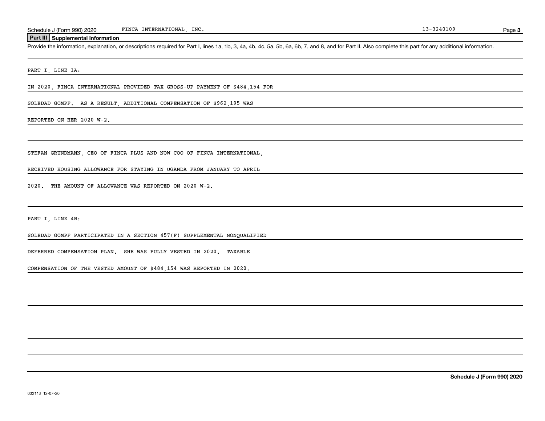### **Part III Supplemental Information**

Provide the information, explanation, or descriptions required for Part I, lines 1a, 1b, 3, 4a, 4b, 4c, 5a, 5b, 6a, 6b, 7, and 8, and for Part II. Also complete this part for any additional information.

PART I, LINE 1A:

IN 2020, FINCA INTERNATIONAL PROVIDED TAX GROSS-UP PAYMENT OF \$484,154 FOR

SOLEDAD GOMPF. AS A RESULT, ADDITIONAL COMPENSATION OF \$962,195 WAS

REPORTED ON HER 2020 W-2.

STEFAN GRUNDMANN, CEO OF FINCA PLUS AND NOW COO OF FINCA INTERNATIONAL,

RECEIVED HOUSING ALLOWANCE FOR STAYING IN UGANDA FROM JANUARY TO APRIL

2020. THE AMOUNT OF ALLOWANCE WAS REPORTED ON 2020 W-2.

PART I, LINE 4B:

SOLEDAD GOMPF PARTICIPATED IN A SECTION 457(F) SUPPLEMENTAL NONQUALIFIED

DEFERRED COMPENSATION PLAN. SHE WAS FULLY VESTED IN 2020. TAXABLE

COMPENSATION OF THE VESTED AMOUNT OF \$484,154 WAS REPORTED IN 2020.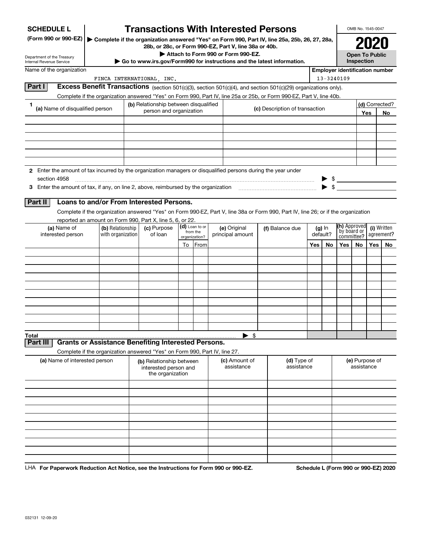| <b>SCHEDULE L</b>                                                                                             |                                                                            | <b>Transactions With Interested Persons</b>                           |                            |                                    |                                                                                                                                    |     |                      |                                       |                                                                        | OMB No. 1545-0047     |                |  |
|---------------------------------------------------------------------------------------------------------------|----------------------------------------------------------------------------|-----------------------------------------------------------------------|----------------------------|------------------------------------|------------------------------------------------------------------------------------------------------------------------------------|-----|----------------------|---------------------------------------|------------------------------------------------------------------------|-----------------------|----------------|--|
| (Form 990 or 990-EZ)                                                                                          |                                                                            |                                                                       |                            |                                    | Complete if the organization answered "Yes" on Form 990, Part IV, line 25a, 25b, 26, 27, 28a,                                      |     |                      |                                       |                                                                        |                       |                |  |
|                                                                                                               |                                                                            | 28b, or 28c, or Form 990-EZ, Part V, line 38a or 40b.                 |                            | Attach to Form 990 or Form 990-EZ. |                                                                                                                                    |     |                      |                                       |                                                                        |                       |                |  |
| Department of the Treasury<br>Internal Revenue Service                                                        |                                                                            |                                                                       |                            |                                    | Go to www.irs.gov/Form990 for instructions and the latest information.                                                             |     |                      |                                       | Inspection                                                             | <b>Open To Public</b> |                |  |
| Name of the organization                                                                                      |                                                                            |                                                                       |                            |                                    |                                                                                                                                    |     |                      | <b>Employer identification number</b> |                                                                        |                       |                |  |
|                                                                                                               |                                                                            | FINCA INTERNATIONAL, INC.                                             |                            |                                    |                                                                                                                                    |     |                      | 13-3240109                            |                                                                        |                       |                |  |
| Part I                                                                                                        |                                                                            |                                                                       |                            |                                    | Excess Benefit Transactions (section 501(c)(3), section 501(c)(4), and section 501(c)(29) organizations only).                     |     |                      |                                       |                                                                        |                       |                |  |
| 1                                                                                                             |                                                                            | (b) Relationship between disqualified                                 |                            |                                    | Complete if the organization answered "Yes" on Form 990, Part IV, line 25a or 25b, or Form 990-EZ, Part V, line 40b.               |     |                      |                                       |                                                                        |                       | (d) Corrected? |  |
| (a) Name of disqualified person                                                                               |                                                                            | person and organization                                               |                            |                                    | (c) Description of transaction                                                                                                     |     |                      |                                       |                                                                        | Yes                   | No             |  |
|                                                                                                               |                                                                            |                                                                       |                            |                                    |                                                                                                                                    |     |                      |                                       |                                                                        |                       |                |  |
|                                                                                                               |                                                                            |                                                                       |                            |                                    |                                                                                                                                    |     |                      |                                       |                                                                        |                       |                |  |
|                                                                                                               |                                                                            |                                                                       |                            |                                    |                                                                                                                                    |     |                      |                                       |                                                                        |                       |                |  |
|                                                                                                               |                                                                            |                                                                       |                            |                                    |                                                                                                                                    |     |                      |                                       |                                                                        |                       |                |  |
|                                                                                                               |                                                                            |                                                                       |                            |                                    |                                                                                                                                    |     |                      |                                       |                                                                        |                       |                |  |
| 2 Enter the amount of tax incurred by the organization managers or disqualified persons during the year under |                                                                            |                                                                       |                            |                                    |                                                                                                                                    |     |                      |                                       |                                                                        |                       |                |  |
| section 4958                                                                                                  |                                                                            |                                                                       |                            |                                    |                                                                                                                                    |     |                      |                                       |                                                                        |                       |                |  |
|                                                                                                               |                                                                            |                                                                       |                            |                                    |                                                                                                                                    |     |                      |                                       |                                                                        |                       |                |  |
| Part II                                                                                                       | Loans to and/or From Interested Persons.                                   |                                                                       |                            |                                    |                                                                                                                                    |     |                      |                                       |                                                                        |                       |                |  |
|                                                                                                               |                                                                            |                                                                       |                            |                                    | Complete if the organization answered "Yes" on Form 990-EZ, Part V, line 38a or Form 990, Part IV, line 26; or if the organization |     |                      |                                       |                                                                        |                       |                |  |
|                                                                                                               | reported an amount on Form 990, Part X, line 5, 6, or 22.                  |                                                                       |                            |                                    |                                                                                                                                    |     |                      |                                       |                                                                        |                       |                |  |
| (a) Name of<br>(b) Relationship<br>interested person<br>with organization                                     |                                                                            | (c) Purpose<br>of loan                                                | (d) Loan to or<br>from the | (e) Original<br>principal amount   | (f) Balance due                                                                                                                    |     | $(g)$ In<br>default? |                                       | (h) Approved<br>(i) Written<br>by board or<br>agreement?<br>committee? |                       |                |  |
|                                                                                                               |                                                                            |                                                                       | organization?<br>To From   |                                    |                                                                                                                                    | Yes | No                   | Yes $ $                               | No                                                                     | Yes l                 | No.            |  |
|                                                                                                               |                                                                            |                                                                       |                            |                                    |                                                                                                                                    |     |                      |                                       |                                                                        |                       |                |  |
|                                                                                                               |                                                                            |                                                                       |                            |                                    |                                                                                                                                    |     |                      |                                       |                                                                        |                       |                |  |
|                                                                                                               |                                                                            |                                                                       |                            |                                    |                                                                                                                                    |     |                      |                                       |                                                                        |                       |                |  |
|                                                                                                               |                                                                            |                                                                       |                            |                                    |                                                                                                                                    |     |                      |                                       |                                                                        |                       |                |  |
|                                                                                                               |                                                                            |                                                                       |                            |                                    |                                                                                                                                    |     |                      |                                       |                                                                        |                       |                |  |
|                                                                                                               |                                                                            |                                                                       |                            |                                    |                                                                                                                                    |     |                      |                                       |                                                                        |                       |                |  |
|                                                                                                               |                                                                            |                                                                       |                            |                                    |                                                                                                                                    |     |                      |                                       |                                                                        |                       |                |  |
|                                                                                                               |                                                                            |                                                                       |                            |                                    |                                                                                                                                    |     |                      |                                       |                                                                        |                       |                |  |
|                                                                                                               |                                                                            |                                                                       |                            |                                    |                                                                                                                                    |     |                      |                                       |                                                                        |                       |                |  |
| <b>Total</b><br>Part III                                                                                      | <b>Grants or Assistance Benefiting Interested Persons.</b>                 |                                                                       |                            | \$                                 |                                                                                                                                    |     |                      |                                       |                                                                        |                       |                |  |
|                                                                                                               | Complete if the organization answered "Yes" on Form 990, Part IV, line 27. |                                                                       |                            |                                    |                                                                                                                                    |     |                      |                                       |                                                                        |                       |                |  |
| (a) Name of interested person                                                                                 |                                                                            | (b) Relationship between<br>interested person and<br>the organization |                            | (c) Amount of<br>assistance        | (d) Type of<br>assistance                                                                                                          |     |                      |                                       | assistance                                                             | (e) Purpose of        |                |  |
|                                                                                                               |                                                                            |                                                                       |                            |                                    |                                                                                                                                    |     |                      |                                       |                                                                        |                       |                |  |
|                                                                                                               |                                                                            |                                                                       |                            |                                    |                                                                                                                                    |     |                      |                                       |                                                                        |                       |                |  |
|                                                                                                               |                                                                            |                                                                       |                            |                                    |                                                                                                                                    |     |                      |                                       |                                                                        |                       |                |  |
|                                                                                                               |                                                                            |                                                                       |                            |                                    |                                                                                                                                    |     |                      |                                       |                                                                        |                       |                |  |
|                                                                                                               |                                                                            |                                                                       |                            |                                    |                                                                                                                                    |     |                      |                                       |                                                                        |                       |                |  |
|                                                                                                               |                                                                            |                                                                       |                            |                                    |                                                                                                                                    |     |                      |                                       |                                                                        |                       |                |  |
|                                                                                                               |                                                                            |                                                                       |                            |                                    |                                                                                                                                    |     |                      |                                       |                                                                        |                       |                |  |
|                                                                                                               |                                                                            |                                                                       |                            |                                    |                                                                                                                                    |     |                      |                                       |                                                                        |                       |                |  |
|                                                                                                               |                                                                            |                                                                       |                            |                                    |                                                                                                                                    |     |                      |                                       |                                                                        |                       |                |  |

LHA For Paperwork Reduction Act Notice, see the Instructions for Form 990 or 990-EZ. Schedule L (Form 990 or 990-EZ) 2020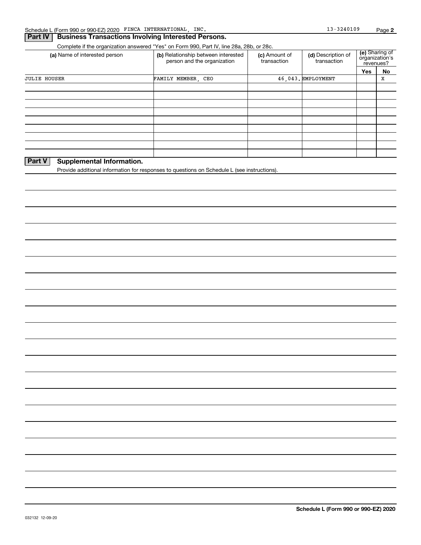## **Part IV | Business Transactions Involving Interested Persons.**

Complete if the organization answered "Yes" on Form 990, Part IV, line 28a, 28b, or 28c.

| (a) Name of interested person     | (b) Relationship between interested<br>person and the organization | (c) Amount of<br>transaction | (d) Description of<br>transaction |     | (e) Sharing of<br>organization's<br>revenues? |
|-----------------------------------|--------------------------------------------------------------------|------------------------------|-----------------------------------|-----|-----------------------------------------------|
|                                   |                                                                    |                              |                                   | Yes | No                                            |
| <b>JULIE HOUSER</b>               | FAMILY MEMBER, CEO                                                 |                              | 46.043. EMPLOYMENT                |     | x                                             |
|                                   |                                                                    |                              |                                   |     |                                               |
|                                   |                                                                    |                              |                                   |     |                                               |
|                                   |                                                                    |                              |                                   |     |                                               |
|                                   |                                                                    |                              |                                   |     |                                               |
|                                   |                                                                    |                              |                                   |     |                                               |
|                                   |                                                                    |                              |                                   |     |                                               |
|                                   |                                                                    |                              |                                   |     |                                               |
|                                   |                                                                    |                              |                                   |     |                                               |
|                                   |                                                                    |                              |                                   |     |                                               |
| PartV<br>Cunnlamantal Information |                                                                    |                              |                                   |     |                                               |

### **Part V Supplemental Information.**

Provide additional information for responses to questions on Schedule L (see instructions).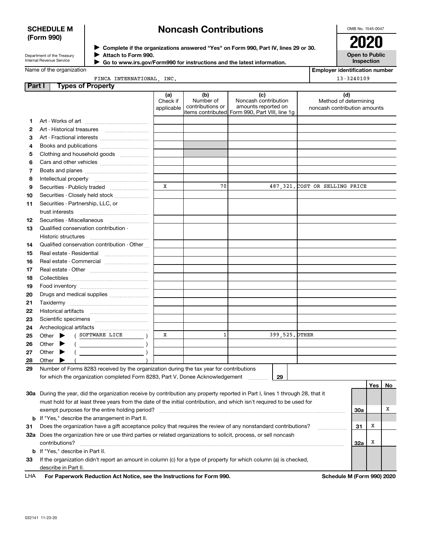# **SCHEDULE M (Form 990)**

# **Noncash Contributions**

OMB No. 1545-0047

| Department of the Treasury |  |
|----------------------------|--|
| Internal Revenue Service   |  |

**Complete if the organizations answered "Yes" on Form 990, Part IV, lines 29 or 30.** <sup>J</sup>**2020 Attach to Form 990.** J

 **Go to www.irs.gov/Form990 for instructions and the latest information.** J

**Open to Public Inspection**

**Employer identification number**

13-3240109

| Name of the organization |  |
|--------------------------|--|
|                          |  |

### FINCA INTERNATIONAL, INC.

| Part I | <b>Types of Property</b>                                                                                                                                                                                                                                                                                                                                                                                                                                                                                                                                                                                          |                               |                                      |                                                                                                      |                                                              |     |     |    |
|--------|-------------------------------------------------------------------------------------------------------------------------------------------------------------------------------------------------------------------------------------------------------------------------------------------------------------------------------------------------------------------------------------------------------------------------------------------------------------------------------------------------------------------------------------------------------------------------------------------------------------------|-------------------------------|--------------------------------------|------------------------------------------------------------------------------------------------------|--------------------------------------------------------------|-----|-----|----|
|        |                                                                                                                                                                                                                                                                                                                                                                                                                                                                                                                                                                                                                   | (a)<br>Check if<br>applicable | (b)<br>Number of<br>contributions or | (c)<br>Noncash contribution<br>amounts reported on<br>items contributed Form 990, Part VIII, line 1g | (d)<br>Method of determining<br>noncash contribution amounts |     |     |    |
| 1      |                                                                                                                                                                                                                                                                                                                                                                                                                                                                                                                                                                                                                   |                               |                                      |                                                                                                      |                                                              |     |     |    |
| 2      | Art - Historical treasures                                                                                                                                                                                                                                                                                                                                                                                                                                                                                                                                                                                        |                               |                                      |                                                                                                      |                                                              |     |     |    |
| З      | Art - Fractional interests                                                                                                                                                                                                                                                                                                                                                                                                                                                                                                                                                                                        |                               |                                      |                                                                                                      |                                                              |     |     |    |
| 4      | Books and publications                                                                                                                                                                                                                                                                                                                                                                                                                                                                                                                                                                                            |                               |                                      |                                                                                                      |                                                              |     |     |    |
| 5      | Clothing and household goods                                                                                                                                                                                                                                                                                                                                                                                                                                                                                                                                                                                      |                               |                                      |                                                                                                      |                                                              |     |     |    |
| 6      |                                                                                                                                                                                                                                                                                                                                                                                                                                                                                                                                                                                                                   |                               |                                      |                                                                                                      |                                                              |     |     |    |
| 7      |                                                                                                                                                                                                                                                                                                                                                                                                                                                                                                                                                                                                                   |                               |                                      |                                                                                                      |                                                              |     |     |    |
| 8      |                                                                                                                                                                                                                                                                                                                                                                                                                                                                                                                                                                                                                   |                               |                                      |                                                                                                      |                                                              |     |     |    |
| 9      |                                                                                                                                                                                                                                                                                                                                                                                                                                                                                                                                                                                                                   | x                             | 70                                   |                                                                                                      | 487, 321. COST OR SELLING PRICE                              |     |     |    |
| 10     | Securities - Closely held stock                                                                                                                                                                                                                                                                                                                                                                                                                                                                                                                                                                                   |                               |                                      |                                                                                                      |                                                              |     |     |    |
| 11     | Securities - Partnership, LLC, or                                                                                                                                                                                                                                                                                                                                                                                                                                                                                                                                                                                 |                               |                                      |                                                                                                      |                                                              |     |     |    |
|        | trust interests                                                                                                                                                                                                                                                                                                                                                                                                                                                                                                                                                                                                   |                               |                                      |                                                                                                      |                                                              |     |     |    |
| 12     | Securities - Miscellaneous                                                                                                                                                                                                                                                                                                                                                                                                                                                                                                                                                                                        |                               |                                      |                                                                                                      |                                                              |     |     |    |
| 13     | Qualified conservation contribution -                                                                                                                                                                                                                                                                                                                                                                                                                                                                                                                                                                             |                               |                                      |                                                                                                      |                                                              |     |     |    |
|        | Historic structures                                                                                                                                                                                                                                                                                                                                                                                                                                                                                                                                                                                               |                               |                                      |                                                                                                      |                                                              |     |     |    |
| 14     | Qualified conservation contribution - Other                                                                                                                                                                                                                                                                                                                                                                                                                                                                                                                                                                       |                               |                                      |                                                                                                      |                                                              |     |     |    |
| 15     | Real estate - Residential                                                                                                                                                                                                                                                                                                                                                                                                                                                                                                                                                                                         |                               |                                      |                                                                                                      |                                                              |     |     |    |
| 16     | Real estate - Commercial                                                                                                                                                                                                                                                                                                                                                                                                                                                                                                                                                                                          |                               |                                      |                                                                                                      |                                                              |     |     |    |
| 17     |                                                                                                                                                                                                                                                                                                                                                                                                                                                                                                                                                                                                                   |                               |                                      |                                                                                                      |                                                              |     |     |    |
| 18     |                                                                                                                                                                                                                                                                                                                                                                                                                                                                                                                                                                                                                   |                               |                                      |                                                                                                      |                                                              |     |     |    |
| 19     |                                                                                                                                                                                                                                                                                                                                                                                                                                                                                                                                                                                                                   |                               |                                      |                                                                                                      |                                                              |     |     |    |
| 20     | Drugs and medical supplies                                                                                                                                                                                                                                                                                                                                                                                                                                                                                                                                                                                        |                               |                                      |                                                                                                      |                                                              |     |     |    |
| 21     | Taxidermy                                                                                                                                                                                                                                                                                                                                                                                                                                                                                                                                                                                                         |                               |                                      |                                                                                                      |                                                              |     |     |    |
| 22     |                                                                                                                                                                                                                                                                                                                                                                                                                                                                                                                                                                                                                   |                               |                                      |                                                                                                      |                                                              |     |     |    |
| 23     |                                                                                                                                                                                                                                                                                                                                                                                                                                                                                                                                                                                                                   |                               |                                      |                                                                                                      |                                                              |     |     |    |
| 24     |                                                                                                                                                                                                                                                                                                                                                                                                                                                                                                                                                                                                                   |                               |                                      |                                                                                                      |                                                              |     |     |    |
| 25     | ( SOFTWARE LICE<br>Other $\blacktriangleright$                                                                                                                                                                                                                                                                                                                                                                                                                                                                                                                                                                    | x                             | $\mathbf{1}$                         |                                                                                                      | 399, 525. OTHER                                              |     |     |    |
| 26     | Other $\blacktriangleright$<br>$\left(\begin{array}{ccc} \begin{array}{ccc} \end{array} & \begin{array}{ccc} \end{array} & \begin{array}{ccc} \end{array} & \begin{array}{ccc} \end{array} & \begin{array}{ccc} \end{array} & \begin{array}{ccc} \end{array} & \begin{array}{ccc} \end{array} & \begin{array}{ccc} \end{array} & \begin{array}{ccc} \end{array} & \begin{array}{ccc} \end{array} & \begin{array}{ccc} \end{array} & \begin{array}{ccc} \end{array} & \begin{array}{ccc} \end{array} & \begin{array}{ccc} \end{array} & \begin{array}{ccc} \end{array} & \begin{array}{ccc} \end{array} & \begin{$ |                               |                                      |                                                                                                      |                                                              |     |     |    |
| 27     | Other $\blacktriangleright$                                                                                                                                                                                                                                                                                                                                                                                                                                                                                                                                                                                       |                               |                                      |                                                                                                      |                                                              |     |     |    |
| 28     | Other $\blacktriangleright$                                                                                                                                                                                                                                                                                                                                                                                                                                                                                                                                                                                       |                               |                                      |                                                                                                      |                                                              |     |     |    |
| 29     | Number of Forms 8283 received by the organization during the tax year for contributions                                                                                                                                                                                                                                                                                                                                                                                                                                                                                                                           |                               |                                      |                                                                                                      |                                                              |     |     |    |
|        | for which the organization completed Form 8283, Part V, Donee Acknowledgement                                                                                                                                                                                                                                                                                                                                                                                                                                                                                                                                     |                               |                                      | 29                                                                                                   |                                                              |     |     |    |
|        |                                                                                                                                                                                                                                                                                                                                                                                                                                                                                                                                                                                                                   |                               |                                      |                                                                                                      |                                                              |     | Yes | No |
|        | 30a During the year, did the organization receive by contribution any property reported in Part I, lines 1 through 28, that it                                                                                                                                                                                                                                                                                                                                                                                                                                                                                    |                               |                                      |                                                                                                      |                                                              |     |     |    |
|        | must hold for at least three years from the date of the initial contribution, and which isn't required to be used for                                                                                                                                                                                                                                                                                                                                                                                                                                                                                             |                               |                                      |                                                                                                      |                                                              |     |     |    |
|        | exempt purposes for the entire holding period?                                                                                                                                                                                                                                                                                                                                                                                                                                                                                                                                                                    |                               |                                      |                                                                                                      |                                                              | 30a |     | x  |
|        | <b>b</b> If "Yes," describe the arrangement in Part II.                                                                                                                                                                                                                                                                                                                                                                                                                                                                                                                                                           |                               |                                      |                                                                                                      |                                                              |     |     |    |
| 31     | Does the organization have a gift acceptance policy that requires the review of any nonstandard contributions?                                                                                                                                                                                                                                                                                                                                                                                                                                                                                                    |                               |                                      |                                                                                                      |                                                              | 31  | х   |    |
|        | 32a Does the organization hire or use third parties or related organizations to solicit, process, or sell noncash                                                                                                                                                                                                                                                                                                                                                                                                                                                                                                 |                               |                                      |                                                                                                      |                                                              |     |     |    |
|        | contributions?                                                                                                                                                                                                                                                                                                                                                                                                                                                                                                                                                                                                    |                               |                                      |                                                                                                      |                                                              | 32a | х   |    |
|        | <b>b</b> If "Yes," describe in Part II.                                                                                                                                                                                                                                                                                                                                                                                                                                                                                                                                                                           |                               |                                      |                                                                                                      |                                                              |     |     |    |
| 33     | If the organization didn't report an amount in column (c) for a type of property for which column (a) is checked,                                                                                                                                                                                                                                                                                                                                                                                                                                                                                                 |                               |                                      |                                                                                                      |                                                              |     |     |    |
|        | describe in Part II.                                                                                                                                                                                                                                                                                                                                                                                                                                                                                                                                                                                              |                               |                                      |                                                                                                      |                                                              |     |     |    |

For Paperwork Reduction Act Notice, see the Instructions for Form 990. **Schedule M (Form 990) 2020** LHA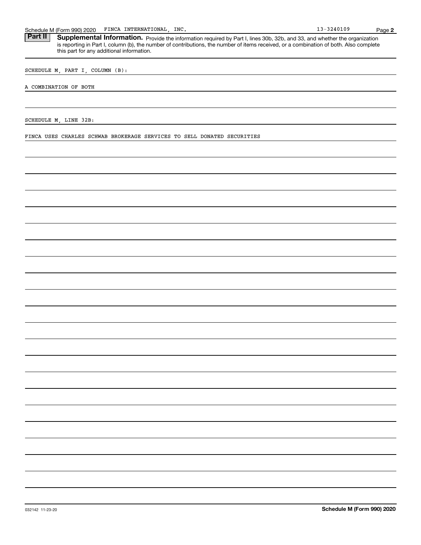Schedule M (Form 990) 2020 FINCA INTERNATIONAL, INC.<br>**Part II** Supplemental Information. Provide the information required by Part I. lines 30b. 32b. and 33. and whether the c Part II | Supplemental Information. Provide the information required by Part I, lines 30b, 32b, and 33, and whether the organization is reporting in Part I, column (b), the number of contributions, the number of items received, or a combination of both. Also complete this part for any additional information.

SCHEDULE M, PART I, COLUMN (B):

#### A COMBINATION OF BOTH

SCHEDULE M, LINE 32B:

FINCA USES CHARLES SCHWAB BROKERAGE SERVICES TO SELL DONATED SECURITIES

**2**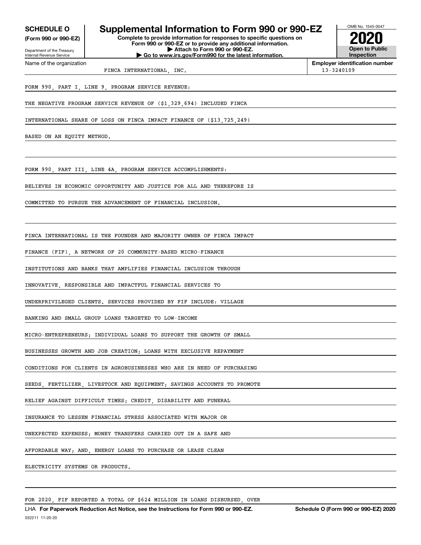Internal Revenue Service

Department of the Treasury **(Form 990 or 990-EZ)**

Name of the organization

# **SCHEDULE O Supplemental Information to Form 990 or 990-EZ 2020**

**Complete to provide information for responses to specific questions on Form 990 or 990-EZ or to provide any additional information. | Attach to Form 990 or 990-EZ. | Go to www.irs.gov/Form990 for the latest information.**

**Open to Public Inspection**

OMB No. 1545-0047

**Employer identification number** FINCA INTERNATIONAL, INC. 13-3240109

FORM 990, PART I, LINE 9, PROGRAM SERVICE REVENUE:

THE NEGATIVE PROGRAM SERVICE REVENUE OF (\$1,329,694) INCLUDED FINCA

INTERNATIONAL SHARE OF LOSS ON FINCA IMPACT FINANCE OF (\$13,725,249)

BASED ON AN EQUITY METHOD.

FORM 990, PART III, LINE 4A, PROGRAM SERVICE ACCOMPLISHMENTS:

BELIEVES IN ECONOMIC OPPORTUNITY AND JUSTICE FOR ALL AND THEREFORE IS

COMMITTED TO PURSUE THE ADVANCEMENT OF FINANCIAL INCLUSION.

FINCA INTERNATIONAL IS THE FOUNDER AND MAJORITY OWNER OF FINCA IMPACT

FINANCE (FIF), A NETWORK OF 20 COMMUNITY-BASED MICRO-FINANCE

INSTITUTIONS AND BANKS THAT AMPLIFIES FINANCIAL INCLUSION THROUGH

INNOVATIVE, RESPONSIBLE AND IMPACTFUL FINANCIAL SERVICES TO

UNDERPRIVILEGED CLIENTS. SERVICES PROVIDED BY FIF INCLUDE: VILLAGE

BANKING AND SMALL GROUP LOANS TARGETED TO LOW-INCOME

MICRO-ENTREPRENEURS; INDIVIDUAL LOANS TO SUPPORT THE GROWTH OF SMALL

BUSINESSES GROWTH AND JOB CREATION; LOANS WITH EXCLUSIVE REPAYMENT

CONDITIONS FOR CLIENTS IN AGROBUSINESSES WHO ARE IN NEED OF PURCHASING

SEEDS, FERTILIZER, LIVESTOCK AND EQUIPMENT; SAVINGS ACCOUNTS TO PROMOTE

RELIEF AGAINST DIFFICULT TIMES; CREDIT, DISABILITY AND FUNERAL

INSURANCE TO LESSEN FINANCIAL STRESS ASSOCIATED WITH MAJOR OR

UNEXPECTED EXPENSES; MONEY TRANSFERS CARRIED OUT IN A SAFE AND

AFFORDABLE WAY; AND, ENERGY LOANS TO PURCHASE OR LEASE CLEAN

ELECTRICITY SYSTEMS OR PRODUCTS.

FOR 2020, FIF REPORTED A TOTAL OF \$624 MILLION IN LOANS DISBURSED, OVER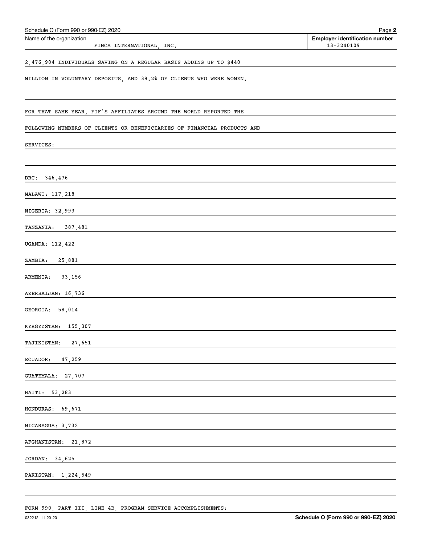| Schedule O (Form 990 or 990-EZ) 2020                                    | Page 2                                                  |
|-------------------------------------------------------------------------|---------------------------------------------------------|
| Name of the organization<br>FINCA INTERNATIONAL, INC.                   | <b>Employer identification number</b><br>$13 - 3240109$ |
| 2,476,904 INDIVIDUALS SAVING ON A REGULAR BASIS ADDING UP TO \$440      |                                                         |
| MILLION IN VOLUNTARY DEPOSITS, AND 39.2% OF CLIENTS WHO WERE WOMEN.     |                                                         |
| FOR THAT SAME YEAR, FIF'S AFFILIATES AROUND THE WORLD REPORTED THE      |                                                         |
| FOLLOWING NUMBERS OF CLIENTS OR BENEFICIARIES OF FINANCIAL PRODUCTS AND |                                                         |
| SERVICES:                                                               |                                                         |
| DRC: 346,476                                                            |                                                         |
| MALAWI: 117,218                                                         |                                                         |
| NIGERIA: 32,993                                                         |                                                         |
| TANZANIA: 387,481                                                       |                                                         |
| UGANDA: 112,422                                                         |                                                         |
| ZAMBIA: 25,881                                                          |                                                         |
| ARMENIA: 33,156                                                         |                                                         |
| AZERBAIJAN: 16,736                                                      |                                                         |
| GEORGIA: 58,014                                                         |                                                         |
| KYRGYZSTAN: 155,307                                                     |                                                         |
| <b>TAJIKISTAN:</b><br>27,651                                            |                                                         |
| ECUADOR:<br>47,259                                                      |                                                         |
| <b>GUATEMALA:</b><br>27,707                                             |                                                         |
| HAITI:<br>53,283                                                        |                                                         |
| HONDURAS:<br>69,671                                                     |                                                         |
| NICARAGUA: 3,732                                                        |                                                         |
| <b>AFGHANISTAN:</b><br>21,872                                           |                                                         |
| JORDAN:<br>34,625                                                       |                                                         |
| PAKISTAN:<br>1,224,549                                                  |                                                         |

FORM 990, PART III, LINE 4B, PROGRAM SERVICE ACCOMPLISHMENTS: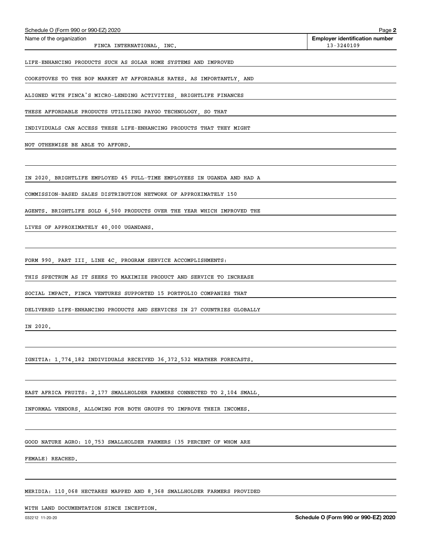| Schedule O (Form 990 or 990-EZ) 2020                                    | Page 2                                |
|-------------------------------------------------------------------------|---------------------------------------|
| Name of the organization                                                | <b>Employer identification number</b> |
| FINCA INTERNATIONAL, INC.                                               | 13-3240109                            |
| LIFE-ENHANCING PRODUCTS SUCH AS SOLAR HOME SYSTEMS AND IMPROVED         |                                       |
| COOKSTOVES TO THE BOP MARKET AT AFFORDABLE RATES. AS IMPORTANTLY, AND   |                                       |
| ALIGNED WITH FINCA'S MICRO-LENDING ACTIVITIES, BRIGHTLIFE FINANCES      |                                       |
| THESE AFFORDABLE PRODUCTS UTILIZING PAYGO TECHNOLOGY, SO THAT           |                                       |
| INDIVIDUALS CAN ACCESS THESE LIFE-ENHANCING PRODUCTS THAT THEY MIGHT    |                                       |
| NOT OTHERWISE BE ABLE TO AFFORD.                                        |                                       |
|                                                                         |                                       |
| IN 2020, BRIGHTLIFE EMPLOYED 45 FULL-TIME EMPLOYEES IN UGANDA AND HAD A |                                       |
| COMMISSION-BASED SALES DISTRIBUTION NETWORK OF APPROXIMATELY 150        |                                       |
| AGENTS. BRIGHTLIFE SOLD 6,500 PRODUCTS OVER THE YEAR WHICH IMPROVED THE |                                       |
| LIVES OF APPROXIMATELY 40,000 UGANDANS.                                 |                                       |
|                                                                         |                                       |
| FORM 990, PART III, LINE 4C, PROGRAM SERVICE ACCOMPLISHMENTS:           |                                       |
| THIS SPECTRUM AS IT SEEKS TO MAXIMIZE PRODUCT AND SERVICE TO INCREASE   |                                       |
| SOCIAL IMPACT. FINCA VENTURES SUPPORTED 15 PORTFOLIO COMPANIES THAT     |                                       |
| DELIVERED LIFE-ENHANCING PRODUCTS AND SERVICES IN 27 COUNTRIES GLOBALLY |                                       |
| IN 2020.                                                                |                                       |
|                                                                         |                                       |

IGNITIA: 1,774,182 INDIVIDUALS RECEIVED 36,372,532 WEATHER FORECASTS.

EAST AFRICA FRUITS: 2,177 SMALLHOLDER FARMERS CONNECTED TO 2,104 SMALL,

INFORMAL VENDORS, ALLOWING FOR BOTH GROUPS TO IMPROVE THEIR INCOMES.

GOOD NATURE AGRO: 10,753 SMALLHOLDER FARMERS (35 PERCENT OF WHOM ARE

FEMALE) REACHED.

MERIDIA: 110,068 HECTARES MAPPED AND 8,368 SMALLHOLDER FARMERS PROVIDED

WITH LAND DOCUMENTATION SINCE INCEPTION.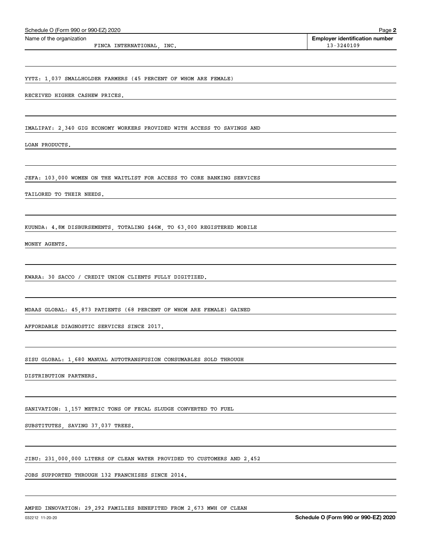| YYTZ: 1,037 SMALLHOLDER FARMERS (45 PERCENT OF WHOM ARE FEMALE)                |                                      |
|--------------------------------------------------------------------------------|--------------------------------------|
| RECEIVED HIGHER CASHEW PRICES.                                                 |                                      |
|                                                                                |                                      |
| IMALIPAY: 2,340 GIG ECONOMY WORKERS PROVIDED WITH ACCESS TO SAVINGS AND        |                                      |
| LOAN PRODUCTS.                                                                 |                                      |
|                                                                                |                                      |
| <b>JEFA: 103,000 WOMEN ON THE WAITLIST FOR ACCESS TO CORE BANKING SERVICES</b> |                                      |
| TAILORED TO THEIR NEEDS.                                                       |                                      |
|                                                                                |                                      |
| KUUNDA: 4.8M DISBURSEMENTS, TOTALING \$46M, TO 63,000 REGISTERED MOBILE        |                                      |
| MONEY AGENTS.                                                                  |                                      |
|                                                                                |                                      |
| KWARA: 30 SACCO / CREDIT UNION CLIENTS FULLY DIGITIZED.                        |                                      |
|                                                                                |                                      |
| MDAAS GLOBAL: 45,873 PATIENTS (68 PERCENT OF WHOM ARE FEMALE) GAINED           |                                      |
| AFFORDABLE DIAGNOSTIC SERVICES SINCE 2017.                                     |                                      |
|                                                                                |                                      |
| SISU GLOBAL: 1,680 MANUAL AUTOTRANSFUSION CONSUMABLES SOLD THROUGH             |                                      |
| DISTRIBUTION PARTNERS.                                                         |                                      |
|                                                                                |                                      |
| SANIVATION: 1,157 METRIC TONS OF FECAL SLUDGE CONVERTED TO FUEL                |                                      |
| SUBSTITUTES, SAVING 37,037 TREES.                                              |                                      |
|                                                                                |                                      |
| JIBU: 231,000,000 LITERS OF CLEAN WATER PROVIDED TO CUSTOMERS AND 2,452        |                                      |
| JOBS SUPPORTED THROUGH 132 FRANCHISES SINCE 2014.                              |                                      |
|                                                                                |                                      |
| AMPED INNOVATION: 29,292 FAMILIES BENEFITED FROM 2,673 MWH OF CLEAN            |                                      |
| 032212 11-20-20                                                                | Schedule O (Form 990 or 990-EZ) 2020 |
|                                                                                |                                      |

# Name of the organization

FINCA INTERNATIONAL, INC.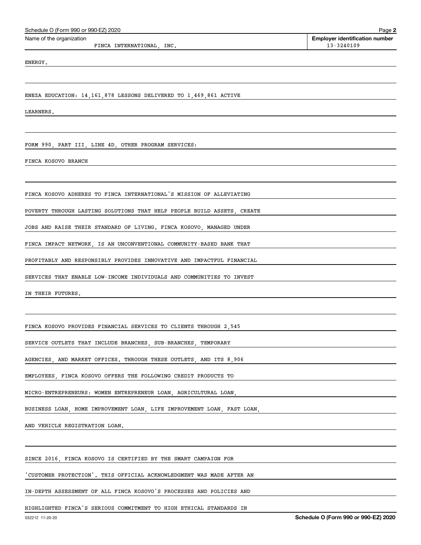| Schedule O (Form 990 or 990-EZ) 2020                                    | Page 2                                              |
|-------------------------------------------------------------------------|-----------------------------------------------------|
| Name of the organization<br>FINCA INTERNATIONAL, INC.                   | <b>Employer identification number</b><br>13-3240109 |
| ENERGY.                                                                 |                                                     |
|                                                                         |                                                     |
| ENEZA EDUCATION: 14,161,878 LESSONS DELIVERED TO 1,469,861 ACTIVE       |                                                     |
| LEARNERS.                                                               |                                                     |
|                                                                         |                                                     |
| FORM 990, PART III, LINE 4D, OTHER PROGRAM SERVICES:                    |                                                     |
| FINCA KOSOVO BRANCH                                                     |                                                     |
|                                                                         |                                                     |
| FINCA KOSOVO ADHERES TO FINCA INTERNATIONAL'S MISSION OF ALLEVIATING    |                                                     |
| POVERTY THROUGH LASTING SOLUTIONS THAT HELP PEOPLE BUILD ASSETS, CREATE |                                                     |
| JOBS AND RAISE THEIR STANDARD OF LIVING. FINCA KOSOVO, MANAGED UNDER    |                                                     |
| FINCA IMPACT NETWORK, IS AN UNCONVENTIONAL COMMUNITY-BASED BANK THAT    |                                                     |
| PROFITABLY AND RESPONSIBLY PROVIDES INNOVATIVE AND IMPACTFUL FINANCIAL  |                                                     |
| SERVICES THAT ENABLE LOW-INCOME INDIVIDUALS AND COMMUNITIES TO INVEST   |                                                     |
| IN THEIR FUTURES.                                                       |                                                     |
|                                                                         |                                                     |
| FINCA KOSOVO PROVIDES FINANCIAL SERVICES TO CLIENTS THROUGH 2,545       |                                                     |
| SERVICE OUTLETS THAT INCLUDE BRANCHES, SUB-BRANCHES, TEMPORARY          |                                                     |
| AGENCIES, AND MARKET OFFICES. THROUGH THESE OUTLETS, AND ITS 8,906      |                                                     |
| EMPLOYEES, FINCA KOSOVO OFFERS THE FOLLOWING CREDIT PRODUCTS TO         |                                                     |
| MICRO-ENTREPRENEURS: WOMEN ENTREPRENEUR LOAN, AGRICULTURAL LOAN,        |                                                     |
| BUSINESS LOAN, HOME IMPROVEMENT LOAN, LIFE IMPROVEMENT LOAN, FAST LOAN, |                                                     |
| AND VEHICLE REGISTRATION LOAN.                                          |                                                     |
|                                                                         |                                                     |
| SINCE 2016, FINCA KOSOVO IS CERTIFIED BY THE SMART CAMPAIGN FOR         |                                                     |
| 'CUSTOMER PROTECTION'. THIS OFFICIAL ACKNOWLEDGMENT WAS MADE AFTER AN   |                                                     |
| IN-DEPTH ASSESSMENT OF ALL FINCA KOSOVO'S PROCESSES AND POLICIES AND    |                                                     |
| HIGHLIGHTED FINCA'S SERIOUS COMMITMENT TO HIGH ETHICAL STANDARDS IN     |                                                     |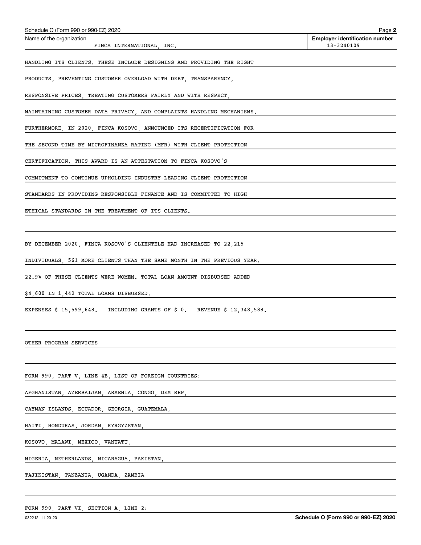| Schedule O (Form 990 or 990-EZ) 2020                                       | Page 2                                              |
|----------------------------------------------------------------------------|-----------------------------------------------------|
| Name of the organization<br>FINCA INTERNATIONAL, INC.                      | <b>Employer identification number</b><br>13-3240109 |
| HANDLING ITS CLIENTS. THESE INCLUDE DESIGNING AND PROVIDING THE RIGHT      |                                                     |
| PRODUCTS, PREVENTING CUSTOMER OVERLOAD WITH DEBT, TRANSPARENCY,            |                                                     |
| RESPONSIVE PRICES, TREATING CUSTOMERS FAIRLY AND WITH RESPECT,             |                                                     |
| MAINTAINING CUSTOMER DATA PRIVACY, AND COMPLAINTS HANDLING MECHANISMS.     |                                                     |
| FURTHERMORE, IN 2020, FINCA KOSOVO, ANNOUNCED ITS RECERTIFICATION FOR      |                                                     |
| THE SECOND TIME BY MICROFINANZA RATING (MFR) WITH CLIENT PROTECTION        |                                                     |
| CERTIFICATION. THIS AWARD IS AN ATTESTATION TO FINCA KOSOVO'S              |                                                     |
| COMMITMENT TO CONTINUE UPHOLDING INDUSTRY-LEADING CLIENT PROTECTION        |                                                     |
| STANDARDS IN PROVIDING RESPONSIBLE FINANCE AND IS COMMITTED TO HIGH        |                                                     |
| ETHICAL STANDARDS IN THE TREATMENT OF ITS CLIENTS.                         |                                                     |
|                                                                            |                                                     |
| BY DECEMBER 2020, FINCA KOSOVO'S CLIENTELE HAD INCREASED TO 22, 215        |                                                     |
| INDIVIDUALS, 561 MORE CLIENTS THAN THE SAME MONTH IN THE PREVIOUS YEAR.    |                                                     |
| 22.9% OF THESE CLIENTS WERE WOMEN. TOTAL LOAN AMOUNT DISBURSED ADDED       |                                                     |
| $$4,600$ IN 1,442 TOTAL LOANS DISBURSED.                                   |                                                     |
| EXPENSES $$15,599,648$ . INCLUDING GRANTS OF $$0.$ REVENUE $$12,348,588$ . |                                                     |
|                                                                            |                                                     |
| OTHER PROGRAM SERVICES                                                     |                                                     |
|                                                                            |                                                     |
| FORM 990, PART V, LINE 4B, LIST OF FOREIGN COUNTRIES:                      |                                                     |
| AFGHANISTAN, AZERBAIJAN, ARMENIA, CONGO, DEM REP,                          |                                                     |
| CAYMAN ISLANDS, ECUADOR, GEORGIA, GUATEMALA,                               |                                                     |
| HAITI, HONDURAS, JORDAN, KYRGYZSTAN,                                       |                                                     |
| KOSOVO, MALAWI, MEXICO, VANUATU,                                           |                                                     |
| NIGERIA, NETHERLANDS, NICARAGUA, PAKISTAN,                                 |                                                     |
| TAJIKISTAN, TANZANIA, UGANDA, ZAMBIA                                       |                                                     |

FORM 990, PART VI, SECTION A, LINE 2: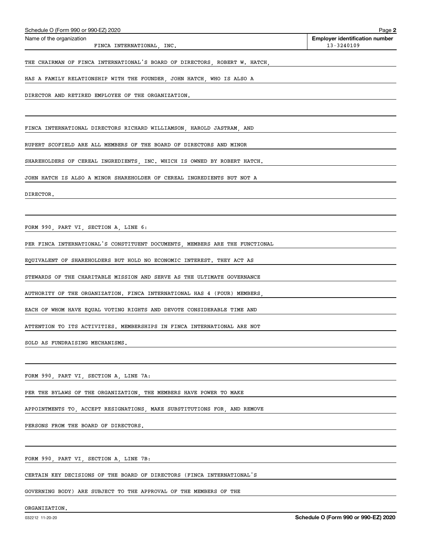| HAS A FAMILY RELATIONSHIP WITH THE FOUNDER, JOHN HATCH, WHO IS ALSO A                                                                                          |                                 |
|----------------------------------------------------------------------------------------------------------------------------------------------------------------|---------------------------------|
| DIRECTOR AND RETIRED EMPLOYEE OF THE ORGANIZATION.                                                                                                             |                                 |
|                                                                                                                                                                |                                 |
| FINCA INTERNATIONAL DIRECTORS RICHARD WILLIAMSON, HAROLD JASTRAM, AND                                                                                          |                                 |
| RUPERT SCOFIELD ARE ALL MEMBERS OF THE BOARD OF DIRECTORS AND MINOR                                                                                            |                                 |
| SHAREHOLDERS OF CEREAL INGREDIENTS, INC. WHICH IS OWNED BY ROBERT HATCH.                                                                                       |                                 |
| JOHN HATCH IS ALSO A MINOR SHAREHOLDER OF CEREAL INGREDIENTS BUT NOT A                                                                                         |                                 |
| DIRECTOR.                                                                                                                                                      |                                 |
|                                                                                                                                                                |                                 |
| FORM 990, PART VI, SECTION A, LINE 6:<br><u> 1989 - Johann Stoff, deutscher Stoff, der Stoff, der Stoff, der Stoff, der Stoff, der Stoff, der Stoff, der S</u> |                                 |
| PER FINCA INTERNATIONAL'S CONSTITUENT DOCUMENTS, MEMBERS ARE THE FUNCTIONAL                                                                                    |                                 |
| EQUIVALENT OF SHAREHOLDERS BUT HOLD NO ECONOMIC INTEREST. THEY ACT AS                                                                                          |                                 |
| STEWARDS OF THE CHARITABLE MISSION AND SERVE AS THE ULTIMATE GOVERNANCE                                                                                        |                                 |
| AUTHORITY OF THE ORGANIZATION. FINCA INTERNATIONAL HAS 4 (FOUR) MEMBERS,                                                                                       |                                 |
| EACH OF WHOM HAVE EQUAL VOTING RIGHTS AND DEVOTE CONSIDERABLE TIME AND                                                                                         |                                 |
| ATTENTION TO ITS ACTIVITIES. MEMBERSHIPS IN FINCA INTERNATIONAL ARE NOT                                                                                        |                                 |
| SOLD AS FUNDRAISING MECHANISMS.                                                                                                                                |                                 |
|                                                                                                                                                                |                                 |
| FORM 990, PART VI, SECTION A, LINE 7A:                                                                                                                         |                                 |
| PER THE BYLAWS OF THE ORGANIZATION, THE MEMBERS HAVE POWER TO MAKE                                                                                             |                                 |
| APPOINTMENTS TO, ACCEPT RESIGNATIONS, MAKE SUBSTITUTIONS FOR, AND REMOVE                                                                                       |                                 |
| PERSONS FROM THE BOARD OF DIRECTORS.                                                                                                                           |                                 |
|                                                                                                                                                                |                                 |
| FORM 990, PART VI, SECTION A, LINE 7B:                                                                                                                         |                                 |
| CERTAIN KEY DECISIONS OF THE BOARD OF DIRECTORS (FINCA INTERNATIONAL'S                                                                                         |                                 |
| GOVERNING BODY) ARE SUBJECT TO THE APPROVAL OF THE MEMBERS OF THE                                                                                              |                                 |
| ORGANIZATION.                                                                                                                                                  |                                 |
| 032212 11-20-20                                                                                                                                                | Schedule O (Form 990 or 990-EZ) |
|                                                                                                                                                                |                                 |
|                                                                                                                                                                |                                 |

Schedule O (Form 990 or 990-EZ) 2020

Name of the organization

FINCA INTERNATIONAL, INC.

**2 Employer identification number**

THE CHAIRMAN OF FINCA INTERNATIONAL'S BOARD OF DIRECTORS, ROBERT W. HATCH,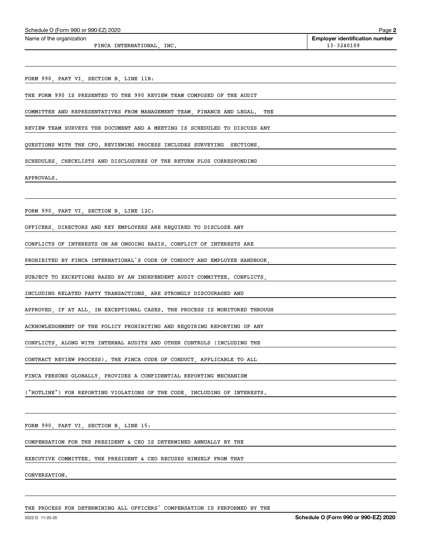| Schedule O (Form 990 or 990-EZ) 2020 | Page |
|--------------------------------------|------|
|--------------------------------------|------|

#### Name of the organization

FINCA INTERNATIONAL, INC. 13-3240109

**2 Employer identification number**

FORM 990, PART VI, SECTION B, LINE 11B:

THE FORM 990 IS PRESENTED TO THE 990 REVIEW TEAM COMPOSED OF THE AUDIT

COMMITTEE AND REPRESENTATIVES FROM MANAGEMENT TEAM, FINANCE AND LEGAL. THE

REVIEW TEAM SURVEYS THE DOCUMENT AND A MEETING IS SCHEDULED TO DISCUSS ANY

QUESTIONS WITH THE CFO. REVIEWING PROCESS INCLUDES SURVEYING SECTIONS,

SCHEDULES, CHECKLISTS AND DISCLOSURES OF THE RETURN PLUS CORRESPONDING

APPROVALS.

FORM 990, PART VI, SECTION B, LINE 12C:

OFFICERS, DIRECTORS AND KEY EMPLOYEES ARE REQUIRED TO DISCLOSE ANY

CONFLICTS OF INTERESTS ON AN ONGOING BASIS. CONFLICT OF INTERESTS ARE

PROHIBITED BY FINCA INTERNATIONAL'S CODE OF CONDUCT AND EMPLOYEE HANDBOOK,

SUBJECT TO EXCEPTIONS BASED BY AN INDEPENDENT AUDIT COMMITTEE. CONFLICTS,

INCLUDING RELATED PARTY TRANSACTIONS, ARE STRONGLY DISCOURAGED AND

APPROVED, IF AT ALL, IN EXCEPTIONAL CASES. THE PROCESS IS MONITORED THROUGH

ACKNOWLEDGEMENT OF THE POLICY PROHIBITING AND REQUIRING REPORTING OF ANY

CONFLICTS, ALONG WITH INTERNAL AUDITS AND OTHER CONTROLS (INCLUDING THE

CONTRACT REVIEW PROCESS). THE FINCA CODE OF CONDUCT, APPLICABLE TO ALL

FINCA PERSONS GLOBALLY, PROVIDES A CONFIDENTIAL REPORTING MECHANISM

("HOTLINE") FOR REPORTING VIOLATIONS OF THE CODE, INCLUDING OF INTERESTS.

FORM 990, PART VI, SECTION B, LINE 15:

COMPENSATION FOR THE PRESIDENT & CEO IS DETERMINED ANNUALLY BY THE

EXECUTIVE COMMITTEE. THE PRESIDENT & CEO RECUSES HIMSELF FROM THAT

CONVERSATION.

THE PROCESS FOR DETERMINING ALL OFFICERS' COMPENSATION IS PERFORMED BY THE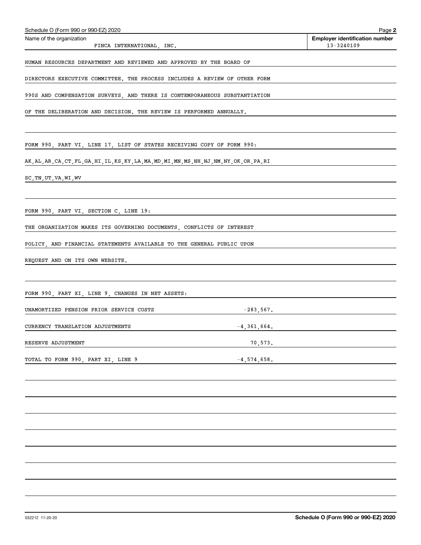| Name of the organization<br>FINCA INTERNATIONAL, INC.                                              | <b>Employer identification number</b><br>13-3240109 |
|----------------------------------------------------------------------------------------------------|-----------------------------------------------------|
| HUMAN RESOURCES DEPARTMENT AND REVIEWED AND APPROVED BY THE BOARD OF                               |                                                     |
| DIRECTORS EXECUTIVE COMMITTEE. THE PROCESS INCLUDES A REVIEW OF OTHER FORM                         |                                                     |
| 990S AND COMPENSATION SURVEYS, AND THERE IS CONTEMPORANEOUS SUBSTANTIATION                         |                                                     |
| OF THE DELIBERATION AND DECISION. THE REVIEW IS PERFORMED ANNUALLY.                                |                                                     |
|                                                                                                    |                                                     |
| FORM 990, PART VI, LINE 17, LIST OF STATES RECEIVING COPY OF FORM 990:                             |                                                     |
| AK, AL, AR, CA, CT, FL, GA, HI, IL, KS, KY, LA, MA, MD, MI, MN, MS, NH, NJ, NM, NY, OK, OR, PA, RI |                                                     |
| SC, TN, UT, VA, WI, WV                                                                             |                                                     |
|                                                                                                    |                                                     |
| FORM 990, PART VI, SECTION C, LINE 19:                                                             |                                                     |
| THE ORGANIZATION MAKES ITS GOVERNING DOCUMENTS, CONFLICTS OF INTEREST                              |                                                     |
| POLICY, AND FINANCIAL STATEMENTS AVAILABLE TO THE GENERAL PUBLIC UPON                              |                                                     |
| REQUEST AND ON ITS OWN WEBSITE.                                                                    |                                                     |
|                                                                                                    |                                                     |
| FORM 990, PART XI, LINE 9, CHANGES IN NET ASSETS:                                                  |                                                     |
| $-283,567.$<br>UNAMORTIZED PENSION PRIOR SERVICE COSTS                                             |                                                     |
| CURRENCY TRANSLATION ADJUSTMENTS<br>$-4, 361, 664.$                                                |                                                     |
| 70,573.<br>RESERVE ADJUSTMENT                                                                      |                                                     |
| TOTAL TO FORM 990, PART XI, LINE 9<br>$-4,574,658.$                                                |                                                     |
|                                                                                                    |                                                     |
|                                                                                                    |                                                     |
|                                                                                                    |                                                     |
|                                                                                                    |                                                     |
|                                                                                                    |                                                     |
|                                                                                                    |                                                     |
|                                                                                                    |                                                     |

Schedule O (Form 990 or 990-EZ) 2020

**2**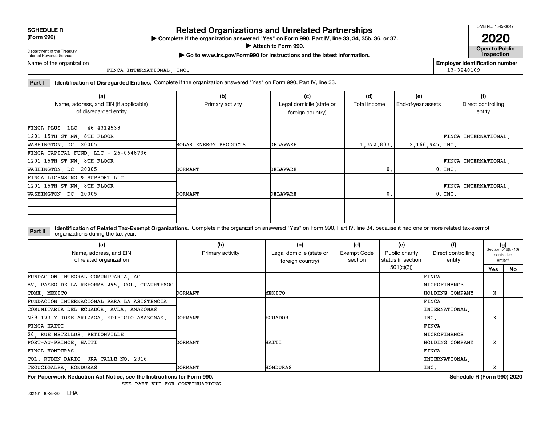| (Form 990) |  |
|------------|--|
|------------|--|

# **SCHEDULE R**

# **Related Organizations and Unrelated Partnerships**

**(Form 990) Complete if the organization answered "Yes" on Form 990, Part IV, line 33, 34, 35b, 36, or 37.** |

**Attach to Form 990. Consumer to Public Service Service Service Service Service Service Service Service Service Service Service Service Service Service Service Service Service Service Service Service Service Service Serv** 

OMB No. 1545-0047

**| Go to www.irs.gov/Form990 for instructions and the latest information. Inspection 2020**

Department of the Treasury Internal Revenue Service Name of the organization

FINCA INTERNATIONAL, INC.

**Employer identification number** 13-3240109

Part I ldentification of Disregarded Entities. Complete if the organization answered "Yes" on Form 990, Part IV, line 33.

| (a)<br>Name, address, and EIN (if applicable)<br>of disregarded entity | (b)<br>Primary activity | (c)<br>Legal domicile (state or<br>foreign country) | (d)<br>Total income | (e)<br>End-of-year assets | (f)<br>Direct controlling<br>entity |
|------------------------------------------------------------------------|-------------------------|-----------------------------------------------------|---------------------|---------------------------|-------------------------------------|
| FINCA PLUS, LLC - 46-4312538                                           |                         |                                                     |                     |                           |                                     |
| 1201 15TH ST NW, 8TH FLOOR                                             |                         |                                                     |                     |                           | FINCA INTERNATIONAL,                |
| WASHINGTON, DC 20005                                                   | SOLAR ENERGY PRODUCTS   | DELAWARE                                            | 1,372,803.          | $2,166,945.$ [INC.        |                                     |
| FINCA CAPITAL FUND, LLC - 26-0648736                                   |                         |                                                     |                     |                           |                                     |
| 1201 15TH ST NW, 8TH FLOOR                                             |                         |                                                     |                     |                           | FINCA INTERNATIONAL,                |
| WASHINGTON, DC 20005                                                   | DORMANT                 | DELAWARE                                            | 0.                  |                           | $0.$ $\texttt{INC}$ .               |
| FINCA LICENSING & SUPPORT LLC                                          |                         |                                                     |                     |                           |                                     |
| 1201 15TH ST NW, 8TH FLOOR                                             |                         |                                                     |                     |                           | FINCA INTERNATIONAL.                |
| WASHINGTON, DC 20005                                                   | DORMANT                 | DELAWARE                                            | 0.                  |                           | $0.$ $\texttt{INC.}$                |
|                                                                        |                         |                                                     |                     |                           |                                     |

**Part II Identification of Related Tax-Exempt Organizations.** Complete if the organization answered "Yes" on Form 990, Part IV, line 34, because it had one or more related tax-exempt<br> **Part II** Organizations during the tax organizations during the tax year.

| (a)<br>Name, address, and EIN<br>of related organization | (b)<br>Primary activity | (c)<br>Legal domicile (state or<br>foreign country) | (d)<br>Exempt Code<br>section | (e)<br>Public charity<br>status (if section | (f)<br>Direct controlling<br>entity | $(g)$<br>Section 512(b)(13)<br>controlled<br>entity? |    |
|----------------------------------------------------------|-------------------------|-----------------------------------------------------|-------------------------------|---------------------------------------------|-------------------------------------|------------------------------------------------------|----|
|                                                          |                         |                                                     |                               | 501(c)(3))                                  |                                     | Yes                                                  | No |
| FUNDACION INTEGRAL COMUNITARIA, AC                       |                         |                                                     |                               |                                             | <b>FINCA</b>                        |                                                      |    |
| AV. PASEO DE LA REFORMA 295, COL. CUAUHTEMOC             |                         |                                                     |                               |                                             | MICROFINANCE                        |                                                      |    |
| CDMX, MEXICO                                             | DORMANT                 | MEXICO                                              |                               |                                             | HOLDING COMPANY                     | х                                                    |    |
| FUNDACION INTERNACIONAL PARA LA ASISTENCIA               |                         |                                                     |                               |                                             | FINCA                               |                                                      |    |
| COMUNITARIA DEL ECUADOR, AVDA. AMAZONAS                  |                         |                                                     |                               |                                             | INTERNATIONAL                       |                                                      |    |
| N39-123 Y JOSE ARIZAGA, EDIFICIO AMAZONAS,               | DORMANT                 | <b>ECUADOR</b>                                      |                               |                                             | INC.                                | X                                                    |    |
| FINCA HAITI                                              |                         |                                                     |                               |                                             | FINCA                               |                                                      |    |
| 26, RUE METELLUS, PETIONVILLE                            |                         |                                                     |                               |                                             | MICROFINANCE                        |                                                      |    |
| PORT-AU-PRINCE, HAITI                                    | DORMANT                 | HAITI                                               |                               |                                             | HOLDING COMPANY                     | х                                                    |    |
| FINCA HONDURAS                                           |                         |                                                     |                               |                                             | FINCA                               |                                                      |    |
| COL. RUBEN DARIO, 3RA CALLE NO. 2316                     |                         |                                                     |                               |                                             | INTERNATIONAL.                      |                                                      |    |
| TEGUCIGALPA HONDURAS                                     | DORMANT                 | HONDURAS                                            |                               |                                             | INC.                                | X                                                    |    |

**For Paperwork Reduction Act Notice, see the Instructions for Form 990. Schedule R (Form 990) 2020**

SEE PART VII FOR CONTINUATIONS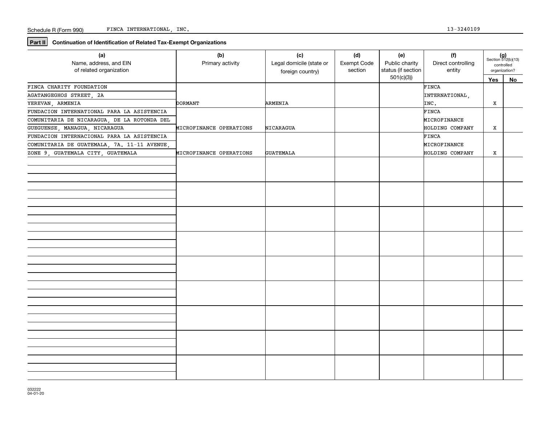**Part II** Continuation of Identification of Related Tax-Exempt Organizations

| (a)<br>Name, address, and EIN<br>of related organization | (b)<br>Primary activity | (c)<br>Legal domicile (state or<br>foreign country) | (d)<br>Exempt Code<br>section | (e)<br>Public charity<br>status (if section | (f)<br>Direct controlling<br>entity | $(g)$<br>Section 512(b)(13)<br>controlled<br>organization? |    |
|----------------------------------------------------------|-------------------------|-----------------------------------------------------|-------------------------------|---------------------------------------------|-------------------------------------|------------------------------------------------------------|----|
|                                                          |                         |                                                     |                               | 501(c)(3)                                   |                                     | Yes                                                        | No |
| FINCA CHARITY FOUNDATION                                 |                         |                                                     |                               |                                             | FINCA                               |                                                            |    |
| AGATANGEGHOS STREET, 2A                                  |                         |                                                     |                               |                                             | INTERNATIONAL,                      |                                                            |    |
| YEREVAN, ARMENIA                                         | <b>DORMANT</b>          | ARMENIA                                             |                               |                                             | INC.                                | X                                                          |    |
| FUNDACION INTERNATIONAL PARA LA ASISTENCIA               |                         |                                                     |                               |                                             | FINCA                               |                                                            |    |
| COMUNITARIA DE NICARAGUA, DE LA ROTONDA DEL              |                         |                                                     |                               |                                             | MICROFINANCE                        |                                                            |    |
| GUEGUENSE, MANAGUA, NICARAGUA                            | MICROFINANCE OPERATIONS | NICARAGUA                                           |                               |                                             | HOLDING COMPANY                     | x                                                          |    |
| FUNDACION INTERNACIONAL PARA LA ASISTENCIA               |                         |                                                     |                               |                                             | FINCA                               |                                                            |    |
| COMUNITARIA DE GUATEMALA, 7A. 11-11 AVENUE,              |                         |                                                     |                               |                                             | MICROFINANCE                        |                                                            |    |
| ZONE 9, GUATEMALA CITY, GUATEMALA                        | MICROFINANCE OPERATIONS | <b>GUATEMALA</b>                                    |                               |                                             | HOLDING COMPANY                     | x                                                          |    |
|                                                          |                         |                                                     |                               |                                             |                                     |                                                            |    |
|                                                          |                         |                                                     |                               |                                             |                                     |                                                            |    |
|                                                          |                         |                                                     |                               |                                             |                                     |                                                            |    |
|                                                          |                         |                                                     |                               |                                             |                                     |                                                            |    |
|                                                          |                         |                                                     |                               |                                             |                                     |                                                            |    |
|                                                          |                         |                                                     |                               |                                             |                                     |                                                            |    |
|                                                          |                         |                                                     |                               |                                             |                                     |                                                            |    |
|                                                          |                         |                                                     |                               |                                             |                                     |                                                            |    |
|                                                          |                         |                                                     |                               |                                             |                                     |                                                            |    |
|                                                          |                         |                                                     |                               |                                             |                                     |                                                            |    |
|                                                          |                         |                                                     |                               |                                             |                                     |                                                            |    |
|                                                          |                         |                                                     |                               |                                             |                                     |                                                            |    |
|                                                          |                         |                                                     |                               |                                             |                                     |                                                            |    |
|                                                          |                         |                                                     |                               |                                             |                                     |                                                            |    |
|                                                          |                         |                                                     |                               |                                             |                                     |                                                            |    |
|                                                          |                         |                                                     |                               |                                             |                                     |                                                            |    |
|                                                          |                         |                                                     |                               |                                             |                                     |                                                            |    |
|                                                          |                         |                                                     |                               |                                             |                                     |                                                            |    |
|                                                          |                         |                                                     |                               |                                             |                                     |                                                            |    |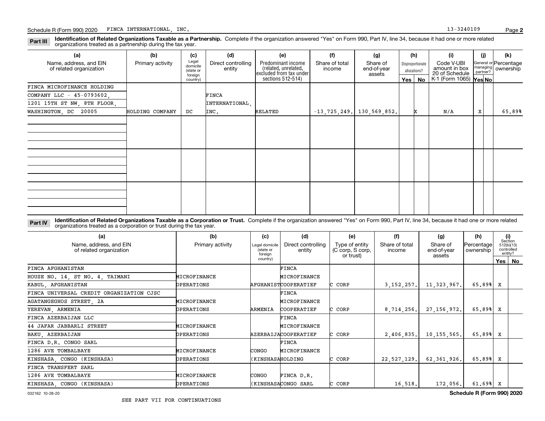**Part III Identification of Related Organizations Taxable as a Partnership.** Complete if the organization answered "Yes" on Form 990, Part IV, line 34, because it had one or more related and a partnership during the tox ve organizations treated as a partnership during the tax year.

| (a)                                               | (b)              | (c)                                       | (d)                          | (e)                                                                   | (f)                      | (g)                               |         | (h)                              | (i)                                           | (i)                  | (k)                                |
|---------------------------------------------------|------------------|-------------------------------------------|------------------------------|-----------------------------------------------------------------------|--------------------------|-----------------------------------|---------|----------------------------------|-----------------------------------------------|----------------------|------------------------------------|
| Name, address, and EIN<br>of related organization | Primary activity | Legal<br>domicile<br>(state or<br>foreign | Direct controlling<br>entity | Predominant income<br>(related, unrelated,<br>excluded from tax under | Share of total<br>income | Share of<br>end-of-year<br>assets |         | Disproportionate<br>allocations? | Code V-UBI<br>amount in box<br>20 of Schedule | managing<br>partner? | General or Percentage<br>ownership |
|                                                   |                  | country)                                  |                              | sections 512-514)                                                     |                          |                                   | Yes $ $ | No                               | $K-1$ (Form 1065) $\gamma$ es No              |                      |                                    |
| FINCA MICROFINANCE HOLDING                        |                  |                                           |                              |                                                                       |                          |                                   |         |                                  |                                               |                      |                                    |
| COMPANY LLC - 45-0793602,                         |                  |                                           | FINCA                        |                                                                       |                          |                                   |         |                                  |                                               |                      |                                    |
| 1201 15TH ST NW, 8TH FLOOR,                       |                  |                                           | INTERNATIONAL,               |                                                                       |                          |                                   |         |                                  |                                               |                      |                                    |
| WASHINGTON, DC 20005                              | HOLDING COMPANY  | DC                                        | INC.                         | RELATED                                                               |                          | $-13, 725, 249.$ 130,569,852.     |         |                                  | N/A                                           | X                    | 65.89%                             |
|                                                   |                  |                                           |                              |                                                                       |                          |                                   |         |                                  |                                               |                      |                                    |
|                                                   |                  |                                           |                              |                                                                       |                          |                                   |         |                                  |                                               |                      |                                    |
|                                                   |                  |                                           |                              |                                                                       |                          |                                   |         |                                  |                                               |                      |                                    |
|                                                   |                  |                                           |                              |                                                                       |                          |                                   |         |                                  |                                               |                      |                                    |
|                                                   |                  |                                           |                              |                                                                       |                          |                                   |         |                                  |                                               |                      |                                    |
|                                                   |                  |                                           |                              |                                                                       |                          |                                   |         |                                  |                                               |                      |                                    |
|                                                   |                  |                                           |                              |                                                                       |                          |                                   |         |                                  |                                               |                      |                                    |
|                                                   |                  |                                           |                              |                                                                       |                          |                                   |         |                                  |                                               |                      |                                    |
|                                                   |                  |                                           |                              |                                                                       |                          |                                   |         |                                  |                                               |                      |                                    |
|                                                   |                  |                                           |                              |                                                                       |                          |                                   |         |                                  |                                               |                      |                                    |
|                                                   |                  |                                           |                              |                                                                       |                          |                                   |         |                                  |                                               |                      |                                    |
|                                                   |                  |                                           |                              |                                                                       |                          |                                   |         |                                  |                                               |                      |                                    |

Part IV Identification of Related Organizations Taxable as a Corporation or Trust. Complete if the organization answered "Yes" on Form 990, Part IV, line 34, because it had one or more related organizations treated as a corporation or trust during the tax year.

| (a)<br>Name, address, and EIN<br>of related organization | (b)<br>Primary activity | (c)<br>Legal domicile<br>(state or<br>foreian | (d)<br>Direct controlling<br>entity | (e)<br>Type of entity<br>(C corp, S corp,<br>or trust) | (f)<br>Share of total<br>income | (g)<br>Share of<br>end-of-year<br>assets | (h)<br>Percentage<br>ownership | (i)<br>Section<br>512(b)(13)<br>controlled<br>entity? |          |
|----------------------------------------------------------|-------------------------|-----------------------------------------------|-------------------------------------|--------------------------------------------------------|---------------------------------|------------------------------------------|--------------------------------|-------------------------------------------------------|----------|
|                                                          |                         | country)                                      |                                     |                                                        |                                 |                                          |                                |                                                       | Yes   No |
| FINCA AFGHANISTAN                                        |                         |                                               | <b>FINCA</b>                        |                                                        |                                 |                                          |                                |                                                       |          |
| HOUSE NO. 14, ST NO. 4, TAIMANI                          | MICROFINANCE            |                                               | MICROFINANCE                        |                                                        |                                 |                                          |                                |                                                       |          |
| KABUL, AFGHANISTAN                                       | OPERATIONS              |                                               | <b>AFGHANISTCOOPERATIEF</b>         | C CORP                                                 | 3, 152, 257.                    | 11, 323, 967.                            | 65.89%                         | x                                                     |          |
| FINCA UNIVERSAL CREDIT ORGANIZATION CJSC                 |                         |                                               | FINCA                               |                                                        |                                 |                                          |                                |                                                       |          |
| AGATANGEGHOS STREET 2A                                   | MICROFINANCE            |                                               | MICROFINANCE                        |                                                        |                                 |                                          |                                |                                                       |          |
| YEREVAN, ARMENIA                                         | OPERATIONS              | ARMENIA                                       | COOPERATIEF                         | C CORP                                                 | 8,714,256.                      | 27, 156, 972.                            | 65.89%                         | x                                                     |          |
| FINCA AZERBAIJAN LLC                                     |                         |                                               | FINCA                               |                                                        |                                 |                                          |                                |                                                       |          |
| 44 JAFAR JABBARLI STREET                                 | MICROFINANCE            |                                               | MICROFINANCE                        |                                                        |                                 |                                          |                                |                                                       |          |
| BAKU, AZERBAIJAN                                         | OPERATIONS              |                                               | AZERBAIJACOOPERATIEF                | CORP                                                   | 2,406,835.                      | 10, 155, 565.                            | 65.89%                         | x                                                     |          |
| FINCA D.R. CONGO SARL                                    |                         |                                               | <b>FINCA</b>                        |                                                        |                                 |                                          |                                |                                                       |          |
| 1286 AVE TOMBALBAYE                                      | MICROFINANCE            | CONGO                                         | MICROFINANCE                        |                                                        |                                 |                                          |                                |                                                       |          |
| KINSHASA, CONGO (KINSHASA)                               | OPERATIONS              | KINSHASAHOLDING                               |                                     | C CORP                                                 | 22,527,129.                     | 62, 361, 926.                            | 65.89%                         | x                                                     |          |
| FINCA TRANSFERT SARL                                     |                         |                                               |                                     |                                                        |                                 |                                          |                                |                                                       |          |
| 1286 AVE TOMBALBAYE                                      | MICROFINANCE            | CONGO                                         | FINCA D.R.                          |                                                        |                                 |                                          |                                |                                                       |          |
| KINSHASA, CONGO (KINSHASA)                               | OPERATIONS              |                                               | KINSHASACONGO SARL                  | C CORP                                                 | 16, 518.                        | 172,056.                                 | 61.69%                         | x                                                     |          |

032162 10-28-20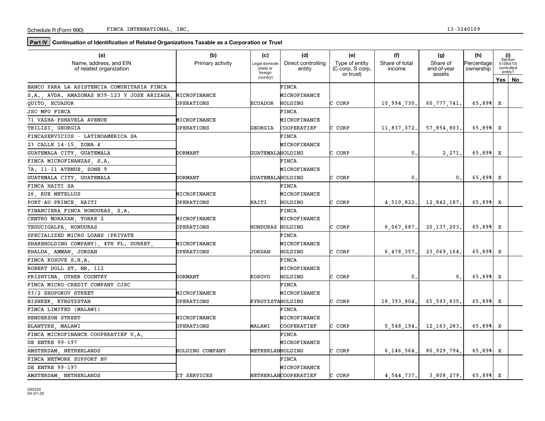**Part IV** Continuation of Identification of Related Organizations Taxable as a Corporation or Trust

| (a)                                               | (b)              | (c)                                    | (d)                          | (e)                                             | (f)                      | (g)                               | (h)                     |     | (i)<br>Section                      |
|---------------------------------------------------|------------------|----------------------------------------|------------------------------|-------------------------------------------------|--------------------------|-----------------------------------|-------------------------|-----|-------------------------------------|
| Name, address, and EIN<br>of related organization | Primary activity | Legal domicile<br>(state or<br>foreign | Direct controlling<br>entity | Type of entity<br>(C corp, S corp,<br>or trust) | Share of total<br>income | Share of<br>end-of-year<br>assets | Percentage<br>ownership |     | 512(b)(13)<br>controlled<br>entity? |
|                                                   |                  | country)                               |                              |                                                 |                          |                                   |                         | Yes | No                                  |
| BANCO PARA LA ASISTENCIA COMUNITARIA FINCA        |                  |                                        | <b>FINCA</b>                 |                                                 |                          |                                   |                         |     |                                     |
| S.A., AVDA. AMAZONAS N39-123 Y JOSE ARIZAGA,      | MICROFINANCE     |                                        | MICROFINANCE                 |                                                 |                          |                                   |                         |     |                                     |
| QUITO ECUADOR                                     | OPERATIONS       | <b>ECUADOR</b>                         | HOLDING                      | C CORP                                          | 10,994,730.              | 60,777,741                        | 65.89%                  | x   |                                     |
| <b>JSC MFO FINCA</b>                              |                  |                                        | <b>FINCA</b>                 |                                                 |                          |                                   |                         |     |                                     |
| 71 VAZHA-PSHAVELA AVENUE                          | MICROFINANCE     |                                        | MICROFINANCE                 |                                                 |                          |                                   |                         |     |                                     |
| TBILISI, GEORGIA                                  | OPERATIONS       | <b>GEORGIA</b>                         | COOPERATIEF                  | CORP                                            | 11,837,072.              | 57,854,803                        | 65.89%                  | x   |                                     |
| FINCASERVICIOS - LATINOAMERICA SA                 |                  |                                        | FINCA                        |                                                 |                          |                                   |                         |     |                                     |
| 23 CALLE 14-15, ZONA 4                            |                  |                                        | MICROFINANCE                 |                                                 |                          |                                   |                         |     |                                     |
| GUATEMALA CITY, GUATEMALA                         | DORMANT          | GUATEMALAHOLDING                       |                              | C CORP                                          | 0.                       | 2,271.                            | 65.89%                  | x   |                                     |
| FINCA MICROFINANZAS, S.A.                         |                  |                                        | <b>FINCA</b>                 |                                                 |                          |                                   |                         |     |                                     |
| 7A. 11-11 AVENUE, ZONE 9                          |                  |                                        | MICROFINANCE                 |                                                 |                          |                                   |                         |     |                                     |
| GUATEMALA CITY GUATEMALA                          | DORMANT          | GUATEMALAHOLDING                       |                              | C CORP                                          | 0.                       | 0.                                | 65.89%                  | X   |                                     |
| FINCA HAITI SA                                    |                  |                                        | FINCA                        |                                                 |                          |                                   |                         |     |                                     |
| 26 RUE METELLUS                                   | MICROFINANCE     |                                        | MICROFINANCE                 |                                                 |                          |                                   |                         |     |                                     |
| PORT-AU-PRINCE HAITI                              | OPERATIONS       | HAITI                                  | HOLDING                      | C CORP                                          | 4,510,822.               | 12,842,187.                       | 65.89%                  | X   |                                     |
| FINANCIERA FINCA HONDURAS, S.A.                   |                  |                                        | FINCA                        |                                                 |                          |                                   |                         |     |                                     |
| CENTRO MORAZAN, TORRE 2                           | MICROFINANCE     |                                        | MICROFINANCE                 |                                                 |                          |                                   |                         |     |                                     |
| TEGUCIGALPA HONDURAS                              | OPERATIONS       | HONDURAS                               | HOLDING                      | C CORP                                          | $6,067,687$ .            | 20, 137, 203,                     | 65.89%                  | x   |                                     |
| SPECIALIZED MICRO LOANS (PRIVATE                  |                  |                                        | <b>FINCA</b>                 |                                                 |                          |                                   |                         |     |                                     |
| SHAREHOLDING COMPANY) 4TH FL. DURRET              | MICROFINANCE     |                                        | MICROFINANCE                 |                                                 |                          |                                   |                         |     |                                     |
| KHALDA, AMMAN, JORDAN                             | OPERATIONS       | <b>JORDAN</b>                          | HOLDING                      | CORP                                            | 6,478,357.               | 23,069,164                        | 65.89%                  | x   |                                     |
| FINCA KOSOVE S.H.A.                               |                  |                                        | FINCA                        |                                                 |                          |                                   |                         |     |                                     |
| ROBERT DOLL ST. NR. 112                           |                  |                                        | MICROFINANCE                 |                                                 |                          |                                   |                         |     |                                     |
| PRISHTINA OTHER COUNTRY                           | DORMANT          | KOSOVO                                 | HOLDING                      | C CORP                                          | $\mathsf{0}$ .           | 0.                                | 65.89%                  | x   |                                     |
| FINCA MICRO-CREDIT COMPANY CJSC                   |                  |                                        | FINCA                        |                                                 |                          |                                   |                         |     |                                     |
| 93/2 SHOPOKOV STREET                              | MICROFINANCE     |                                        | MICROFINANCE                 |                                                 |                          |                                   |                         |     |                                     |
| BISHKEK, KYRGYZSTAN                               | OPERATIONS       | KYRGYZSTAHOLDING                       |                              | C CORP                                          | 18, 393, 804.            | 65,593,835.                       | 65.89%                  | x   |                                     |
| FINCA LIMITED (MALAWI)                            |                  |                                        | <b>FINCA</b>                 |                                                 |                          |                                   |                         |     |                                     |
| HENDERSON STREET                                  | MICROFINANCE     |                                        | MICROFINANCE                 |                                                 |                          |                                   |                         |     |                                     |
| BLANTYRE, MALAWI                                  | OPERATIONS       | MALAWI                                 | COOPERATIEF                  | C CORP                                          | 5,548,194.               | 12,163,283.                       | 65.89%                  | x   |                                     |
| FINCA MICROFINANCE COOPERATIEF U.A.               |                  |                                        | FINCA                        |                                                 |                          |                                   |                         |     |                                     |
| DE ENTRE 99-197                                   |                  |                                        | MICROFINANCE                 |                                                 |                          |                                   |                         |     |                                     |
| AMSTERDAM NETHERLANDS                             | HOLDING COMPANY  | NETHERLANHOLDING                       |                              | C CORP                                          | 6, 146, 564.             | 80,929,794.                       | 65.89%                  | x   |                                     |
| FINCA NETWORK SUPPORT BV                          |                  |                                        | <b>FINCA</b>                 |                                                 |                          |                                   |                         |     |                                     |
| DE ENTRE 99-197                                   |                  |                                        | MICROFINANCE                 |                                                 |                          |                                   |                         |     |                                     |
| AMSTERDAM NETHERLANDS                             | IT SERVICES      |                                        | NETHERLANCOOPERATIEF         | CORP<br>c                                       | 4,544,737.               | 3,808,279.                        | 65.89% X                |     |                                     |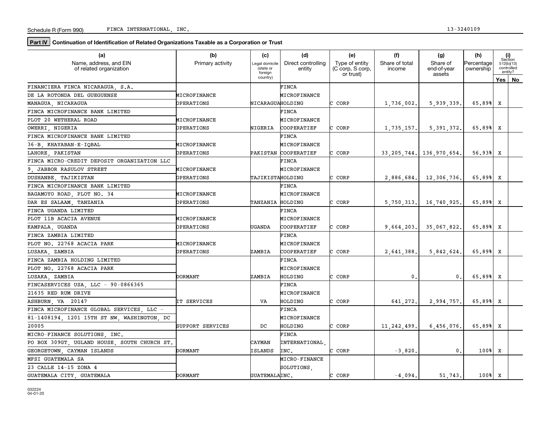**Part IV** Continuation of Identification of Related Organizations Taxable as a Corporation or Trust

| (a)                                               | (b)                              | (c)                                    | (d)                          | (e)                                             | (f)                      | (g)                               | (h)                     |     | (i)<br>Section                      |
|---------------------------------------------------|----------------------------------|----------------------------------------|------------------------------|-------------------------------------------------|--------------------------|-----------------------------------|-------------------------|-----|-------------------------------------|
| Name, address, and EIN<br>of related organization | Primary activity                 | Legal domicile<br>(state or<br>foreign | Direct controlling<br>entity | Type of entity<br>(C corp, S corp,<br>or trust) | Share of total<br>income | Share of<br>end-of-year<br>assets | Percentage<br>ownership |     | 512(b)(13)<br>controlled<br>entity? |
|                                                   |                                  | country)                               |                              |                                                 |                          |                                   |                         | Yes | No                                  |
| FINANCIERA FINCA NICARAGUA, S.A.                  |                                  |                                        | FINCA                        |                                                 |                          |                                   |                         |     |                                     |
| DE LA ROTONDA DEL GUEGUENSE                       | MICROFINANCE                     |                                        | MICROFINANCE                 |                                                 |                          |                                   |                         |     |                                     |
| MANAGUA, NICARAGUA                                | OPERATIONS                       | NICARAGUAHOLDING                       |                              | C CORP                                          | 1,736,002.               | 5,939,339.                        | 65.89%                  | X   |                                     |
| FINCA MICROFINANCE BANK LIMITED                   |                                  |                                        | FINCA                        |                                                 |                          |                                   |                         |     |                                     |
| PLOT 20 WETHERAL ROAD                             | MICROFINANCE                     |                                        | MICROFINANCE                 |                                                 |                          |                                   |                         |     |                                     |
| OWERRI, NIGERIA                                   | OPERATIONS                       | NIGERIA                                | COOPERATIEF                  | CORP                                            | 1,735,157.               | 5, 391, 372,                      | 65.89%                  | x   |                                     |
| FINCA MICROFINANCE BANK LIMITED                   |                                  |                                        | FINCA                        |                                                 |                          |                                   |                         |     |                                     |
| 36-B KHAYABAN-E-IQBAL                             | MICROFINANCE                     |                                        | MICROFINANCE                 |                                                 |                          |                                   |                         |     |                                     |
| LAHORE PAKISTAN                                   | OPERATIONS                       |                                        | PAKISTAN COOPERATIEF         | C CORP                                          |                          | 33, 205, 744.   136, 970, 654.    | 56.93% X                |     |                                     |
| FINCA MICRO-CREDIT DEPOSIT ORGANIZATION LLC       |                                  |                                        | <b>FINCA</b>                 |                                                 |                          |                                   |                         |     |                                     |
| 9 JABBOR RASULOV STREET                           | MICROFINANCE                     |                                        | MICROFINANCE                 |                                                 |                          |                                   |                         |     |                                     |
| DUSHANBE TAJIKISTAN                               | OPERATIONS                       | TAJIKISTAHOLDING                       |                              | C CORP                                          | 2,886,684.               | 12,306,736.                       | 65.89%                  | x   |                                     |
| FINCA MICROFINANCE BANK LIMITED                   |                                  |                                        | FINCA                        |                                                 |                          |                                   |                         |     |                                     |
| BAGAMOYO ROAD PLOT NO. 34                         | MICROFINANCE                     |                                        | MICROFINANCE                 |                                                 |                          |                                   |                         |     |                                     |
| DAR ES SALAAM TANZANIA                            | OPERATIONS                       | TANZANIA HOLDING                       |                              | C CORP                                          | 5,750,313.               | 16,740,925.                       | 65.89%                  | X   |                                     |
| FINCA UGANDA LIMITED                              |                                  |                                        | FINCA                        |                                                 |                          |                                   |                         |     |                                     |
| PLOT 11B ACACIA AVENUE                            | MICROFINANCE                     |                                        | MICROFINANCE                 |                                                 |                          |                                   |                         |     |                                     |
| KAMPALA, UGANDA                                   | OPERATIONS                       | <b>UGANDA</b>                          | COOPERATIEF                  | C CORP                                          | 9,664,203.               | 35,067,822,                       | 65.89%                  | x   |                                     |
| FINCA ZAMBIA LIMITED                              |                                  |                                        | FINCA                        |                                                 |                          |                                   |                         |     |                                     |
| PLOT NO. 22768 ACACIA PARK                        | MICROFINANCE                     |                                        | MICROFINANCE                 |                                                 |                          |                                   |                         |     |                                     |
| LUSAKA ZAMBIA                                     | OPERATIONS                       | ZAMBIA                                 | COOPERATIEF                  | CORP<br>C.                                      | 2.641.388.               | 5.842.624                         | 65.89%                  | x   |                                     |
| FINCA ZAMBIA HOLDING LIMITED                      |                                  |                                        | FINCA                        |                                                 |                          |                                   |                         |     |                                     |
| PLOT NO. 22768 ACACIA PARK                        |                                  |                                        | MICROFINANCE                 |                                                 |                          |                                   |                         |     |                                     |
| LUSAKA ZAMBIA                                     | <b>DORMANT</b>                   | ZAMBIA                                 | HOLDING                      | C CORP                                          | $\mathbf{0}$ .           | 0.                                | 65.89% X                |     |                                     |
| FINCASERVICES USA, LLC - 90-0866365               |                                  |                                        | <b>FINCA</b>                 |                                                 |                          |                                   |                         |     |                                     |
| 21635 RED RUM DRIVE                               |                                  |                                        | MICROFINANCE                 |                                                 |                          |                                   |                         |     |                                     |
| ASHBURN, VA 20147                                 | <b>IT SERVICES</b>               | VA                                     | HOLDING                      | C CORP                                          | 641,272.                 | 2,994,757.                        | 65.89%                  | x   |                                     |
| FINCA MICROFINANCE GLOBAL SERVICES LLC            |                                  |                                        | <b>FINCA</b>                 |                                                 |                          |                                   |                         |     |                                     |
| 81-1408194, 1201 15TH ST NW, WASHINGTON, DC       |                                  |                                        | MICROFINANCE                 |                                                 |                          |                                   |                         |     |                                     |
| 20005                                             | <b>SUPPORT SERVICES</b>          | DC                                     | HOLDING                      | C CORP                                          | 11, 242, 499.            | 6,456,076,                        | 65.89%                  | x   |                                     |
| MICRO-FINANCE SOLUTIONS, INC.                     |                                  |                                        | <b>FINCA</b>                 |                                                 |                          |                                   |                         |     |                                     |
| PO BOX 309GT, UGLAND HOUSE, SOUTH CHURCH ST,      |                                  | CAYMAN                                 | INTERNATIONAL                |                                                 |                          |                                   |                         |     |                                     |
| GEORGETOWN, CAYMAN ISLANDS                        | <b>DORMANT</b><br><b>ISLANDS</b> |                                        | INC.                         | C CORP                                          | $-3,820.$                | 0.                                | $100$ <sup>8</sup>      | x   |                                     |
| MFSI GUATEMALA SA                                 |                                  |                                        | <b>MICRO-FINANCE</b>         |                                                 |                          |                                   |                         |     |                                     |
| 23 CALLE 14-15 ZONA 4                             |                                  |                                        | SOLUTIONS.                   |                                                 |                          |                                   |                         |     |                                     |
| GUATEMALA CITY, GUATEMALA                         | DORMANT                          | GUATEMALAINC.                          |                              | C CORP                                          | $-4,094.$                | 51.743.                           | 100%                    | x   |                                     |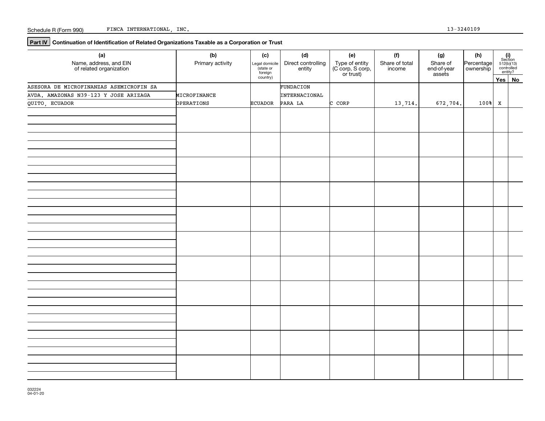**Part IV** Continuation of Identification of Related Organizations Taxable as a Corporation or Trust

| (a)<br>Name, address, and EIN<br>of related organization | (b)<br>Primary activity | (c)<br>Legal domicile<br>state or<br>foreign | (d)<br>Direct controlling<br>entity | (e)<br>Type of entity<br>(C corp, S corp,<br>or trust) | (f)<br>Share of total<br>income | (g)<br>Share of<br>end-of-year | (h)<br>Percentage  |        | $\begin{array}{c} \textbf{(i)}\\ \text{Section}\\ 512 \text{(b)} \text{(13)}\\ \text{controlled} \\ \text{entity?} \end{array}$ |
|----------------------------------------------------------|-------------------------|----------------------------------------------|-------------------------------------|--------------------------------------------------------|---------------------------------|--------------------------------|--------------------|--------|---------------------------------------------------------------------------------------------------------------------------------|
|                                                          |                         | country)                                     |                                     |                                                        |                                 | assets                         |                    |        | Yes No                                                                                                                          |
| ASESORA DE MICROFINANZAS ASEMICROFIN SA                  |                         |                                              | FUNDACION                           |                                                        |                                 |                                |                    |        |                                                                                                                                 |
| AVDA. AMAZONAS N39-123 Y JOSE ARIZAGA                    | MICROFINANCE            |                                              | INTERNACIONAL                       |                                                        |                                 |                                |                    |        |                                                                                                                                 |
| QUITO, ECUADOR                                           | OPERATIONS              | ECUADOR                                      | PARA LA                             | C CORP                                                 | 13,714.                         | 672,704.                       | $100$ <sup>8</sup> | $\,$ X |                                                                                                                                 |
|                                                          |                         |                                              |                                     |                                                        |                                 |                                |                    |        |                                                                                                                                 |
|                                                          |                         |                                              |                                     |                                                        |                                 |                                |                    |        |                                                                                                                                 |
|                                                          |                         |                                              |                                     |                                                        |                                 |                                |                    |        |                                                                                                                                 |
|                                                          |                         |                                              |                                     |                                                        |                                 |                                |                    |        |                                                                                                                                 |
|                                                          |                         |                                              |                                     |                                                        |                                 |                                |                    |        |                                                                                                                                 |
|                                                          |                         |                                              |                                     |                                                        |                                 |                                |                    |        |                                                                                                                                 |
|                                                          |                         |                                              |                                     |                                                        |                                 |                                |                    |        |                                                                                                                                 |
|                                                          |                         |                                              |                                     |                                                        |                                 |                                |                    |        |                                                                                                                                 |
|                                                          |                         |                                              |                                     |                                                        |                                 |                                |                    |        |                                                                                                                                 |
|                                                          |                         |                                              |                                     |                                                        |                                 |                                |                    |        |                                                                                                                                 |
|                                                          |                         |                                              |                                     |                                                        |                                 |                                |                    |        |                                                                                                                                 |
|                                                          |                         |                                              |                                     |                                                        |                                 |                                |                    |        |                                                                                                                                 |
|                                                          |                         |                                              |                                     |                                                        |                                 |                                |                    |        |                                                                                                                                 |
|                                                          |                         |                                              |                                     |                                                        |                                 |                                |                    |        |                                                                                                                                 |
|                                                          |                         |                                              |                                     |                                                        |                                 |                                |                    |        |                                                                                                                                 |
|                                                          |                         |                                              |                                     |                                                        |                                 |                                |                    |        |                                                                                                                                 |
|                                                          |                         |                                              |                                     |                                                        |                                 |                                |                    |        |                                                                                                                                 |
|                                                          |                         |                                              |                                     |                                                        |                                 |                                |                    |        |                                                                                                                                 |
|                                                          |                         |                                              |                                     |                                                        |                                 |                                |                    |        |                                                                                                                                 |
|                                                          |                         |                                              |                                     |                                                        |                                 |                                |                    |        |                                                                                                                                 |
|                                                          |                         |                                              |                                     |                                                        |                                 |                                |                    |        |                                                                                                                                 |
|                                                          |                         |                                              |                                     |                                                        |                                 |                                |                    |        |                                                                                                                                 |
|                                                          |                         |                                              |                                     |                                                        |                                 |                                |                    |        |                                                                                                                                 |
|                                                          |                         |                                              |                                     |                                                        |                                 |                                |                    |        |                                                                                                                                 |
|                                                          |                         |                                              |                                     |                                                        |                                 |                                |                    |        |                                                                                                                                 |
|                                                          |                         |                                              |                                     |                                                        |                                 |                                |                    |        |                                                                                                                                 |
|                                                          |                         |                                              |                                     |                                                        |                                 |                                |                    |        |                                                                                                                                 |
|                                                          |                         |                                              |                                     |                                                        |                                 |                                |                    |        |                                                                                                                                 |
|                                                          |                         |                                              |                                     |                                                        |                                 |                                |                    |        |                                                                                                                                 |
|                                                          |                         |                                              |                                     |                                                        |                                 |                                |                    |        |                                                                                                                                 |
|                                                          |                         |                                              |                                     |                                                        |                                 |                                |                    |        |                                                                                                                                 |
|                                                          |                         |                                              |                                     |                                                        |                                 |                                |                    |        |                                                                                                                                 |
|                                                          |                         |                                              |                                     |                                                        |                                 |                                |                    |        |                                                                                                                                 |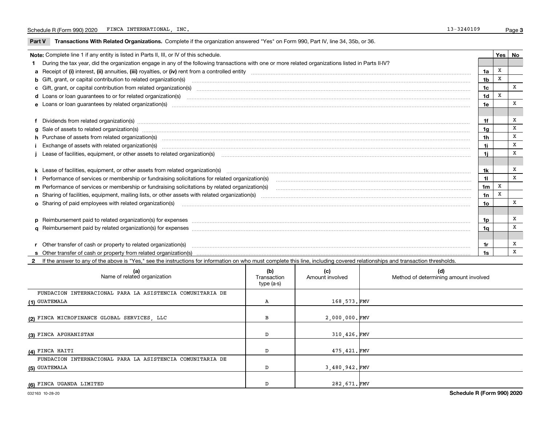$\overline{\phantom{a}}$ 

Part V Transactions With Related Organizations. Complete if the organization answered "Yes" on Form 990, Part IV, line 34, 35b, or 36.

|    | Note: Complete line 1 if any entity is listed in Parts II, III, or IV of this schedule.                                                                                                                                        |                | Yes   No |        |  |  |
|----|--------------------------------------------------------------------------------------------------------------------------------------------------------------------------------------------------------------------------------|----------------|----------|--------|--|--|
|    | During the tax year, did the organization engage in any of the following transactions with one or more related organizations listed in Parts II-IV?                                                                            |                |          |        |  |  |
|    |                                                                                                                                                                                                                                | 1a             | x        |        |  |  |
|    | <b>b</b> Gift, grant, or capital contribution to related organization(s)                                                                                                                                                       | 1b             | X        |        |  |  |
|    | c Gift, grant, or capital contribution from related organization(s)                                                                                                                                                            | 1c             |          | x      |  |  |
|    | <b>d</b> Loans or loan quarantees to or for related organization(s)                                                                                                                                                            | 1d             | X        |        |  |  |
|    |                                                                                                                                                                                                                                | 1e             |          | x      |  |  |
|    |                                                                                                                                                                                                                                |                |          |        |  |  |
|    | f Dividends from related organization(s) manufactured contains and contained a series of the contact of the contact of the contact of the contact of the contact of the contact of the contact of the contact of the contact o | 1f             |          | х      |  |  |
|    | g Sale of assets to related organization(s) www.assettion.com/www.assettion.com/www.assettion.com/www.assettion.com/www.assettion.com/www.assettion.com/www.assettion.com/www.assettion.com/www.assettion.com/www.assettion.co | 1g             |          | X      |  |  |
|    | h Purchase of assets from related organization(s) www.assettion.com/www.assettion.com/www.assettion.com/www.assettion.com/www.assettion.com/www.assettion.com/www.assettion.com/www.assettion.com/www.assettion.com/www.assett | 1h             |          | X      |  |  |
|    |                                                                                                                                                                                                                                | 1i             |          | X      |  |  |
|    |                                                                                                                                                                                                                                | 1i.            |          | X      |  |  |
|    |                                                                                                                                                                                                                                |                |          |        |  |  |
|    |                                                                                                                                                                                                                                | 1k             |          | x      |  |  |
|    | Performance of services or membership or fundraising solicitations for related organization(s)                                                                                                                                 | $\mathbf{1}$   |          | X      |  |  |
|    | m Performance of services or membership or fundraising solicitations by related organization(s)                                                                                                                                | 1 <sub>m</sub> | X        |        |  |  |
|    |                                                                                                                                                                                                                                | 1n             | х        |        |  |  |
|    | <b>o</b> Sharing of paid employees with related organization(s)                                                                                                                                                                | 1o             |          | x      |  |  |
|    |                                                                                                                                                                                                                                |                |          |        |  |  |
|    |                                                                                                                                                                                                                                | 1p             |          | X<br>x |  |  |
| 1a |                                                                                                                                                                                                                                |                |          |        |  |  |
|    |                                                                                                                                                                                                                                |                |          |        |  |  |
|    | r Other transfer of cash or property to related organization(s)                                                                                                                                                                | 1r             |          | х      |  |  |
|    |                                                                                                                                                                                                                                | 1s             |          | X      |  |  |

2 If the answer to any of the above is "Yes," see the instructions for information on who must complete this line, including covered relationships and transaction thresholds.

| (a)<br>Name of related organization                       | (b)<br>Transaction<br>type (a-s) | (c)<br>Amount involved | (d)<br>Method of determining amount involved |
|-----------------------------------------------------------|----------------------------------|------------------------|----------------------------------------------|
| FUNDACION INTERNACIONAL PARA LA ASISTENCIA COMUNITARIA DE |                                  |                        |                                              |
| (1) GUATEMALA                                             | Α                                | 168,573.FMV            |                                              |
| (2) FINCA MICROFINANCE GLOBAL SERVICES, LLC               | в                                | 2,000,000.FMV          |                                              |
| (3) FINCA AFGHANISTAN                                     | D                                | 310,426.FMV            |                                              |
| (4) FINCA HAITI                                           | D                                | 475, 421. FMV          |                                              |
| FUNDACION INTERNACIONAL PARA LA ASISTENCIA COMUNITARIA DE |                                  |                        |                                              |
| (5) GUATEMALA                                             |                                  | 3,480,942.FMV          |                                              |
| (6) FINCA UGANDA LIMITED                                  | D                                | 282,671.FMV            |                                              |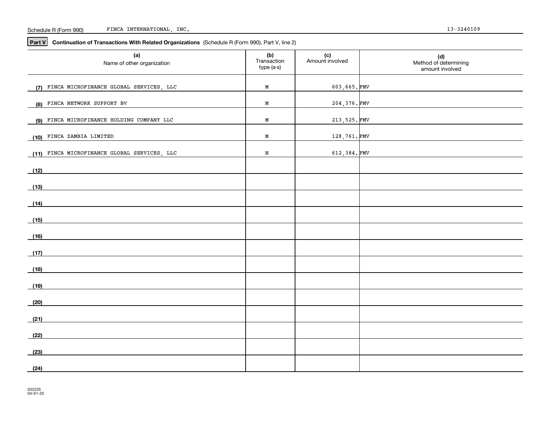#### Schedule R (Form 990) FINCA INTERNATIONAL, INC. 13-3240109

**Part V** Continuation of Transactions With Related Organizations (Schedule R (Form 990), Part V, line 2)

| (a)<br>Name of other organization              | (b)<br>Transaction<br>type (a-s) | (c)<br>Amount involved | (d)<br>Method of determining<br>amount involved |
|------------------------------------------------|----------------------------------|------------------------|-------------------------------------------------|
| FINCA MICROFINANCE GLOBAL SERVICES, LLC<br>(7) | М                                | 603,665.FMV            |                                                 |
| FINCA NETWORK SUPPORT BV<br>(8)                | М                                | 204,376.FMV            |                                                 |
| (9) FINCA MICROFINANCE HOLDING COMPANY LLC     | М                                | 213, 525. FMV          |                                                 |
| FINCA ZAMBIA LIMITED<br>(10)                   | М                                | 128,761.FMV            |                                                 |
| (11) FINCA MICROFINANCE GLOBAL SERVICES, LLC   | $\, {\bf N}$                     | 612,384.FMV            |                                                 |
| (12)                                           |                                  |                        |                                                 |
| (13)                                           |                                  |                        |                                                 |
| (14)                                           |                                  |                        |                                                 |
| (15)                                           |                                  |                        |                                                 |
| (16)                                           |                                  |                        |                                                 |
| (17)                                           |                                  |                        |                                                 |
| (18)                                           |                                  |                        |                                                 |
| (19)                                           |                                  |                        |                                                 |
| (20)                                           |                                  |                        |                                                 |
| (21)                                           |                                  |                        |                                                 |
| (22)                                           |                                  |                        |                                                 |
| (23)                                           |                                  |                        |                                                 |
| (24)                                           |                                  |                        |                                                 |
|                                                |                                  |                        |                                                 |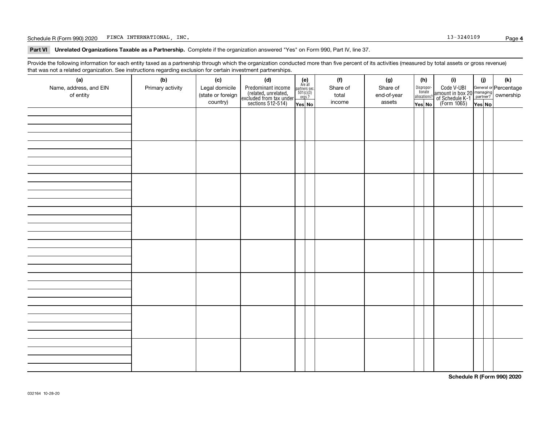Schedule R (Form 990) 2020 FINCA INTERNATIONAL, INC. The contract of the contract of the contract of the contract of the contract of the contract of the contract of the contract of the contract of the contract of the contr

Part VI Unrelated Organizations Taxable as a Partnership. Complete if the organization answered "Yes" on Form 990, Part IV, line 37.

Provide the following information for each entity taxed as a partnership through which the organization conducted more than five percent of its activities (measured by total assets or gross revenue) that was not a related organization. See instructions regarding exclusion for certain investment partnerships.

| - - - - -<br>(a)                    | − ອ−<br>. <del>.</del><br>(b) | (c)                                 | (d)                                                                                        |                                                                                                                  | (f)               | (g)                     |              | (h)                   | (i)                                                                                          | (i)    | (k) |
|-------------------------------------|-------------------------------|-------------------------------------|--------------------------------------------------------------------------------------------|------------------------------------------------------------------------------------------------------------------|-------------------|-------------------------|--------------|-----------------------|----------------------------------------------------------------------------------------------|--------|-----|
| Name, address, and EIN<br>of entity | Primary activity              | Legal domicile<br>(state or foreign | Predominant income<br>(related, unrelated,<br>excluded from tax under<br>sections 512-514) | $\begin{array}{c} \textbf{(e)}\\ \text{Are all} \\ \text{partners sec.}\\ 501(c)(3)\\ \text{orgs.?} \end{array}$ | Share of<br>total | Share of<br>end-of-year | allocations? | Dispropor-<br>tionate | Code V-UBI<br>amount in box 20 managing<br>of Schedule K-1 partner?<br>(Form 1065)<br>ves No |        |     |
|                                     |                               | country)                            |                                                                                            | Yes No                                                                                                           | income            | assets                  | Yes No       |                       |                                                                                              | Yes No |     |
|                                     |                               |                                     |                                                                                            |                                                                                                                  |                   |                         |              |                       |                                                                                              |        |     |
|                                     |                               |                                     |                                                                                            |                                                                                                                  |                   |                         |              |                       |                                                                                              |        |     |
|                                     |                               |                                     |                                                                                            |                                                                                                                  |                   |                         |              |                       |                                                                                              |        |     |
|                                     |                               |                                     |                                                                                            |                                                                                                                  |                   |                         |              |                       |                                                                                              |        |     |
|                                     |                               |                                     |                                                                                            |                                                                                                                  |                   |                         |              |                       |                                                                                              |        |     |
|                                     |                               |                                     |                                                                                            |                                                                                                                  |                   |                         |              |                       |                                                                                              |        |     |
|                                     |                               |                                     |                                                                                            |                                                                                                                  |                   |                         |              |                       |                                                                                              |        |     |
|                                     |                               |                                     |                                                                                            |                                                                                                                  |                   |                         |              |                       |                                                                                              |        |     |
|                                     |                               |                                     |                                                                                            |                                                                                                                  |                   |                         |              |                       |                                                                                              |        |     |
|                                     |                               |                                     |                                                                                            |                                                                                                                  |                   |                         |              |                       |                                                                                              |        |     |
|                                     |                               |                                     |                                                                                            |                                                                                                                  |                   |                         |              |                       |                                                                                              |        |     |
|                                     |                               |                                     |                                                                                            |                                                                                                                  |                   |                         |              |                       |                                                                                              |        |     |
|                                     |                               |                                     |                                                                                            |                                                                                                                  |                   |                         |              |                       |                                                                                              |        |     |
|                                     |                               |                                     |                                                                                            |                                                                                                                  |                   |                         |              |                       |                                                                                              |        |     |
|                                     |                               |                                     |                                                                                            |                                                                                                                  |                   |                         |              |                       |                                                                                              |        |     |
|                                     |                               |                                     |                                                                                            |                                                                                                                  |                   |                         |              |                       |                                                                                              |        |     |
|                                     |                               |                                     |                                                                                            |                                                                                                                  |                   |                         |              |                       |                                                                                              |        |     |
|                                     |                               |                                     |                                                                                            |                                                                                                                  |                   |                         |              |                       |                                                                                              |        |     |
|                                     |                               |                                     |                                                                                            |                                                                                                                  |                   |                         |              |                       |                                                                                              |        |     |
|                                     |                               |                                     |                                                                                            |                                                                                                                  |                   |                         |              |                       |                                                                                              |        |     |
|                                     |                               |                                     |                                                                                            |                                                                                                                  |                   |                         |              |                       |                                                                                              |        |     |
|                                     |                               |                                     |                                                                                            |                                                                                                                  |                   |                         |              |                       |                                                                                              |        |     |
|                                     |                               |                                     |                                                                                            |                                                                                                                  |                   |                         |              |                       |                                                                                              |        |     |
|                                     |                               |                                     |                                                                                            |                                                                                                                  |                   |                         |              |                       |                                                                                              |        |     |
|                                     |                               |                                     |                                                                                            |                                                                                                                  |                   |                         |              |                       |                                                                                              |        |     |
|                                     |                               |                                     |                                                                                            |                                                                                                                  |                   |                         |              |                       |                                                                                              |        |     |
|                                     |                               |                                     |                                                                                            |                                                                                                                  |                   |                         |              |                       |                                                                                              |        |     |
|                                     |                               |                                     |                                                                                            |                                                                                                                  |                   |                         |              |                       |                                                                                              |        |     |
|                                     |                               |                                     |                                                                                            |                                                                                                                  |                   |                         |              |                       |                                                                                              |        |     |
|                                     |                               |                                     |                                                                                            |                                                                                                                  |                   |                         |              |                       |                                                                                              |        |     |
|                                     |                               |                                     |                                                                                            |                                                                                                                  |                   |                         |              |                       |                                                                                              |        |     |
|                                     |                               |                                     |                                                                                            |                                                                                                                  |                   |                         |              |                       |                                                                                              |        |     |

**Schedule R (Form 990) 2020**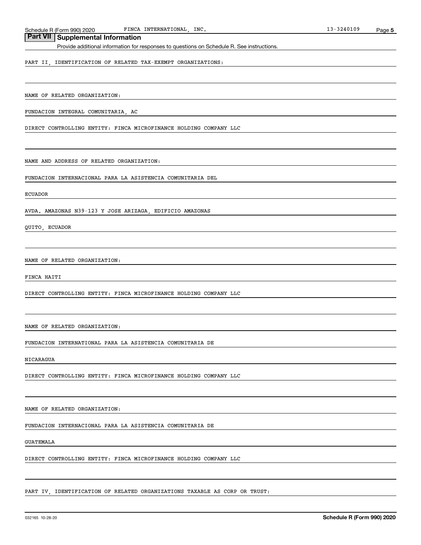Schedule R (Form 990) 2020 FINCA INTERNATIONAL, INC. Schedule R (Form 990) 2020 FINCA INTERNATIONAL, INC.

# **Part VII Supplemental Information**

Provide additional information for responses to questions on Schedule R. See instructions.

PART II, IDENTIFICATION OF RELATED TAX-EXEMPT ORGANIZATIONS:

NAME OF RELATED ORGANIZATION:

FUNDACION INTEGRAL COMUNITARIA, AC

DIRECT CONTROLLING ENTITY: FINCA MICROFINANCE HOLDING COMPANY LLC

NAME AND ADDRESS OF RELATED ORGANIZATION:

FUNDACION INTERNACIONAL PARA LA ASISTENCIA COMUNITARIA DEL

#### ECUADOR

AVDA. AMAZONAS N39-123 Y JOSE ARIZAGA, EDIFICIO AMAZONAS

QUITO, ECUADOR

NAME OF RELATED ORGANIZATION:

FINCA HAITI

DIRECT CONTROLLING ENTITY: FINCA MICROFINANCE HOLDING COMPANY LLC

NAME OF RELATED ORGANIZATION:

FUNDACION INTERNATIONAL PARA LA ASISTENCIA COMUNITARIA DE

NICARAGUA

DIRECT CONTROLLING ENTITY: FINCA MICROFINANCE HOLDING COMPANY LLC

NAME OF RELATED ORGANIZATION:

FUNDACION INTERNACIONAL PARA LA ASISTENCIA COMUNITARIA DE

GUATEMALA

DIRECT CONTROLLING ENTITY: FINCA MICROFINANCE HOLDING COMPANY LLC

PART IV, IDENTIFICATION OF RELATED ORGANIZATIONS TAXABLE AS CORP OR TRUST: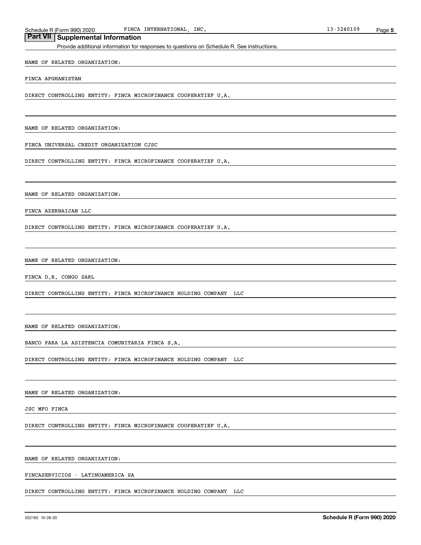Schedule R (Form 990) 2020 FINCA INTERNATIONAL, INC. Schedule R (Form 990) 2020 FINCA INTERNATIONAL, INC.

# **Part VII Supplemental Information**

Provide additional information for responses to questions on Schedule R. See instructions.

#### NAME OF RELATED ORGANIZATION:

FINCA AFGHANISTAN

DIRECT CONTROLLING ENTITY: FINCA MICROFINANCE COOPERATIEF U.A.

NAME OF RELATED ORGANIZATION:

FINCA UNIVERSAL CREDIT ORGANIZATION CJSC

DIRECT CONTROLLING ENTITY: FINCA MICROFINANCE COOPERATIEF U.A.

NAME OF RELATED ORGANIZATION:

FINCA AZERBAIJAN LLC

DIRECT CONTROLLING ENTITY: FINCA MICROFINANCE COOPERATIEF U.A.

NAME OF RELATED ORGANIZATION:

FINCA D.R. CONGO SARL

DIRECT CONTROLLING ENTITY: FINCA MICROFINANCE HOLDING COMPANY LLC

NAME OF RELATED ORGANIZATION:

BANCO PARA LA ASISTENCIA COMUNITARIA FINCA S.A.

DIRECT CONTROLLING ENTITY: FINCA MICROFINANCE HOLDING COMPANY LLC

NAME OF RELATED ORGANIZATION:

JSC MFO FINCA

DIRECT CONTROLLING ENTITY: FINCA MICROFINANCE COOPERATIEF U.A.

NAME OF RELATED ORGANIZATION:

FINCASERVICIOS - LATINOAMERICA SA

DIRECT CONTROLLING ENTITY: FINCA MICROFINANCE HOLDING COMPANY LLC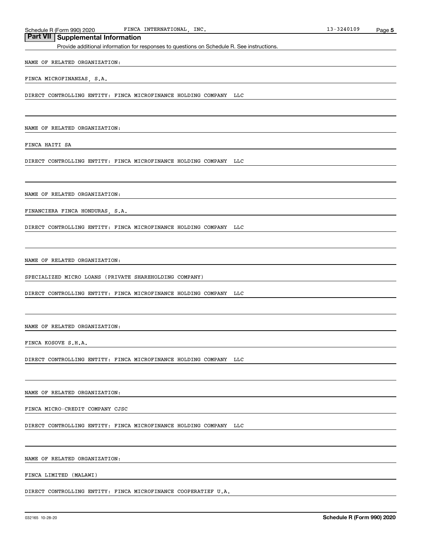Schedule R (Form 990) 2020 FINCA INTERNATIONAL, INC. Schedule R (Form 990) 2020 FINCA INTERNATIONAL, INC.

## **Part VII Supplemental Information**

Provide additional information for responses to questions on Schedule R. See instructions.

NAME OF RELATED ORGANIZATION:

FINCA MICROFINANZAS, S.A.

DIRECT CONTROLLING ENTITY: FINCA MICROFINANCE HOLDING COMPANY LLC

NAME OF RELATED ORGANIZATION:

FINCA HAITI SA

DIRECT CONTROLLING ENTITY: FINCA MICROFINANCE HOLDING COMPANY LLC

NAME OF RELATED ORGANIZATION:

FINANCIERA FINCA HONDURAS, S.A.

DIRECT CONTROLLING ENTITY: FINCA MICROFINANCE HOLDING COMPANY LLC

NAME OF RELATED ORGANIZATION:

SPECIALIZED MICRO LOANS (PRIVATE SHAREHOLDING COMPANY)

DIRECT CONTROLLING ENTITY: FINCA MICROFINANCE HOLDING COMPANY LLC

NAME OF RELATED ORGANIZATION:

FINCA KOSOVE S.H.A.

DIRECT CONTROLLING ENTITY: FINCA MICROFINANCE HOLDING COMPANY LLC

NAME OF RELATED ORGANIZATION:

FINCA MICRO-CREDIT COMPANY CJSC

DIRECT CONTROLLING ENTITY: FINCA MICROFINANCE HOLDING COMPANY LLC

NAME OF RELATED ORGANIZATION:

FINCA LIMITED (MALAWI)

DIRECT CONTROLLING ENTITY: FINCA MICROFINANCE COOPERATIEF U.A.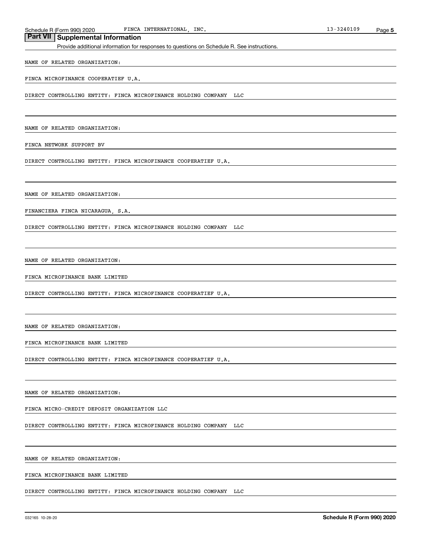Schedule R (Form 990) 2020 FINCA INTERNATIONAL, INC. Schedule R (Form 990) 2020 FINCA INTERNATIONAL, INC.

## **Part VII Supplemental Information**

Provide additional information for responses to questions on Schedule R. See instructions.

## NAME OF RELATED ORGANIZATION:

FINCA MICROFINANCE COOPERATIEF U.A.

DIRECT CONTROLLING ENTITY: FINCA MICROFINANCE HOLDING COMPANY LLC

NAME OF RELATED ORGANIZATION:

FINCA NETWORK SUPPORT BV

DIRECT CONTROLLING ENTITY: FINCA MICROFINANCE COOPERATIEF U.A.

NAME OF RELATED ORGANIZATION:

FINANCIERA FINCA NICARAGUA, S.A.

DIRECT CONTROLLING ENTITY: FINCA MICROFINANCE HOLDING COMPANY LLC

NAME OF RELATED ORGANIZATION:

FINCA MICROFINANCE BANK LIMITED

DIRECT CONTROLLING ENTITY: FINCA MICROFINANCE COOPERATIEF U.A.

NAME OF RELATED ORGANIZATION:

FINCA MICROFINANCE BANK LIMITED

DIRECT CONTROLLING ENTITY: FINCA MICROFINANCE COOPERATIEF U.A.

NAME OF RELATED ORGANIZATION:

FINCA MICRO-CREDIT DEPOSIT ORGANIZATION LLC

DIRECT CONTROLLING ENTITY: FINCA MICROFINANCE HOLDING COMPANY LLC

NAME OF RELATED ORGANIZATION:

FINCA MICROFINANCE BANK LIMITED

DIRECT CONTROLLING ENTITY: FINCA MICROFINANCE HOLDING COMPANY LLC